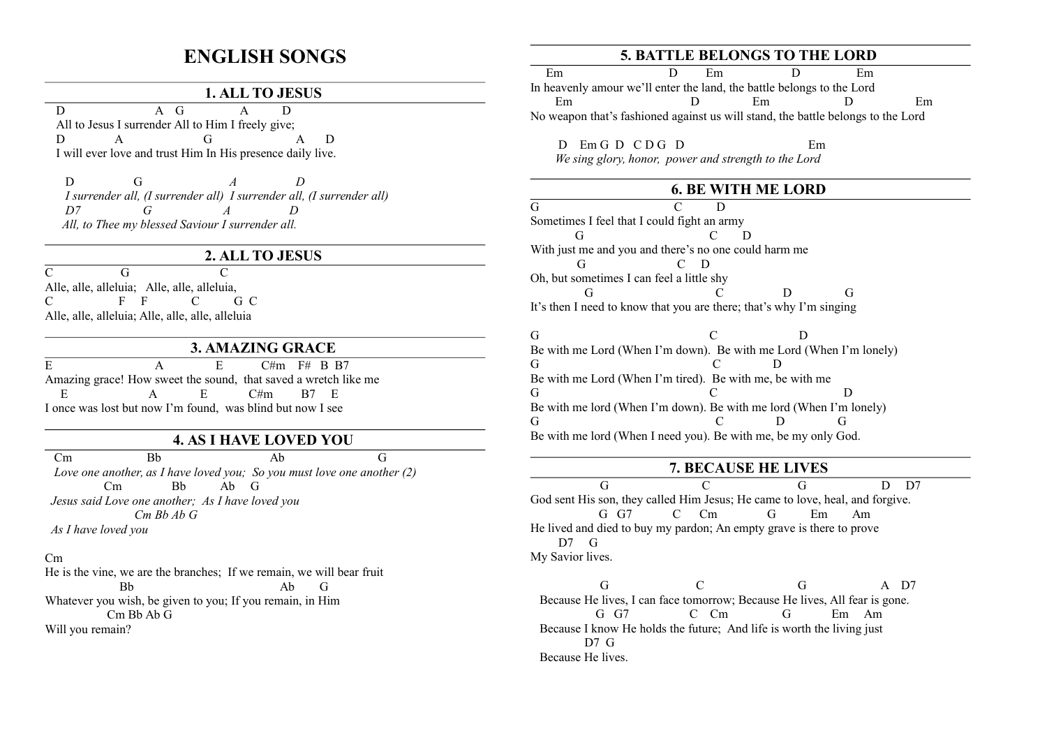# **ENGLISH SONGS**

#### **1. ALL TO JESUS**

 $D$  A G A D All to Jesus I surrender All to Him I freely give; D A G A D I will ever love and trust Him In His presence daily live.

 D G *A D I surrender all, (I surrender all) I surrender all, (I surrender all) D7 G A D All, to Thee my blessed Saviour I surrender all.*

#### **2. ALL TO JESUS**

C G C Alle, alle, alleluia; Alle, alle, alleluia, C F F C G C Alle, alle, alleluia; Alle, alle, alle, alleluia

## **3. AMAZING GRACE**

 $E$  A E C#m F# B B7 Amazing grace! How sweet the sound, that saved a wretch like me E A E C#m B7 E I once was lost but now I'm found, was blind but now I see

## **4. AS I HAVE LOVED YOU**

Cm Bb Ab G *Love one another, as I have loved you; So you must love one another (2)* Cm Bb Ab G  *Jesus said Love one another; As I have loved you Cm Bb Ab G As I have loved you* 

#### Cm

He is the vine, we are the branches; If we remain, we will bear fruit Bb Ab G Whatever you wish, be given to you; If you remain, in Him Cm Bb Ab G Will you remain?

## **5. BATTLE BELONGS TO THE LORD**

 Em D Em D Em In heavenly amour we'll enter the land, the battle belongs to the Lord Em D Em D Em No weapon that's fashioned against us will stand, the battle belongs to the Lord

D Em G D C D G D Em  *We sing glory, honor, power and strength to the Lord* 

### **6. BE WITH ME LORD**

G C D Sometimes I feel that I could fight an army G C D With just me and you and there's no one could harm me G C D Oh, but sometimes I can feel a little shy G C D G It's then I need to know that you are there; that's why I'm singing G D

Be with me Lord (When I'm down). Be with me Lord (When I'm lonely) G D Be with me Lord (When I'm tired). Be with me, be with me G D Be with me lord (When I'm down). Be with me lord (When I'm lonely) G D G Be with me lord (When I need you). Be with me, be my only God.

#### **7. BECAUSE HE LIVES**

G C G D D7 God sent His son, they called Him Jesus; He came to love, heal, and forgive. G G7 C Cm G Em Am He lived and died to buy my pardon; An empty grave is there to prove D7 G My Savior lives.

G C G A D7 Because He lives, I can face tomorrow; Because He lives, All fear is gone. G G7 C Cm G Em Am Because I know He holds the future; And life is worth the living just  $D7$  G Because He lives.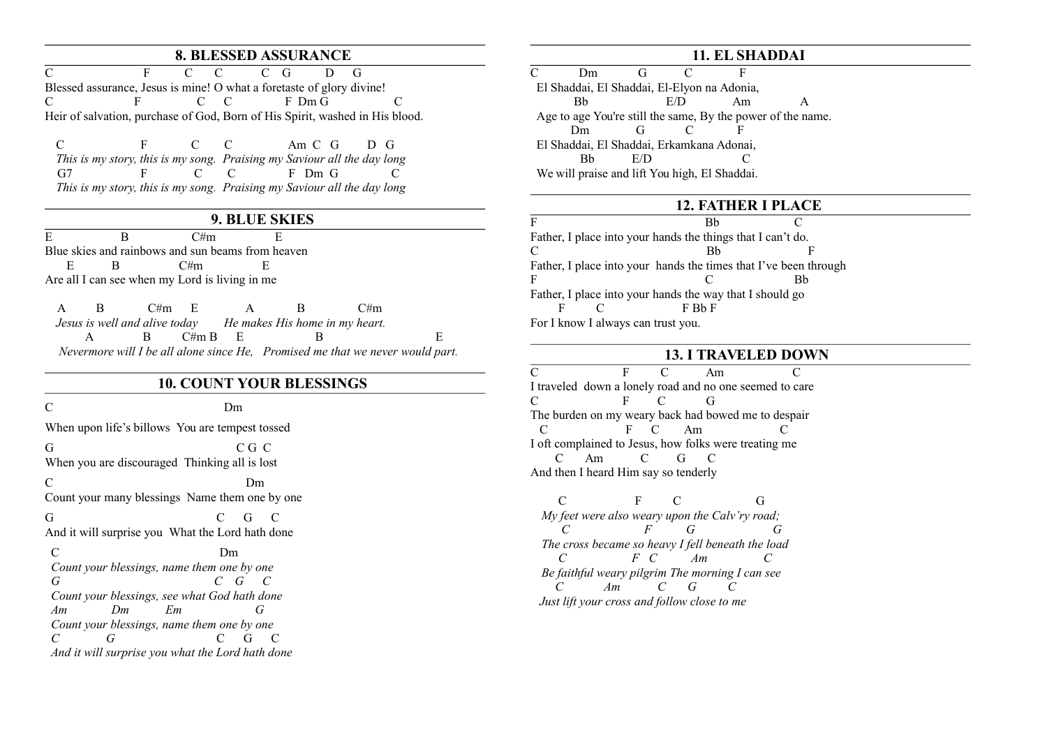## **8. BLESSED ASSURANCE**

 $\overline{C}$  F  $C$   $C$   $C$   $G$   $D$   $G$ Blessed assurance, Jesus is mine! O what a foretaste of glory divine! C F C C F Dm G C Heir of salvation, purchase of God, Born of His Spirit, washed in His blood.

C F C C Am C G D G *This is my story, this is my song. Praising my Saviour all the day long* G7 F C C F Dm G *This is my story, this is my song. Praising my Saviour all the day long* 

## **9. BLUE SKIES**

E B C#m E Blue skies and rainbows and sun beams from heaven E B C#m E Are all I can see when my Lord is living in me

 A B C#m E A B C#m *Jesus is well and alive today* He makes His home in my heart. A B C#m B E B E *Nevermore will I be all alone since He, Promised me that we never would part.*

## **10. COUNT YOUR BLESSINGS**

C Dm

When upon life's billows You are tempest tossed

 $G$  C G C When you are discouraged Thinking all is lost

C Dm Count your many blessings Name them one by one

G G G C And it will surprise you What the Lord hath done

 C Dm  *Count your blessings, name them one by one G C G C Count your blessings, see what God hath done Am Dm Em G Count your blessings, name them one by one C G* C G C  *And it will surprise you what the Lord hath done*

## **11. EL SHADDAI**

C Dm G C F El Shaddai, El Shaddai, El-Elyon na Adonia, Bb E/D Am A Age to age You're still the same, By the power of the name. Dm G C F El Shaddai, El Shaddai, Erkamkana Adonai, Bb E/D C We will praise and lift You high, El Shaddai.

#### **12. FATHER I PLACE**

F Bb C Father, I place into your hands the things that I can't do. C Bb F Father, I place into your hands the times that I've been through F C Bb Father, I place into your hands the way that I should go F C FBbF For I know I always can trust you.

#### **13. I TRAVELED DOWN**

C F C Am C I traveled down a lonely road and no one seemed to care C F C G The burden on my weary back had bowed me to despair C F C Am C I oft complained to Jesus, how folks were treating me C Am C G C And then I heard Him say so tenderly

C F C G *My feet were also weary upon the Calv'ry road; C F G G The cross became so heavy I fell beneath the load C F C Am C Be faithful weary pilgrim The morning I can see C Am C G C Just lift your cross and follow close to me*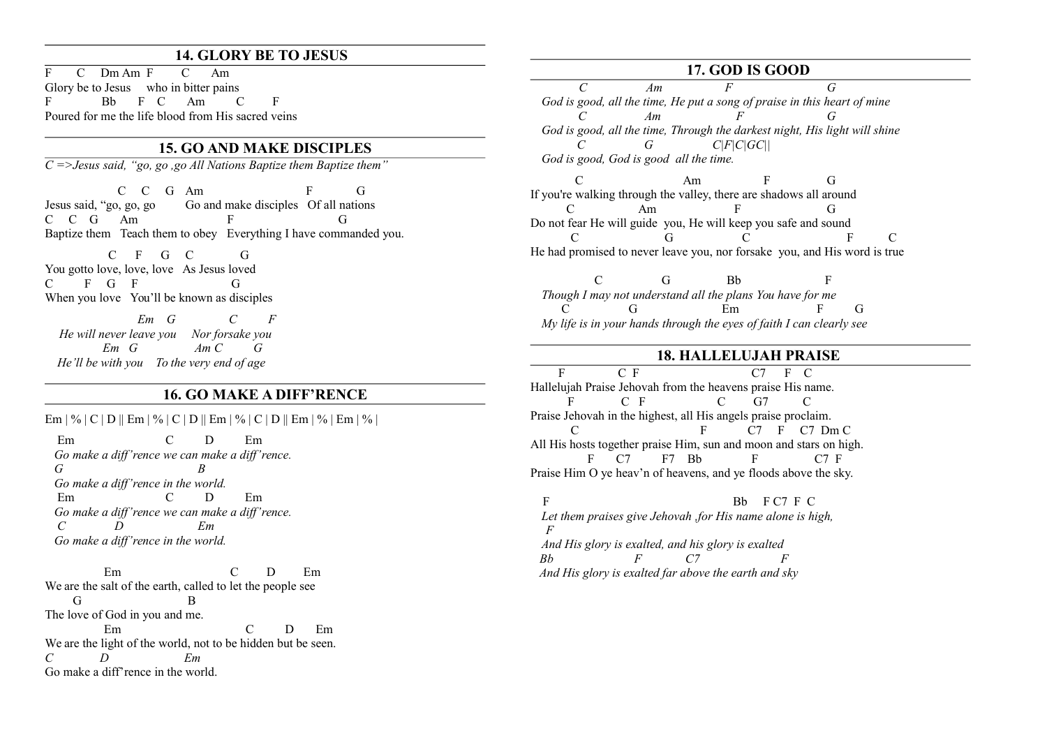## **14. GLORY BE TO JESUS**

F C Dm Am F C Am Glory be to Jesus who in bitter pains F Bb F C Am C F Poured for me the life blood from His sacred veins

## **15. GO AND MAKE DISCIPLES**

*C =>Jesus said, "go, go ,go All Nations Baptize them Baptize them"*

 C C G Am F G Jesus said, "go, go, go Go and make disciples Of all nations C C G Am F G Baptize them Teach them to obey Everything I have commanded you.

 $C$  F G  $C$  G You gotto love, love, love As Jesus loved  $C$  F G F G G When you love You'll be known as disciples

 *Em G C F He will never leave you Nor forsake you Em G Am C G He'll be with you To the very end of age*

#### **16. GO MAKE A DIFF'RENCE**

Em | % | C | D || Em | % | C | D || Em | % | C | D || Em | % | Em | % | Em | % |

 Em C D Em  *Go make a diff'rence we can make a diff'rence. G B Go make a diff'rence in the world.* Em C D Em  *Go make a diff'rence we can make a diff'rence. C D Em Go make a diff'rence in the world.*

 Em C D Em We are the salt of the earth, called to let the people see G B The love of God in you and me. Em C D Em We are the light of the world, not to be hidden but be seen. *C D Em* Go make a diff'rence in the world.

#### **17. GOD IS GOOD**

 *C Am F G God is good, all the time, He put a song of praise in this heart of mine C Am F G God is good, all the time, Through the darkest night, His light will shine C G C|F|C|GC|| God is good, God is good all the time.*

C Am F G If you're walking through the valley, there are shadows all around C Am F G Do not fear He will guide you, He will keep you safe and sound C G C F C He had promised to never leave you, nor forsake you, and His word is true

C G Bb F *Though I may not understand all the plans You have for me* C G Em F G *My life is in your hands through the eyes of faith I can clearly see*

#### **18. HALLELUJAH PRAISE**

 F C F C7 F C Hallelujah Praise Jehovah from the heavens praise His name. F C F C G7 C Praise Jehovah in the highest, all His angels praise proclaim. F C7 F C7 Dm C All His hosts together praise Him, sun and moon and stars on high. F C7 F7 Bb F C7 F Praise Him O ye heav'n of heavens, and ye floods above the sky.

F Bb F C7 F C *Let them praises give Jehovah ,for His name alone is high, F And His glory is exalted, and his glory is exalted Bb F C7 F And His glory is exalted far above the earth and sky*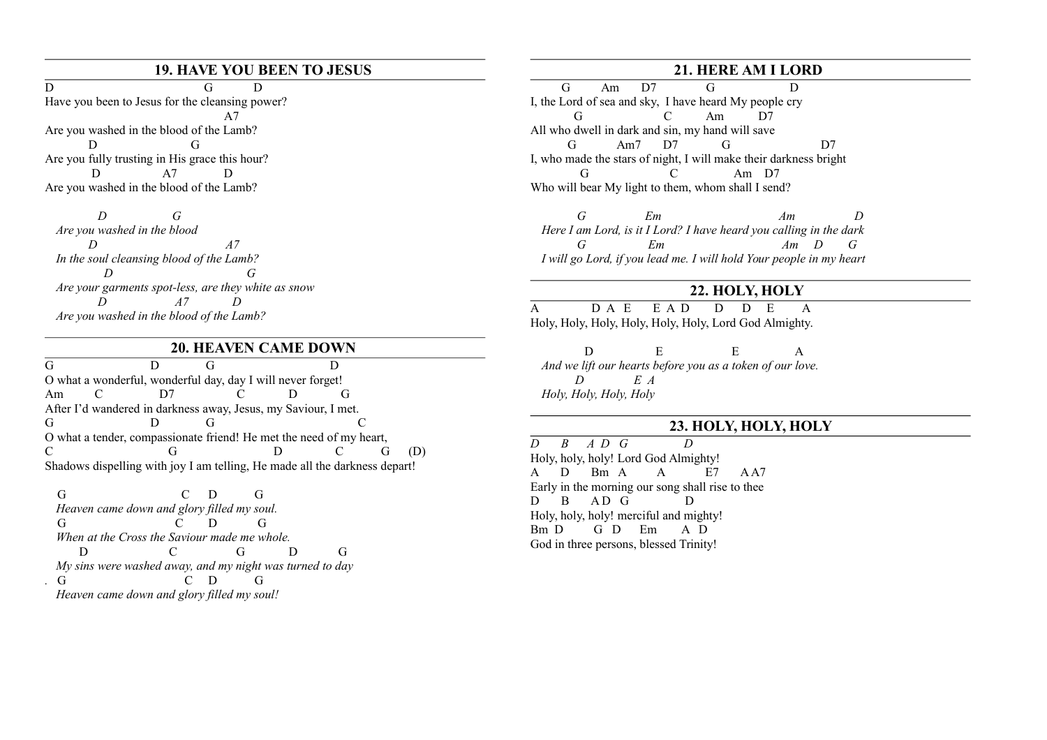#### **19. HAVE YOU BEEN TO JESUS**

D G D Have you been to Jesus for the cleansing power?  $A7$ Are you washed in the blood of the Lamb? D G Are you fully trusting in His grace this hour? D A7 D Are you washed in the blood of the Lamb?

 *D G Are you washed in the blood D A7 In the soul cleansing blood of the Lamb? D G Are your garments spot-less, are they white as snow D A7 D Are you washed in the blood of the Lamb?*

#### **20. HEAVEN CAME DOWN**

G D G D O what a wonderful, wonderful day, day I will never forget! Am C D7 C D G After I'd wandered in darkness away, Jesus, my Saviour, I met. G D G C O what a tender, compassionate friend! He met the need of my heart, C G G D C G (D) Shadows dispelling with joy I am telling, He made all the darkness depart!

 G C D G *Heaven came down and glory filled my soul.* G C D G *When at the Cross the Saviour made me whole.* D C G D G *My sins were washed away, and my night was turned to day .* G C D G *Heaven came down and glory filled my soul!*

#### **21. HERE AM I LORD**

 G Am D7 G D I, the Lord of sea and sky, I have heard My people cry G C Am D7 All who dwell in dark and sin, my hand will save G Am7 D7 G D7 I, who made the stars of night, I will make their darkness bright G C Am D7 Who will bear My light to them, whom shall I send?

 *G Em Am D Here I am Lord, is it I Lord? I have heard you calling in the dark G Em Am D G I will go Lord, if you lead me. I will hold Your people in my heart*

#### **22. HOLY, HOLY**

A D A E E A D D D E A Holy, Holy, Holy, Holy, Holy, Holy, Lord God Almighty.

D E E A *And we lift our hearts before you as a token of our love. D E A Holy, Holy, Holy, Holy*

## **23. HOLY, HOLY, HOLY**

*D B A D G D* Holy, holy, holy! Lord God Almighty! A D Bm A A E7 A A7 Early in the morning our song shall rise to thee D B AD G D Holy, holy, holy! merciful and mighty! Bm D G D Em A D God in three persons, blessed Trinity!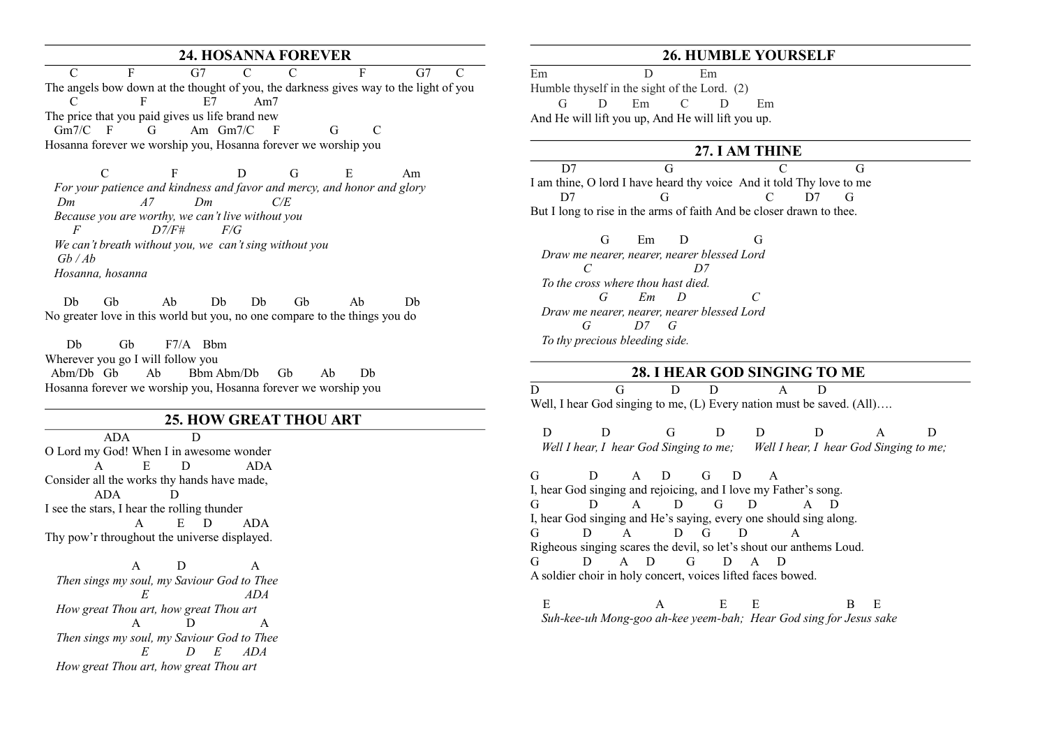## **24. HOSANNA FOREVER**

 C F G7 C C F G7 C The angels bow down at the thought of you, the darkness gives way to the light of you C F E7 Am7 The price that you paid gives us life brand new  $Gm7/C$  F  $G$  Am  $Gm7/C$  F  $G$  C Hosanna forever we worship you, Hosanna forever we worship you

C F D G E Am  *For your patience and kindness and favor and mercy, and honor and glory Dm A7 Dm C/E Because you are worthy, we can't live without you F D7/F# F/G We can't breath without you, we can't sing without you Gb / Ab Hosanna, hosanna*

 Db Gb Ab Db Db Gb Ab Db No greater love in this world but you, no one compare to the things you do

 Db Gb F7/A Bbm Wherever you go I will follow you Abm/Db Gb Ab Bbm Abm/Db Gb Ab Db Hosanna forever we worship you, Hosanna forever we worship you

#### **25. HOW GREAT THOU ART**

 ADA D O Lord my God! When I in awesome wonder A E D ADA Consider all the works thy hands have made, ADA D I see the stars, I hear the rolling thunder A E D ADA Thy pow'r throughout the universe displayed.

 A D A *Then sings my soul, my Saviour God to Thee E ADA How great Thou art, how great Thou art* A D A *Then sings my soul, my Saviour God to Thee E D E ADA How great Thou art, how great Thou art*

#### **26. HUMBLE YOURSELF**

Em D Em Humble thyself in the sight of the Lord. (2) G D Em C D Em And He will lift you up, And He will lift you up.

#### **27. I AM THINE**

D7 G C G I am thine, O lord I have heard thy voice And it told Thy love to me D7 G C D7 G But I long to rise in the arms of faith And be closer drawn to thee.

 G Em D G *Draw me nearer, nearer, nearer blessed Lord C* D7 *To the cross where thou hast died. G Em D C Draw me nearer, nearer, nearer blessed Lord G D7 G To thy precious bleeding side.*

#### **28. I HEAR GOD SINGING TO ME**

D G D D A D Well, I hear God singing to me, (L) Every nation must be saved. (All)....

D D G D D D A D *Well I hear, I hear God Singing to me; Well I hear, I hear God Singing to me;* 

G D A D G D A I, hear God singing and rejoicing, and I love my Father's song.<br>
G D A D A D  $D$  A  $D$  G  $D$  A  $D$ I, hear God singing and He's saying, every one should sing along. G D A D G D A Righeous singing scares the devil, so let's shout our anthems Loud. G D A D G D A D A soldier choir in holy concert, voices lifted faces bowed.

E A E E B E *Suh-kee-uh Mong-goo ah-kee yeem-bah; Hear God sing for Jesus sake*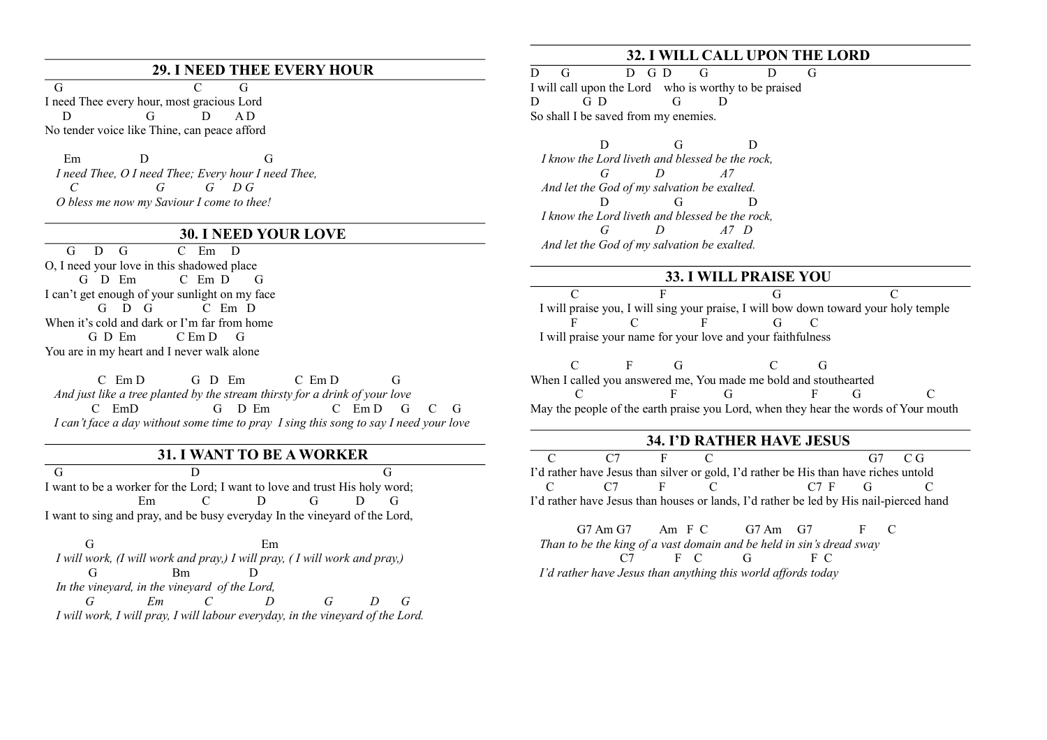#### **29. I NEED THEE EVERY HOUR**

G C G I need Thee every hour, most gracious Lord D G D A D No tender voice like Thine, can peace afford

 Em D G *I need Thee, O I need Thee; Every hour I need Thee, C G G D G O bless me now my Saviour I come to thee!*

#### **30. I NEED YOUR LOVE**

G D G C Em D O, I need your love in this shadowed place G D Em C Em D G I can't get enough of your sunlight on my face G D G C Em D When it's cold and dark or I'm far from home G D Em C Em D G You are in my heart and I never walk alone

C Em D G D Em C Em D G *And just like a tree planted by the stream thirsty for a drink of your love* C EmD G D Em C Em D G C G  *I can't face a day without some time to pray I sing this song to say I need your love*

#### **31. I WANT TO BE A WORKER**

G D G I want to be a worker for the Lord; I want to love and trust His holy word; Em C D G D G I want to sing and pray, and be busy everyday In the vineyard of the Lord,

 G Em *I will work, (I will work and pray,) I will pray, ( I will work and pray,)* G Bm D *In the vineyard, in the vineyard of the Lord, G Em C D G D G I will work, I will pray, I will labour everyday, in the vineyard of the Lord.*

## **32. I WILL CALL UPON THE LORD**

 $\overline{D}$  G  $D$  G  $D$  G  $D$  G  $D$  G I will call upon the Lord who is worthy to be praised D G D G D So shall I be saved from my enemies.

D G D *I know the Lord liveth and blessed be the rock, G D A7 And let the God of my salvation be exalted.* D G D *I know the Lord liveth and blessed be the rock, G D A7 D And let the God of my salvation be exalted.*

#### **33. I WILL PRAISE YOU**

C F G C I will praise you, I will sing your praise, I will bow down toward your holy temple F C F G C I will praise your name for your love and your faithfulness

 C F G C G When I called you answered me, You made me bold and stouthearted C F G F G C May the people of the earth praise you Lord, when they hear the words of Your mouth

## **34. I'D RATHER HAVE JESUS**

C C7 F C G7 CG I'd rather have Jesus than silver or gold, I'd rather be His than have riches untold C C7 F C C7 F G C I'd rather have Jesus than houses or lands, I'd rather be led by His nail-pierced hand

G7 Am G7 Am F C G7 Am G7 F C  *Than to be the king of a vast domain and be held in sin's dread sway* C7 F C G F C  *I'd rather have Jesus than anything this world affords today*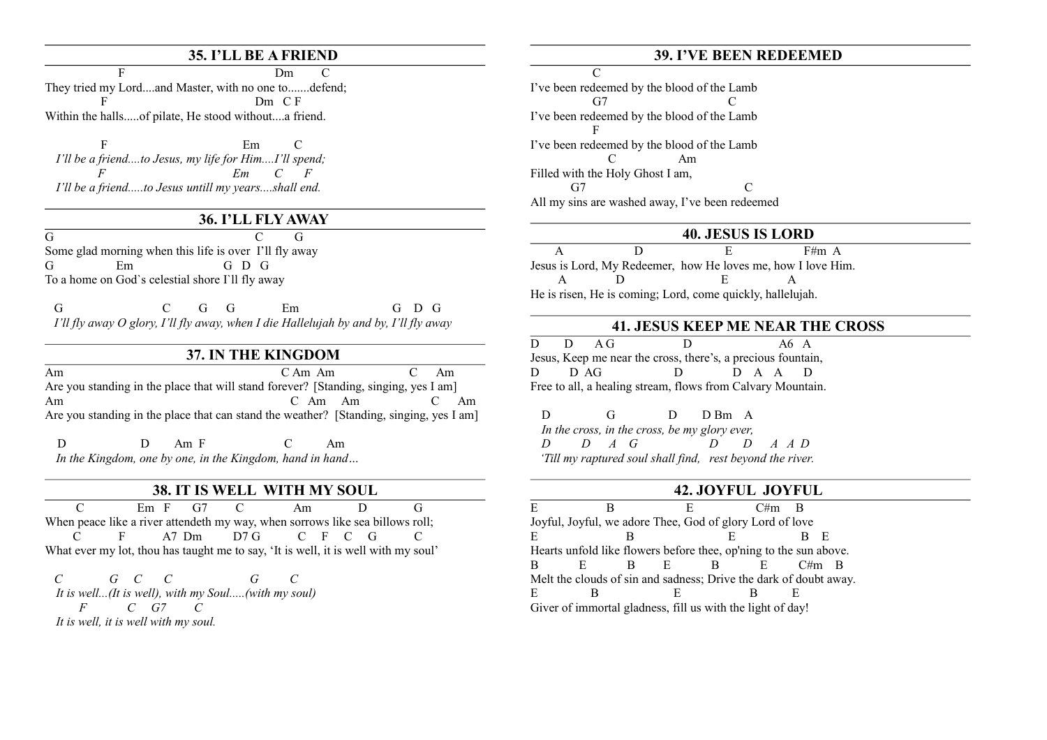## **35. I'LL BE A FRIEND**

F Dm C They tried my Lord....and Master, with no one to.......defend; Dm C F Within the halls.....of pilate, He stood without....a friend.

F Em C *I'll be a friend....to Jesus, my life for Him....I'll spend;*  $E_m$   $C$   $F$ *I'll be a friend.....to Jesus untill my years....shall end.*

## **36. I'LL FLY AWAY**

G C G Some glad morning when this life is over I'll fly away G Em G D G To a home on God`s celestial shore I`ll fly away

 G C G G Em G D G  *I'll fly away O glory, I'll fly away, when I die Hallelujah by and by, I'll fly away*

## **37. IN THE KINGDOM**

Am C Am Am C Am Are you standing in the place that will stand forever? [Standing, singing, yes I am] Am C Am Am C Am Are you standing in the place that can stand the weather? [Standing, singing, yes I am]

D D Am F C Am *In the Kingdom, one by one, in the Kingdom, hand in hand…*

#### **38. IT IS WELL WITH MY SOUL**

 C Em F G7 C Am D G When peace like a river attendeth my way, when sorrows like sea billows roll; C F A7 Dm D7 G C F C G C What ever my lot, thou has taught me to say, 'It is well, it is well with my soul'

 *C G C C G C It is well...(It is well), with my Soul.....(with my soul) F C G7 C It is well, it is well with my soul.*

#### **39. I'VE BEEN REDEEMED**

I've been redeemed by the blood of the Lamb G7 C I've been redeemed by the blood of the Lamb F I've been redeemed by the blood of the Lamb C Am Filled with the Holy Ghost I am, G7 C All my sins are washed away, I've been redeemed

 $\mathcal{C}$ 

#### **40. JESUS IS LORD**

A D E F#m A Jesus is Lord, My Redeemer, how He loves me, how I love Him. A D E A He is risen, He is coming; Lord, come quickly, hallelujah.

## **41. JESUS KEEP ME NEAR THE CROSS**

D D A G D A6 A Jesus, Keep me near the cross, there's, a precious fountain, D D AG D D A A D Free to all, a healing stream, flows from Calvary Mountain.

D G D D Bm A *In the cross, in the cross, be my glory ever, D D A G D D A A D 'Till my raptured soul shall find, rest beyond the river.*

#### **42. JOYFUL JOYFUL**

 $E$  B  $E$  C#m B Joyful, Joyful, we adore Thee, God of glory Lord of love E B B E B E Hearts unfold like flowers before thee, op'ning to the sun above. B E B E B C#m B Melt the clouds of sin and sadness; Drive the dark of doubt away. E B E B E Giver of immortal gladness, fill us with the light of day!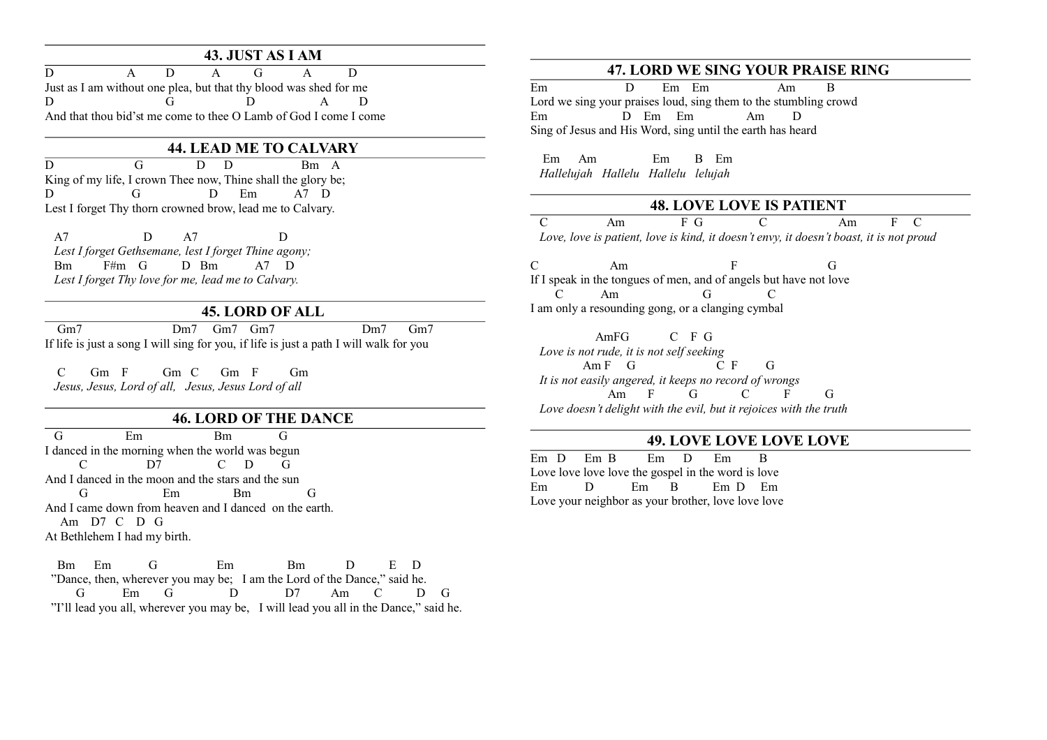## **43. JUST AS I AM**

D A D A G A D Just as I am without one plea, but that thy blood was shed for me D G D A D And that thou bid'st me come to thee O Lamb of God I come I come

## **44. LEAD ME TO CALVARY**

 $\overline{D}$  G  $\overline{D}$   $\overline{D}$   $\overline{B}$   $\overline{A}$ King of my life, I crown Thee now, Thine shall the glory be; D G D Em A7 D Lest I forget Thy thorn crowned brow, lead me to Calvary.

 A7 D A7 D  *Lest I forget Gethsemane, lest I forget Thine agony;* Bm F#m G D Bm A7 D  *Lest I forget Thy love for me, lead me to Calvary.*

#### **45. LORD OF ALL**

 Gm7 Dm7 Gm7 Gm7 Dm7 Gm7 If life is just a song I will sing for you, if life is just a path I will walk for you

 C Gm F Gm C Gm F Gm  *Jesus, Jesus, Lord of all, Jesus, Jesus Lord of all*

## **46. LORD OF THE DANCE**

 G Em Bm G I danced in the morning when the world was begun  $C$   $D7$   $C$   $D$   $G$ And I danced in the moon and the stars and the sun G Em Bm G And I came down from heaven and I danced on the earth. Am D7 C D G At Bethlehem I had my birth.

 Bm Em G Em Bm D E D "Dance, then, wherever you may be; I am the Lord of the Dance," said he. G Em G D D7 Am C D G "I'll lead you all, wherever you may be, I will lead you all in the Dance," said he.

## **47. LORD WE SING YOUR PRAISE RING**

Em D Em Em Am B Lord we sing your praises loud, sing them to the stumbling crowd Em D Em Em Am D Sing of Jesus and His Word, sing until the earth has heard

 Em Am Em B Em *Hallelujah Hallelu Hallelu lelujah* 

#### **48. LOVE LOVE IS PATIENT**

 C Am F G C Am F C *Love, love is patient, love is kind, it doesn't envy, it doesn't boast, it is not proud*

C Am F G If I speak in the tongues of men, and of angels but have not love C Am G C I am only a resounding gong, or a clanging cymbal

 AmFG C F G *Love is not rude, it is not self seeking* Am F G C F G  *It is not easily angered, it keeps no record of wrongs* Am F G C F G  *Love doesn't delight with the evil, but it rejoices with the truth*

## **49. LOVE LOVE LOVE LOVE**

Em D Em B Em D Em B Love love love love the gospel in the word is love Em D Em B Em D Em Love your neighbor as your brother, love love love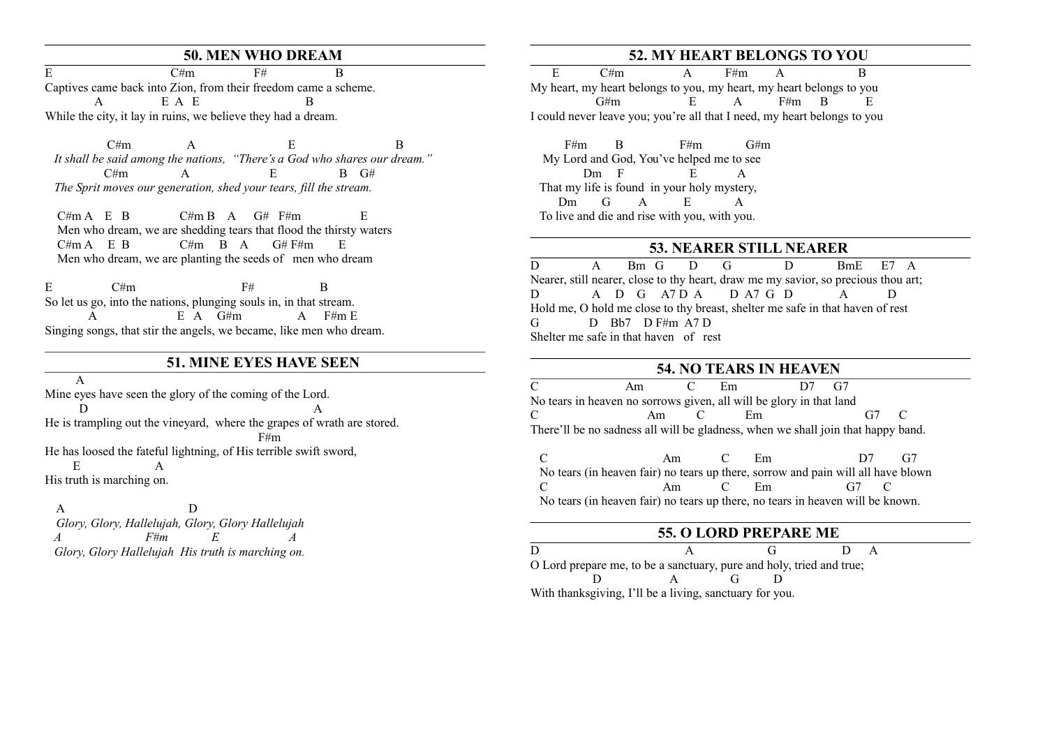#### **50. MEN WHO DREAM**

E C#m F# B Captives came back into Zion, from their freedom came a scheme.  $E A E$  B While the city, it lay in ruins, we believe they had a dream.

 $C#m$  A E B  *It shall be said among the nations, "There's a God who shares our dream."*  $C#m$  A E B  $G#$  *The Sprit moves our generation, shed your tears, fill the stream.*

 $C#m A$  E B  $C#m B A G# F#m$  E Men who dream, we are shedding tears that flood the thirsty waters  $C#m A$  E B  $C#m B A G# F#m E$ Men who dream, we are planting the seeds of men who dream

E  $C#m$   $F#$  B So let us go, into the nations, plunging souls in, in that stream. A E A G#m A F#m E Singing songs, that stir the angels, we became, like men who dream.

#### **51. MINE EYES HAVE SEEN**

 A Mine eyes have seen the glory of the coming of the Lord. D A He is trampling out the vineyard, where the grapes of wrath are stored. F#m He has loosed the fateful lightning, of His terrible swift sword, E A His truth is marching on.

A D *Glory, Glory, Hallelujah, Glory, Glory Hallelujah A F#m E A Glory, Glory Hallelujah His truth is marching on.*

## **52. MY HEART BELONGS TO YOU**

E C#m A F#m A B My heart, my heart belongs to you, my heart, my heart belongs to you G#m E A F#m B E I could never leave you; you're all that I need, my heart belongs to you

F#m B F#m G#m My Lord and God, You've helped me to see  $Dm$  F  $\overline{E}$  A That my life is found in your holy mystery, Dm G A E A To live and die and rise with you, with you.

#### **53. NEARER STILL NEARER**

D A Bm G D G D BmE E7 A Nearer, still nearer, close to thy heart, draw me my savior, so precious thou art; D A D G A7D A D A7 G D A D Hold me, O hold me close to thy breast, shelter me safe in that haven of rest G  $D$  Bb7  $D$  F#m A7 D Shelter me safe in that haven of rest

#### **54. NO TEARS IN HEAVEN**

C Am C Em D7 G7 No tears in heaven no sorrows given, all will be glory in that land C Am C Em G7 C There'll be no sadness all will be gladness, when we shall join that happy band.

 C Am C Em D7 G7 No tears (in heaven fair) no tears up there, sorrow and pain will all have blown C Am C Em G7 C No tears (in heaven fair) no tears up there, no tears in heaven will be known.

#### **55. O LORD PREPARE ME**

D A G D A O Lord prepare me, to be a sanctuary, pure and holy, tried and true; D A G D With thanksgiving, I'll be a living, sanctuary for you.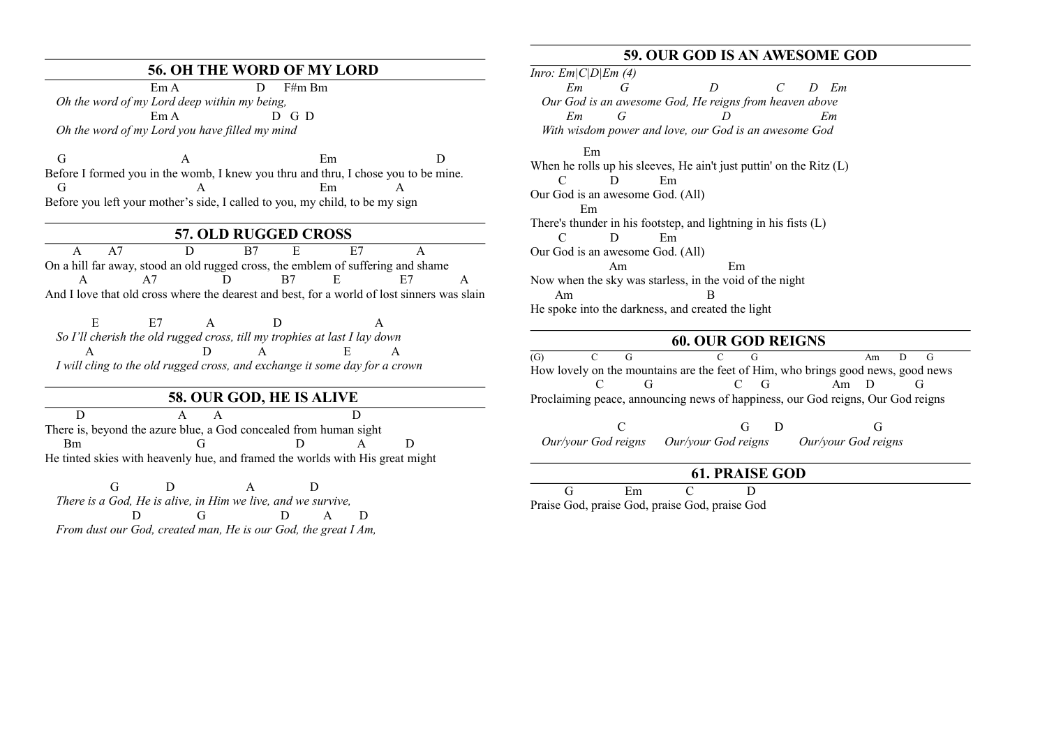#### **56. OH THE WORD OF MY LORD**

 $Em A$  D  $F#m Bm$ *Oh the word of my Lord deep within my being,*   $Em A$   $D$   $G D$ *Oh the word of my Lord you have filled my mind*

G A Em D Before I formed you in the womb, I knew you thru and thru, I chose you to be mine. G A Em A Before you left your mother's side, I called to you, my child, to be my sign

#### **57. OLD RUGGED CROSS**

 A A7 D B7 E E7 A On a hill far away, stood an old rugged cross, the emblem of suffering and shame A A7 D B7 E E7 A And I love that old cross where the dearest and best, for a world of lost sinners was slain

E E7 A D A *So I'll cherish the old rugged cross, till my trophies at last I lay down* A D A E A *I will cling to the old rugged cross, and exchange it some day for a crown*

#### **58. OUR GOD, HE IS ALIVE**

D A A D There is, beyond the azure blue, a God concealed from human sight Bm G D A D He tinted skies with heavenly hue, and framed the worlds with His great might

 G D A D *There is a God, He is alive, in Him we live, and we survive,*  D G D A D *From dust our God, created man, He is our God, the great I Am,*

## **59. OUR GOD IS AN AWESOME GOD**

*Inro: Em|C|D|Em (4) Em G D C D Em Our God is an awesome God, He reigns from heaven above Em G D Em With wisdom power and love, our God is an awesome God* Em When he rolls up his sleeves, He ain't just puttin' on the Ritz (L) C D Em Our God is an awesome God. (All) Em There's thunder in his footstep, and lightning in his fists (L) C D Em Our God is an awesome God. (All) Am Em Now when the sky was starless, in the void of the night  $Am$ He spoke into the darkness, and created the light

#### **60. OUR GOD REIGNS**

(G) C G C G Am D G How lovely on the mountains are the feet of Him, who brings good news, good news C G C G Am D G Proclaiming peace, announcing news of happiness, our God reigns, Our God reigns

C G D G *Our/your God reigns Our/your God reigns Our/your God reigns*

## **61. PRAISE GOD**

 G Em C D Praise God, praise God, praise God, praise God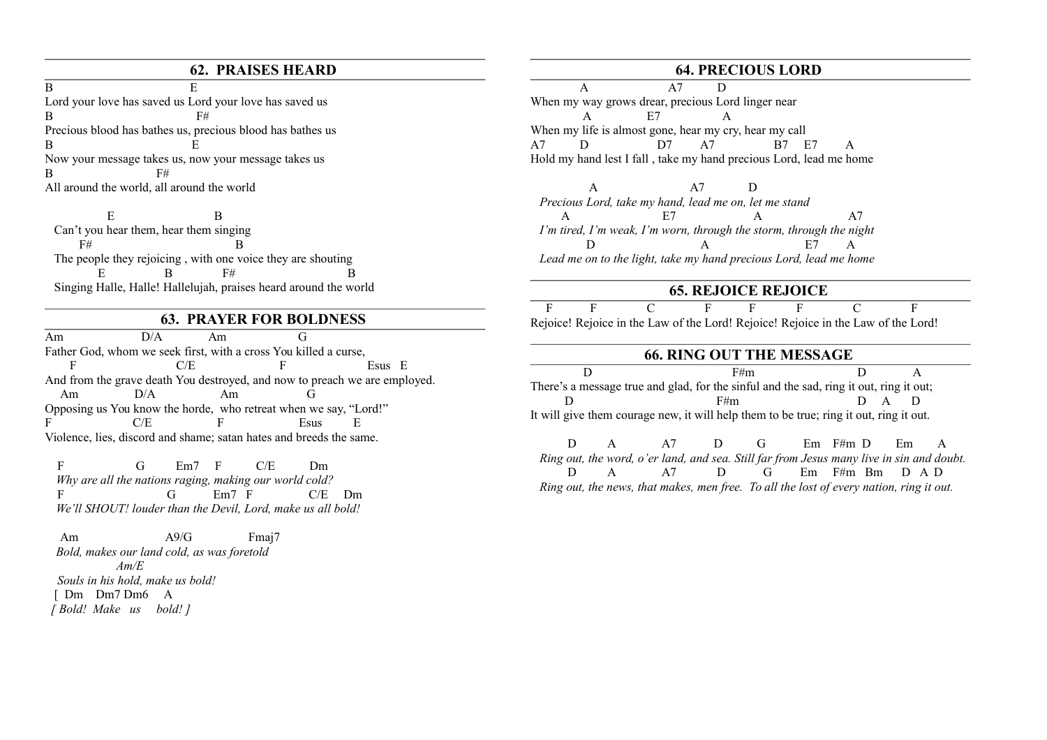#### **62. PRAISES HEARD**

B E Lord your love has saved us Lord your love has saved us  $\mathbf{B}$  F# Precious blood has bathes us, precious blood has bathes us  $\mathbf{B}$  E Now your message takes us, now your message takes us  $\mathbf{B}$  F# All around the world, all around the world

 E B Can't you hear them, hear them singing F# B The people they rejoicing , with one voice they are shouting E B F# B Singing Halle, Halle! Hallelujah, praises heard around the world

#### **63. PRAYER FOR BOLDNESS**

Am D/A Am G Father God, whom we seek first, with a cross You killed a curse, F C/E F Esus E And from the grave death You destroyed, and now to preach we are employed. Am D/A Am G Opposing us You know the horde, who retreat when we say, "Lord!" F C/E F Esus E Violence, lies, discord and shame; satan hates and breeds the same.

F G Em7 F C/E Dm *Why are all the nations raging, making our world cold?* F G Em7 F C/E Dm *We'll SHOUT! louder than the Devil, Lord, make us all bold!*

Am  $A9/G$  Fmai7 *Bold, makes our land cold, as was foretold Am/E Souls in his hold, make us bold!* [ Dm Dm7 Dm6 A  *[ Bold! Make us bold! ]*

#### **64. PRECIOUS LORD**

 A A7 D When my way grows drear, precious Lord linger near A E7 A When my life is almost gone, hear my cry, hear my call A7 D D7 A7 B7 E7 A Hold my hand lest I fall , take my hand precious Lord, lead me home

A A7 D  *Precious Lord, take my hand, lead me on, let me stand*  A E7 A A7  *I'm tired, I'm weak, I'm worn, through the storm, through the night*  D A E7 A  *Lead me on to the light, take my hand precious Lord, lead me home*

#### **65. REJOICE REJOICE**

F F C F F F C F Rejoice! Rejoice in the Law of the Lord! Rejoice! Rejoice in the Law of the Lord!

#### **66. RING OUT THE MESSAGE**

D B R#m D A There's a message true and glad, for the sinful and the sad, ring it out, ring it out; D B#m D A D It will give them courage new, it will help them to be true; ring it out, ring it out.

 D A A7 D G Em F#m D Em A *Ring out, the word, o'er land, and sea. Still far from Jesus many live in sin and doubt.* D A A7 D G Em F#m Bm D A D  *Ring out, the news, that makes, men free. To all the lost of every nation, ring it out.*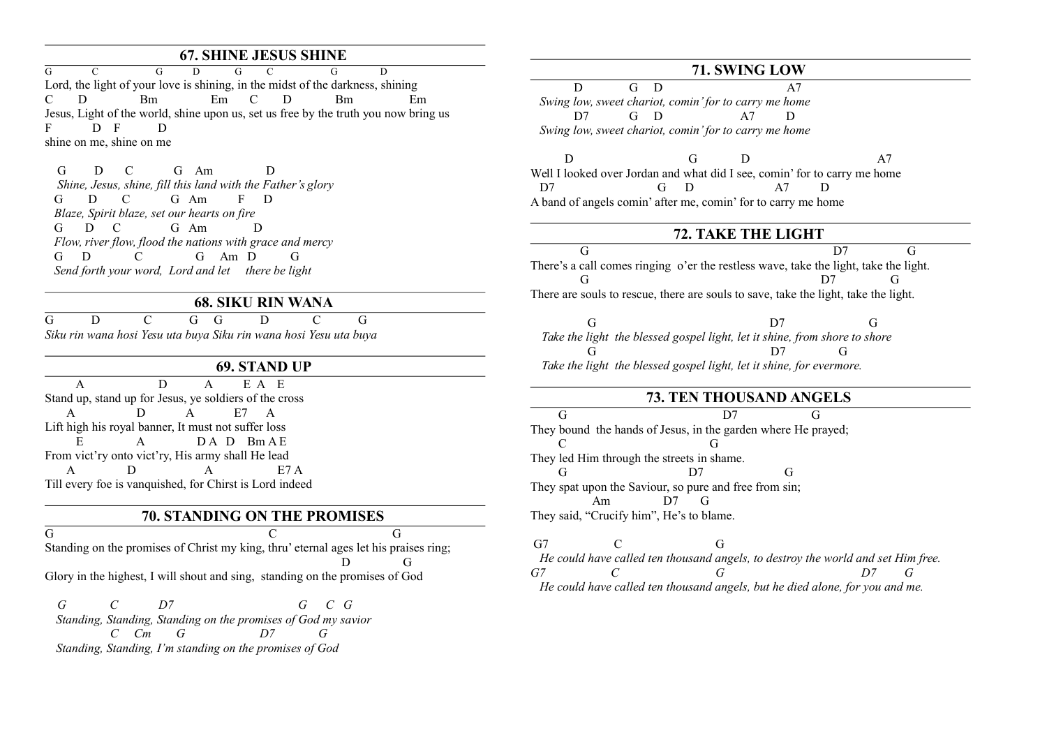## **67. SHINE JESUS SHINE**

 $G$  C G D G C G D Lord, the light of your love is shining, in the midst of the darkness, shining C D Bm Em C D Bm Em Jesus, Light of the world, shine upon us, set us free by the truth you now bring us F D F D shine on me, shine on me

 G D C G Am D *Shine, Jesus, shine, fill this land with the Father's glory* G D C G Am F D  *Blaze, Spirit blaze, set our hearts on fire* G D C G Am D  *Flow, river flow, flood the nations with grace and mercy* G D C G Am D G  *Send forth your word, Lord and let there be light*

#### **68. SIKU RIN WANA**

G D C G G D C G *Siku rin wana hosi Yesu uta buya Siku rin wana hosi Yesu uta buya*

#### **69. STAND UP**

 A D A E A E Stand up, stand up for Jesus, ye soldiers of the cross A D A E7 A Lift high his royal banner, It must not suffer loss A DAD Bm A E From vict'ry onto vict'ry, His army shall He lead A D A E7A Till every foe is vanquished, for Chirst is Lord indeed

#### **70. STANDING ON THE PROMISES**

G C G Standing on the promises of Christ my king, thru' eternal ages let his praises ring; D G Glory in the highest, I will shout and sing, standing on the promises of God

 *G C D7 G C G Standing, Standing, Standing on the promises of God my savior C Cm G D7 G Standing, Standing, I'm standing on the promises of God*

#### **71. SWING LOW**

 $D$  G D  $A7$  *Swing low, sweet chariot, comin' for to carry me home*  D7 G D A7 *Swing low, sweet chariot, comin' for to carry me home* 

D G D A7 Well I looked over Jordan and what did I see, comin' for to carry me home D7 G D A7 A band of angels comin' after me, comin' for to carry me home

#### **72. TAKE THE LIGHT**

G D7 G There's a call comes ringing o'er the restless wave, take the light, take the light. G D7 G There are souls to rescue, there are souls to save, take the light, take the light.

G D7 G *Take the light the blessed gospel light, let it shine, from shore to shore* G D7 G *Take the light the blessed gospel light, let it shine, for evermore.*

#### **73. TEN THOUSAND ANGELS**

G D7 G They bound the hands of Jesus, in the garden where He prayed; C G They led Him through the streets in shame. G D7 G They spat upon the Saviour, so pure and free from sin; Am D7 G They said, "Crucify him", He's to blame.

 G7 C G  *He could have called ten thousand angels, to destroy the world and set Him free. G7 C G D7 G He could have called ten thousand angels, but he died alone, for you and me.*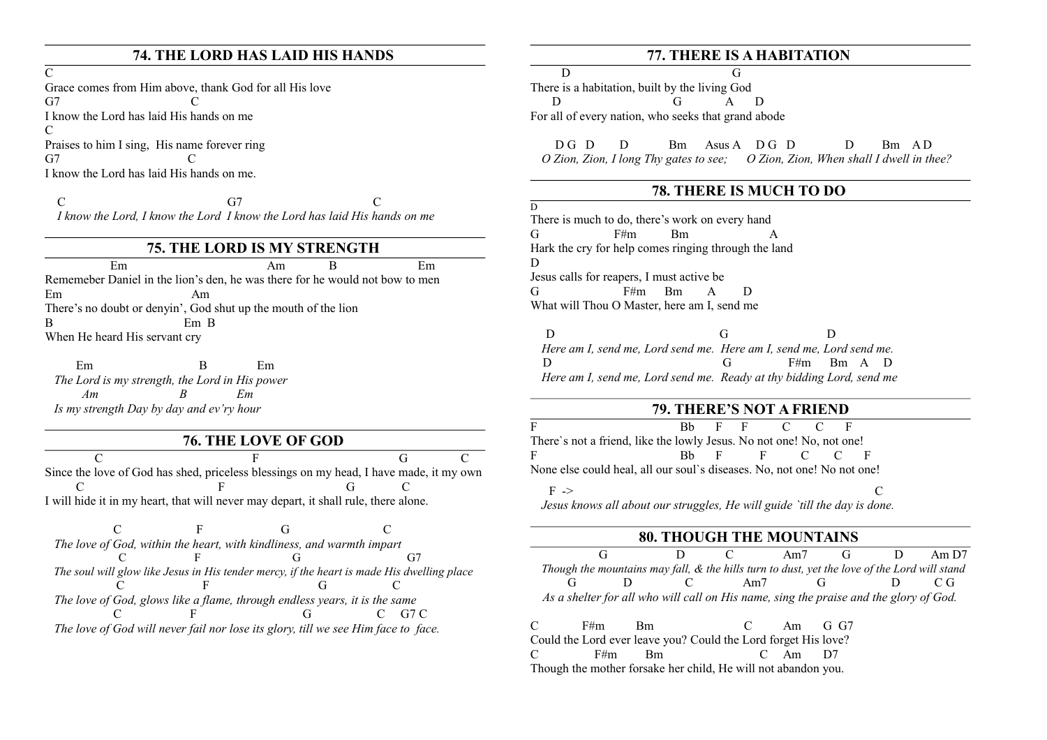## **74. THE LORD HAS LAID HIS HANDS**

 $\mathcal{C}$ Grace comes from Him above, thank God for all His love G7 C I know the Lord has laid His hands on me  $\mathcal{C}$ Praises to him I sing, His name forever ring G7 C I know the Lord has laid His hands on me.

C G7 C *I know the Lord, I know the Lord I know the Lord has laid His hands on me*

#### **75. THE LORD IS MY STRENGTH**

 Em Am B Em Rememeber Daniel in the lion's den, he was there for he would not bow to men Em Am There's no doubt or denyin', God shut up the mouth of the lion B Em B When He heard His servant cry

 Em B Em  *The Lord is my strength, the Lord in His power Am B Em Is my strength Day by day and ev'ry hour*

#### **76. THE LOVE OF GOD**

C F G C Since the love of God has shed, priceless blessings on my head, I have made, it my own C F G C I will hide it in my heart, that will never may depart, it shall rule, there alone.

C F G C  *The love of God, within the heart, with kindliness, and warmth impart* C F G G7  *The soul will glow like Jesus in His tender mercy, if the heart is made His dwelling place* C F G C  *The love of God, glows like a flame, through endless years, it is the same* C F G C G7 C  *The love of God will never fail nor lose its glory, till we see Him face to face.*

#### **77. THERE IS A HABITATION**

 D G There is a habitation, built by the living God D G A D For all of every nation, who seeks that grand abode

<sub>D</sub>

D G D D Bm Asus A D G D D Bm A D *O Zion, Zion, I long Thy gates to see; O Zion, Zion, When shall I dwell in thee?*

## **78. THERE IS MUCH TO DO**

There is much to do, there's work on every hand G F#m Bm A Hark the cry for help comes ringing through the land D Jesus calls for reapers, I must active be  $F#m$  Rm A D What will Thou O Master, here am I, send me

D G D *Here am I, send me, Lord send me. Here am I, send me, Lord send me.*   $G$  F#m Bm A D *Here am I, send me, Lord send me. Ready at thy bidding Lord, send me*

#### **79. THERE'S NOT A FRIEND**

F Bb F F C C F There`s not a friend, like the lowly Jesus. No not one! No, not one! F Bb F F C C F None else could heal, all our soul`s diseases. No, not one! No not one!  $F \rightarrow$  C

*Jesus knows all about our struggles, He will guide `till the day is done.*

#### **80. THOUGH THE MOUNTAINS**

G D C Am7 G D Am D7 *Though the mountains may fall, & the hills turn to dust, yet the love of the Lord will stand* G D C Am7 G D C G  *As a shelter for all who will call on His name, sing the praise and the glory of God.*

C F#m Bm C Am G G7 Could the Lord ever leave you? Could the Lord forget His love?  $C = F#m$  Bm  $C = Am$  D7 Though the mother forsake her child, He will not abandon you.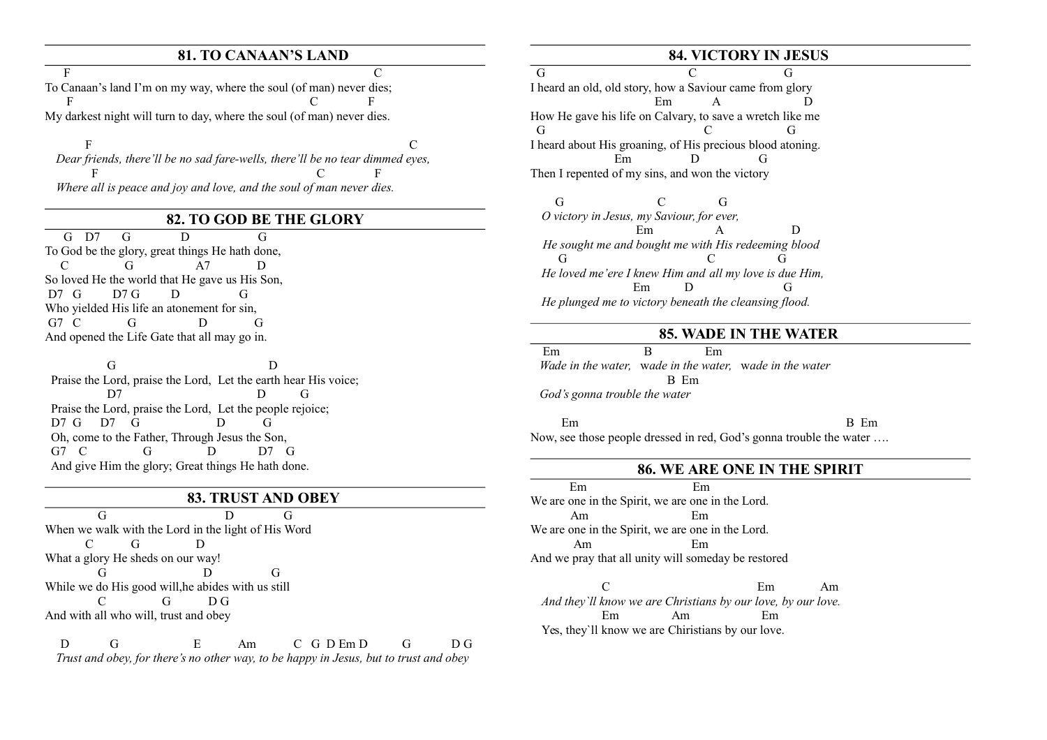## **81. TO CANAAN'S LAND**

F C C To Canaan's land I'm on my way, where the soul (of man) never dies; F C F My darkest night will turn to day, where the soul (of man) never dies.

F C *Dear friends, there'll be no sad fare-wells, there'll be no tear dimmed eyes,* **F** C F *Where all is peace and joy and love, and the soul of man never dies.*

## **82. TO GOD BE THE GLORY**

 G D7 G D G To God be the glory, great things He hath done, C G A7 D So loved He the world that He gave us His Son,  $D7 G$   $D7 G$  D G Who yielded His life an atonement for sin, G7 C G D G And opened the Life Gate that all may go in.

 G D Praise the Lord, praise the Lord, Let the earth hear His voice; D7 D G Praise the Lord, praise the Lord, Let the people rejoice; D7 G D7 G D G Oh, come to the Father, Through Jesus the Son, G7 C G D D7 G And give Him the glory; Great things He hath done.

#### **83. TRUST AND OBEY**

 G D G When we walk with the Lord in the light of His Word C G D What a glory He sheds on our way! G D G While we do His good will,he abides with us still C G D G And with all who will, trust and obey

D G E Am C G D Em D G D G *Trust and obey, for there's no other way, to be happy in Jesus, but to trust and obey*

## **84. VICTORY IN JESUS**

G C G I heard an old, old story, how a Saviour came from glory Em A D How He gave his life on Calvary, to save a wretch like me G C G I heard about His groaning, of His precious blood atoning. Em D G Then I repented of my sins, and won the victory

G C G *O victory in Jesus, my Saviour, for ever,*  Em A D  *He sought me and bought me with His redeeming blood* G C G *He loved me'ere I knew Him and all my love is due Him,* Em D G *He plunged me to victory beneath the cleansing flood.*

## **85. WADE IN THE WATER**

 Em B Em *Wade in the water,* w*ade in the water,* w*ade in the water* B Em  *God's gonna trouble the water*

 Em B Em Now, see those people dressed in red, God's gonna trouble the water ….

## **86. WE ARE ONE IN THE SPIRIT**

 Em Em We are one in the Spirit, we are one in the Lord. Am Em We are one in the Spirit, we are one in the Lord. Am Em And we pray that all unity will someday be restored

 C Em Am *And they`ll know we are Christians by our love, by our love.* Em Am Em Yes, they`ll know we are Chiristians by our love.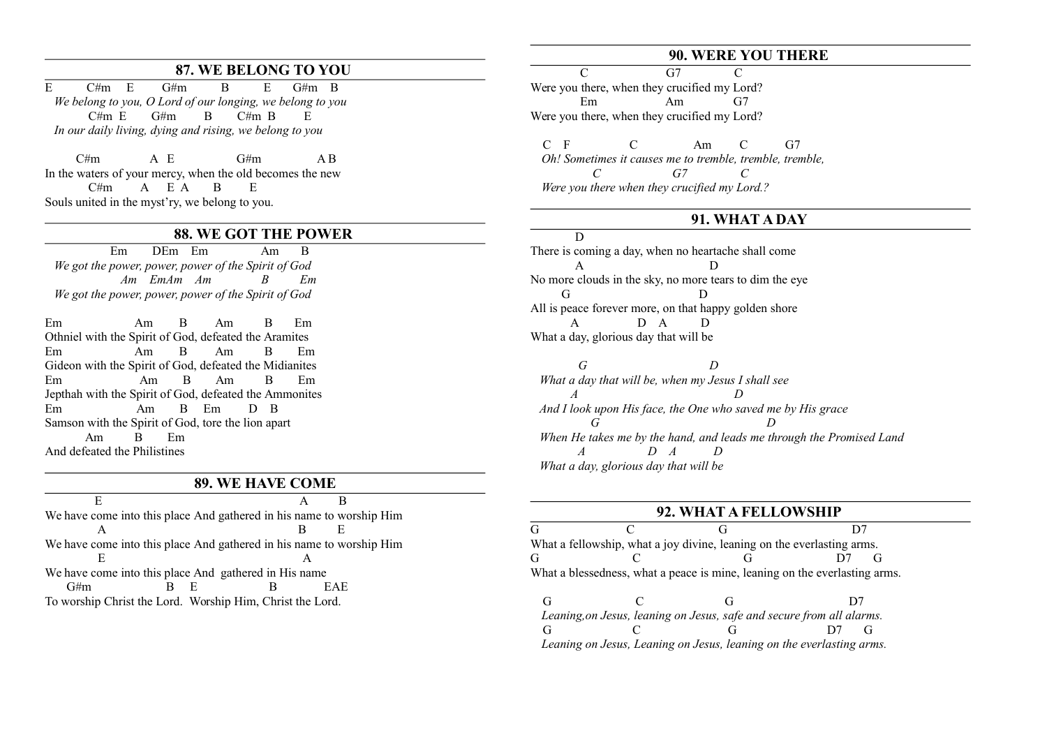#### **87. WE BELONG TO YOU**

 $E = C \# m$   $E = G \# m$   $B = E G \# m$   $B$  *We belong to you, O Lord of our longing, we belong to you*  $C#m$  E  $G#m$  B  $C#m$  B E  *In our daily living, dying and rising, we belong to you*

 $C#m$  A E  $G#m$  A B In the waters of your mercy, when the old becomes the new  $C#m$   $A$   $E$   $A$   $B$   $E$ Souls united in the myst'ry, we belong to you.

#### **88. WE GOT THE POWER**

 Em DEm Em Am B *We got the power, power, power of the Spirit of God Am EmAm Am B Em We got the power, power, power of the Spirit of God*

Em Am B Am B Em Othniel with the Spirit of God, defeated the Aramites Em Am B Am B Em Gideon with the Spirit of God, defeated the Midianites Em Am B Am B Em Jepthah with the Spirit of God, defeated the Ammonites Em Am B Em D B Samson with the Spirit of God, tore the lion apart Am B Em And defeated the Philistines

#### **89. WE HAVE COME**

E A B We have come into this place And gathered in his name to worship Him A B E We have come into this place And gathered in his name to worship Him E A We have come into this place And gathered in His name  $G#m$  B E B EAE To worship Christ the Lord. Worship Him, Christ the Lord.

#### **90. WERE YOU THERE**

C G7 C Were you there, when they crucified my Lord? Em Am G7 Were you there, when they crucified my Lord?

D

C F C Am C G7 *Oh! Sometimes it causes me to tremble, tremble, tremble, C G7 C Were you there when they crucified my Lord.?*

## **91. WHAT A DAY**

There is coming a day, when no heartache shall come A D No more clouds in the sky, no more tears to dim the eye G D All is peace forever more, on that happy golden shore A D A D What a day, glorious day that will be

 *G D What a day that will be, when my Jesus I shall see A D And I look upon His face, the One who saved me by His grace G D When He takes me by the hand, and leads me through the Promised Land A D A D What a day, glorious day that will be*

#### **92. WHAT A FELLOWSHIP**

G C G D7 What a fellowship, what a joy divine, leaning on the everlasting arms. G C G D7 G What a blessedness, what a peace is mine, leaning on the everlasting arms.

G C G D7 *Leaning,on Jesus, leaning on Jesus, safe and secure from all alarms.* G C G D7 G *Leaning on Jesus, Leaning on Jesus, leaning on the everlasting arms.*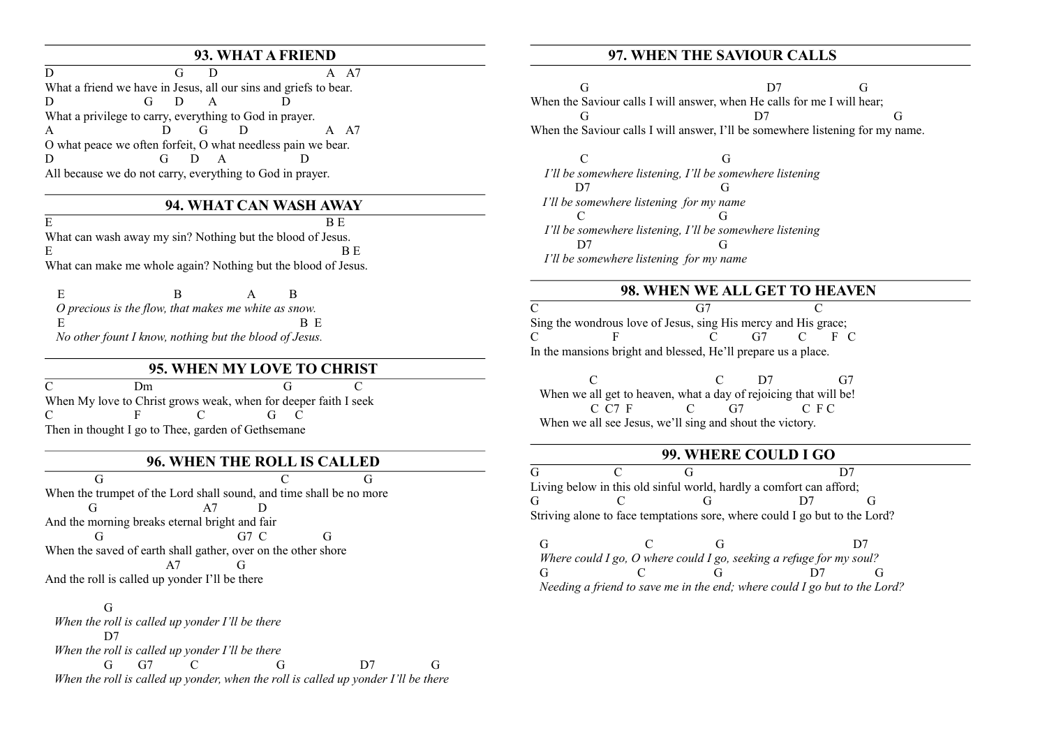## **93. WHAT A FRIEND**

 $\overline{D}$   $\overline{G}$   $\overline{D}$   $\overline{A}$   $\overline{A7}$ What a friend we have in Jesus, all our sins and griefs to bear. D G D A D What a privilege to carry, everything to God in prayer. A D G D A A7 O what peace we often forfeit, O what needless pain we bear. D G D A D All because we do not carry, everything to God in prayer.

#### **94. WHAT CAN WASH AWAY**

 $E$  B E What can wash away my sin? Nothing but the blood of Jesus.  $\mathbf{B}$  **B** E What can make me whole again? Nothing but the blood of Jesus.

 E B A B *O precious is the flow, that makes me white as snow.* E B E *No other fount I know, nothing but the blood of Jesus.*

## **95. WHEN MY LOVE TO CHRIST**

C Dm G C When My love to Christ grows weak, when for deeper faith I seek C F C G C Then in thought I go to Thee, garden of Gethsemane

#### **96. WHEN THE ROLL IS CALLED**

 G C G When the trumpet of the Lord shall sound, and time shall be no more G A7 D And the morning breaks eternal bright and fair G G7 C G When the saved of earth shall gather, over on the other shore A7 G And the roll is called up yonder I'll be there

 G  *When the roll is called up yonder I'll be there*  D7  *When the roll is called up yonder I'll be there* G G7 C G D7 G  *When the roll is called up yonder, when the roll is called up yonder I'll be there* 

#### **97. WHEN THE SAVIOUR CALLS**

G D7 G When the Saviour calls I will answer, when He calls for me I will hear; G D7 G When the Saviour calls I will answer, I'll be somewhere listening for my name.

 C G  *I'll be somewhere listening, I'll be somewhere listening*   $D7$  *I'll be somewhere listening for my name*  C G  *I'll be somewhere listening, I'll be somewhere listening*  D7 G *I'll be somewhere listening for my name*

#### **98. WHEN WE ALL GET TO HEAVEN**

C G7 C Sing the wondrous love of Jesus, sing His mercy and His grace; C F C G7 C F C In the mansions bright and blessed, He'll prepare us a place.

C C D7 G7 When we all get to heaven, what a day of rejoicing that will be! C C7 F C G7 C F C When we all see Jesus, we'll sing and shout the victory.

## **99. WHERE COULD I GO**

G C G D7 Living below in this old sinful world, hardly a comfort can afford; G C G D7 G Striving alone to face temptations sore, where could I go but to the Lord?

G C G D7  *Where could I go, O where could I go, seeking a refuge for my soul?* G C G D7 G  *Needing a friend to save me in the end; where could I go but to the Lord?*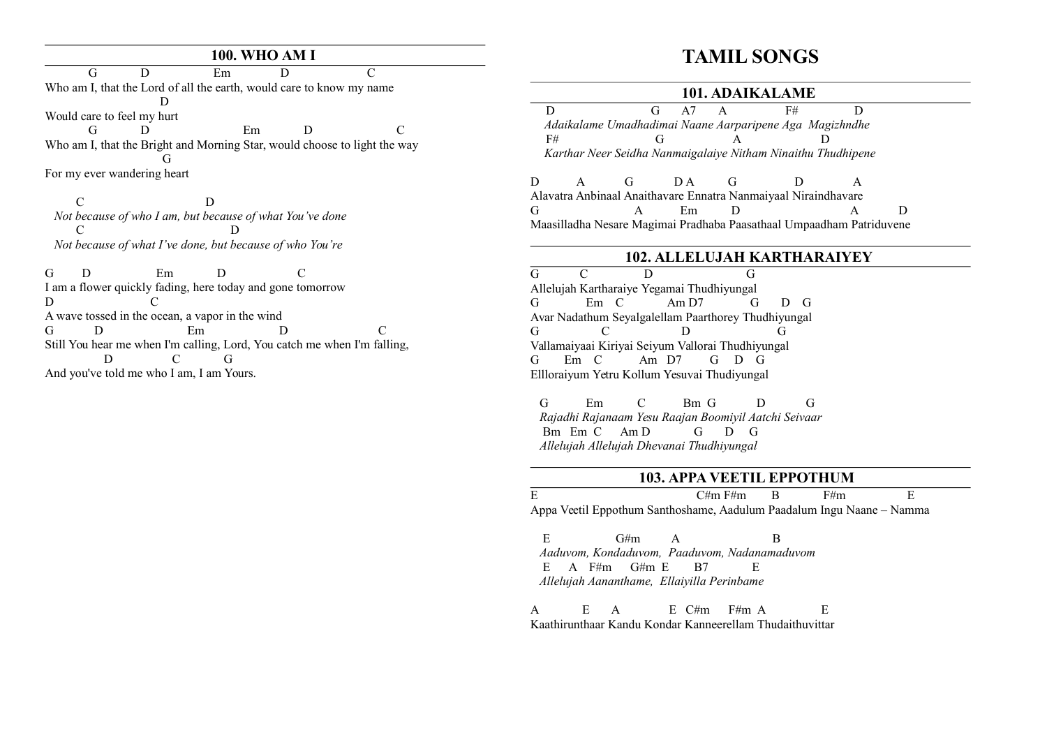## **100. WHO AM I**

G D Em D C Who am I, that the Lord of all the earth, would care to know my name D Would care to feel my hurt G D Em D C Who am I, that the Bright and Morning Star, would choose to light the way G For my ever wandering heart

 C D  *Not because of who I am, but because of what You've done* C D  *Not because of what I've done, but because of who You're* 

G D Em D C I am a flower quickly fading, here today and gone tomorrow D C A wave tossed in the ocean, a vapor in the wind G D Em D C Still You hear me when I'm calling, Lord, You catch me when I'm falling, D C G And you've told me who I am, I am Yours.

## **TAMIL SONGS**

#### **101. ADAIKALAME**

D G A7 A F# D *Adaikalame Umadhadimai Naane Aarparipene Aga Magizhndhe*  $F#$  G A D *Karthar Neer Seidha Nanmaigalaiye Nitham Ninaithu Thudhipene*

D A G DA G D A Alavatra Anbinaal Anaithavare Ennatra Nanmaiyaal Niraindhavare G A Em D A D Maasilladha Nesare Magimai Pradhaba Paasathaal Umpaadham Patriduvene

#### **102. ALLELUJAH KARTHARAIYEY**

G C D G Allelujah Kartharaiye Yegamai Thudhiyungal G Em C Am D7 G D G Avar Nadathum Seyalgalellam Paarthorey Thudhiyungal G C D G Vallamaiyaai Kiriyai Seiyum Vallorai Thudhiyungal G Em C Am D7 G D G Ellloraiyum Yetru Kollum Yesuvai Thudiyungal

 G Em C Bm G D G *Rajadhi Rajanaam Yesu Raajan Boomiyil Aatchi Seivaar* Bm Em C Am D G D G  *Allelujah Allelujah Dhevanai Thudhiyungal*

#### **103. APPA VEETIL EPPOTHUM**

E C#m F#m B F#m E Appa Veetil Eppothum Santhoshame, Aadulum Paadalum Ingu Naane – Namma

E G#m A B *Aaduvom, Kondaduvom, Paaduvom, Nadanamaduvom* E A F#m G#m E B7 E  *Allelujah Aananthame, Ellaiyilla Perinbame*

A E A E C#m F#m A E Kaathirunthaar Kandu Kondar Kanneerellam Thudaithuvittar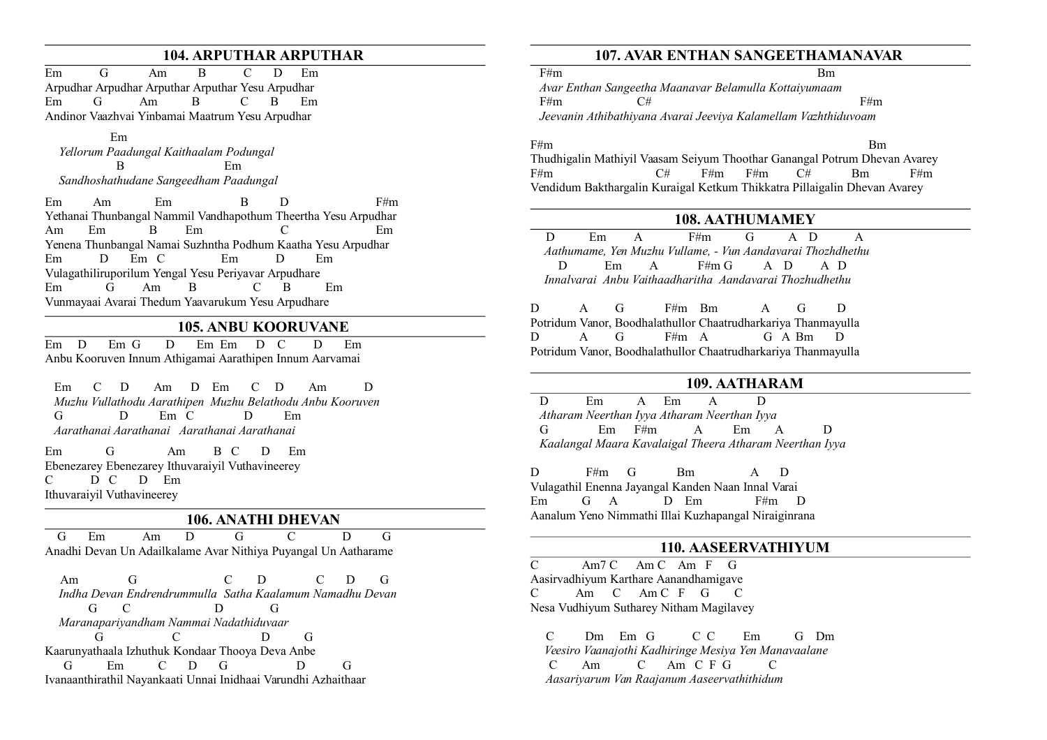## **104. ARPUTHAR ARPUTHAR**

Em G Am B C D Em Arpudhar Arpudhar Arputhar Arputhar Yesu Arpudhar Em G Am B C B Em Andinor Vaazhvai Yinbamai Maatrum Yesu Arpudhar

Em *Yellorum Paadungal Kaithaalam Podungal* B Em *Sandhoshathudane Sangeedham Paadungal*

Em Am Em B D F#m Yethanai Thunbangal Nammil Vandhapothum Theertha Yesu Arpudhar Am Em B Em C Em Yenena Thunbangal Namai Suzhntha Podhum Kaatha Yesu Arpudhar Em D Em C Em D Em Vulagathiliruporilum Yengal Yesu Periyavar Arpudhare Em G Am B C B Em Vunmayaai Avarai Thedum Yaavarukum Yesu Arpudhare

#### **105. ANBU KOORUVANE**

Em D Em G D Em Em D C D Em Anbu Kooruven Innum Athigamai Aarathipen Innum Aarvamai

 Em C D Am D Em C D Am D  *Muzhu Vullathodu Aarathipen Muzhu Belathodu Anbu Kooruven* G D Em C D Em  *Aarathanai Aarathanai Aarathanai Aarathanai* 

Em G Am B C D Em Ebenezarey Ebenezarey Ithuvaraiyil Vuthavineerey C D C D Em Ithuvaraiyil Vuthavineerey

#### **106. ANATHI DHEVAN**

 G Em Am D G C D G Anadhi Devan Un Adailkalame Avar Nithiya Puyangal Un Aatharame

Am G C D C D G *Indha Devan Endrendrummulla Satha Kaalamum Namadhu Devan* G C D G *Maranapariyandham Nammai Nadathiduvaar* G C D G Kaarunyathaala Izhuthuk Kondaar Thooya Deva Anbe G Em C D G D G Ivanaanthirathil Nayankaati Unnai Inidhaai Varundhi Azhaithaar

## **107. AVAR ENTHAN SANGEETHAMANAVAR**

F#m Bm  *Avar Enthan Sangeetha Maanavar Belamulla Kottaiyumaam*  $F#m$   $C#$   $F#m$  *Jeevanin Athibathiyana Avarai Jeeviya Kalamellam Vazhthiduvoam*

 $F#m$  Bm Thudhigalin Mathiyil Vaasam Seiyum Thoothar Ganangal Potrum Dhevan Avarey  $F#m$   $C#$   $F#m$   $F#m$   $C#$   $Bm$   $F#m$ Vendidum Bakthargalin Kuraigal Ketkum Thikkatra Pillaigalin Dhevan Avarey

#### **108. AATHUMAMEY**

 D Em A F#m G A D A *Aathumame, Yen Muzhu Vullame, - Vun Aandavarai Thozhdhethu*  D Em A F#m G A D A D *Innalvarai Anbu Vaithaadharitha Aandavarai Thozhudhethu*

D A G F#m Rm A G D Potridum Vanor, Boodhalathullor Chaatrudharkariya Thanmayulla D A G F#m A G A Bm D Potridum Vanor, Boodhalathullor Chaatrudharkariya Thanmayulla

## **109. AATHARAM**

 D Em A Em A D  *Atharam Neerthan Iyya Atharam Neerthan Iyya* G Em F#m A Em A D  *Kaalangal Maara Kavalaigal Theera Atharam Neerthan Iyya* 

D F#m G Bm A D Vulagathil Enenna Jayangal Kanden Naan Innal Varai Em G A D Em F#m D Aanalum Yeno Nimmathi Illai Kuzhapangal Niraiginrana

## **110. AASEERVATHIYUM**

C Am7 C Am C Am F G Aasirvadhiyum Karthare Aanandhamigave C Am C Am C F G C Nesa Vudhiyum Sutharey Nitham Magilavey

 C Dm Em G C C Em G Dm *Veesiro Vaanajothi Kadhiringe Mesiya Yen Manavaalane* C Am C Am C F G C  *Aasariyarum Van Raajanum Aaseervathithidum*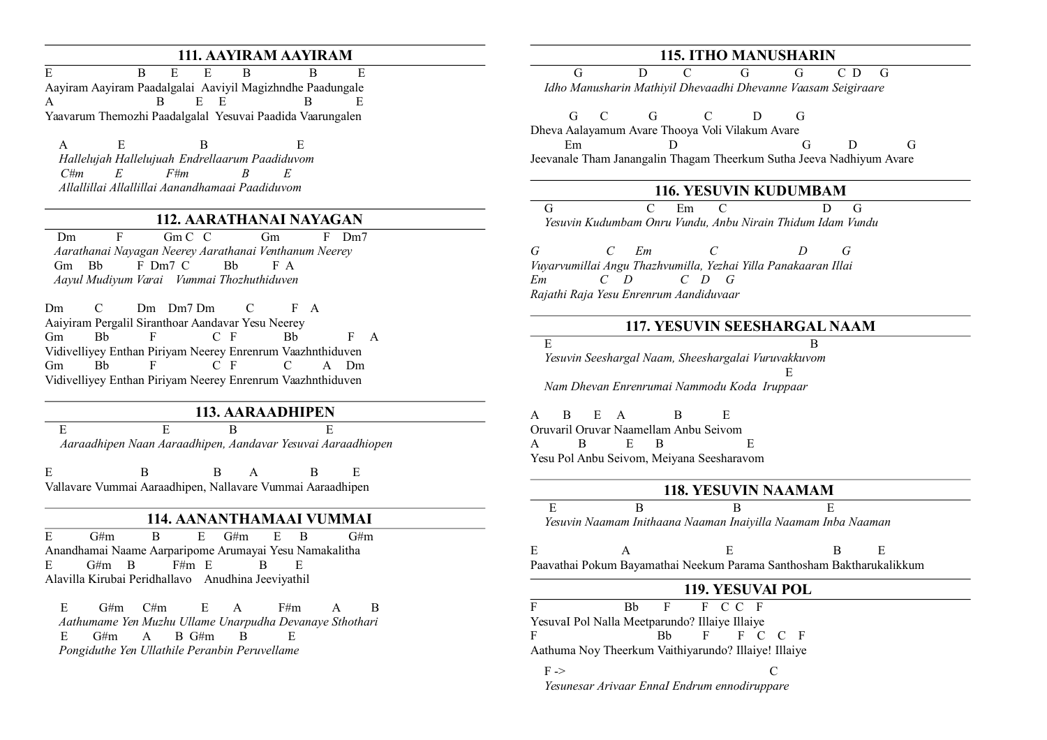## **111. AAYIRAM AAYIRAM**

E B E E B B E Aayiram Aayiram Paadalgalai Aaviyil Magizhndhe Paadungale A B E E B E Yaavarum Themozhi Paadalgalal Yesuvai Paadida Vaarungalen

 $A$  E B E *Hallelujah Hallelujuah Endrellaarum Paadiduvom C#m E F#m B E Allallillai Allallillai Aanandhamaai Paadiduvom*

## **112. AARATHANAI NAYAGAN**

Dm F Gm C C Gm F Dm 7 *Aarathanai Nayagan Neerey Aarathanai Venthanum Neerey* Gm Bb F Dm7 C Bb F A  *Aayul Mudiyum Varai Vummai Thozhuthiduven*

Dm C Dm Dm7 Dm C F A Aaiyiram Pergalil Siranthoar Aandavar Yesu Neerey Gm Bb F C F Bb F A Vidivelliyey Enthan Piriyam Neerey Enrenrum Vaazhnthiduven Gm Bb F C F C A Dm Vidivelliyey Enthan Piriyam Neerey Enrenrum Vaazhnthiduven

#### **113. AARAADHIPEN**

E B E  *Aaraadhipen Naan Aaraadhipen, Aandavar Yesuvai Aaraadhiopen*

E B B A B E Vallavare Vummai Aaraadhipen, Nallavare Vummai Aaraadhipen

#### **114. AANANTHAMAAI VUMMAI**

E G#m B E G#m E B G#m Anandhamai Naame Aarparipome Arumayai Yesu Namakalitha E G#m B F#m E B E Alavilla Kirubai Peridhallavo Anudhina Jeeviyathil

 E G#m C#m E A F#m A B *Aathumame Yen Muzhu Ullame Unarpudha Devanaye Sthothari* E G#m A B G#m B E *Pongiduthe Yen Ullathile Peranbin Peruvellame*

## **115. ITHO MANUSHARIN**

G D C G G CD G *Idho Manusharin Mathiyil Dhevaadhi Dhevanne Vaasam Seigiraare*

|                                                                      |    |  | $G \quad C \quad G \quad C$ |  |  |  |             |  |  |
|----------------------------------------------------------------------|----|--|-----------------------------|--|--|--|-------------|--|--|
| Dheva Aalayamum Avare Thooya Voli Vilakum Avare                      |    |  |                             |  |  |  |             |  |  |
|                                                                      | Em |  |                             |  |  |  | $G = D$ $G$ |  |  |
| Jeevanale Tham Janangalin Thagam Theerkum Sutha Jeeva Nadhiyum Avare |    |  |                             |  |  |  |             |  |  |

#### **116. YESUVIN KUDUMBAM**

G C Em C D G *Yesuvin Kudumbam Onru Vundu, Anbu Nirain Thidum Idam Vundu*

*G C Em C D G Vuyarvumillai Angu Thazhvumilla, Yezhai Yilla Panakaaran Illai Em C D C D G Rajathi Raja Yesu Enrenrum Aandiduvaar*

#### **117. YESUVIN SEESHARGAL NAAM**

E B *Yesuvin Seeshargal Naam, Sheeshargalai Vuruvakkuvom* Experimental control of the state of the state of the state of the state of the state of the state of the state of the state of the state of the state of the state of the state of the state of the state of the state of the *Nam Dhevan Enrenrumai Nammodu Koda Iruppaar*

A B E A B E Oruvaril Oruvar Naamellam Anbu Seivom A B E B E Yesu Pol Anbu Seivom, Meiyana Seesharavom

#### **118. YESUVIN NAAMAM**

**E** B B E *Yesuvin Naamam Inithaana Naaman Inaiyilla Naamam Inba Naaman*

E A E B E Paavathai Pokum Bayamathai Neekum Parama Santhosham Baktharukalikkum

#### **119. YESUVAI POL**

F Bb F F C C F YesuvaI Pol Nalla Meetparundo? Illaiye Illaiye F Bb F F C C F Aathuma Noy Theerkum Vaithiyarundo? Illaiye! Illaiye

 $F \geq C$ *Yesunesar Arivaar EnnaI Endrum ennodiruppare*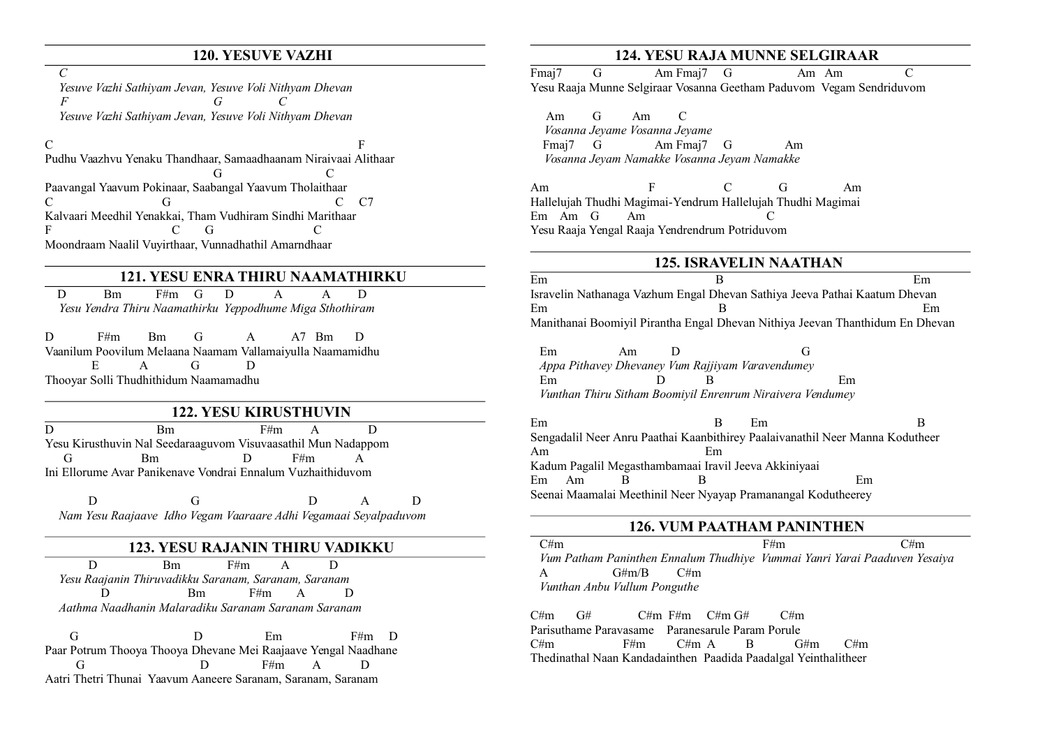#### **120. YESUVE VAZHI**

*Yesuve Vazhi Sathiyam Jevan, Yesuve Voli Nithyam Dhevan F G C Yesuve Vazhi Sathiyam Jevan, Yesuve Voli Nithyam Dhevan*

 $\overline{C}$ 

 $\Gamma$  F Pudhu Vaazhvu Yenaku Thandhaar, Samaadhaanam Niraivaai Alithaar G C Paavangal Yaavum Pokinaar, Saabangal Yaavum Tholaithaar C G G C C7 Kalvaari Meedhil Yenakkai, Tham Vudhiram Sindhi Marithaar F C G C Moondraam Naalil Vuyirthaar, Vunnadhathil Amarndhaar

## **121. YESU ENRA THIRU NAAMATHIRKU**

D Bm F#m G D A A D *Yesu Yendra Thiru Naamathirku Yeppodhume Miga Sthothiram*

D F#m Bm G A A7 Bm D Vaanilum Poovilum Melaana Naamam Vallamaiyulla Naamamidhu E A G D Thooyar Solli Thudhithidum Naamamadhu

#### **122. YESU KIRUSTHUVIN**

D Bm F#m A D Yesu Kirusthuvin Nal Seedaraaguvom Visuvaasathil Mun Nadappom G Bm D F#m A Ini Ellorume Avar Panikenave Vondrai Ennalum Vuzhaithiduvom

D G D A D *Nam Yesu Raajaave Idho Vegam Vaaraare Adhi Vegamaai Seyalpaduvom*

## **123. YESU RAJANIN THIRU VADIKKU**

D Bm F#m A D *Yesu Raajanin Thiruvadikku Saranam, Saranam, Saranam* D Bm F#m A D *Aathma Naadhanin Malaradiku Saranam Saranam Saranam*

G D Em F#m D Paar Potrum Thooya Thooya Dhevane Mei Raajaave Yengal Naadhane G D F#m A D Aatri Thetri Thunai Yaavum Aaneere Saranam, Saranam, Saranam

## **124. YESU RAJA MUNNE SELGIRAAR**

Fmai7 G Am Fmai7 G Am Am C Yesu Raaja Munne Selgiraar Vosanna Geetham Paduvom Vegam Sendriduvom

 Am G Am C *Vosanna Jeyame Vosanna Jeyame*  Fmai7 G Am Fmai7 G Am *Vosanna Jeyam Namakke Vosanna Jeyam Namakke* 

Am F C G Am Hallelujah Thudhi Magimai-Yendrum Hallelujah Thudhi Magimai Em Am G Am Yesu Raaja Yengal Raaja Yendrendrum Potriduvom

#### **125. ISRAVELIN NAATHAN**

Em B B Em Isravelin Nathanaga Vazhum Engal Dhevan Sathiya Jeeva Pathai Kaatum Dhevan Em B Em Manithanai Boomiyil Pirantha Engal Dhevan Nithiya Jeevan Thanthidum En Dhevan

 Em Am D G  *Appa Pithavey Dhevaney Vum Rajjiyam Varavendumey* **Em** D B Em  *Vunthan Thiru Sitham Boomiyil Enrenrum Niraivera Vendumey* 

Em B Em B Sengadalil Neer Anru Paathai Kaanbithirey Paalaivanathil Neer Manna Kodutheer Am Em Kadum Pagalil Megasthambamaai Iravil Jeeva Akkiniyaai Em Am B B Em Seenai Maamalai Meethinil Neer Nyayap Pramanangal Kodutheerey

#### **126. VUM PAATHAM PANINTHEN**

 $C#m$   $C#m$  *Vum Patham Paninthen Ennalum Thudhiye Vummai Yanri Yarai Paaduven Yesaiya* A  $G#m/B$   $C#m$  *Vunthan Anbu Vullum Ponguthe*

 $C#m$   $G#$   $C#m$   $F#m$   $C#m$   $G#$   $C#m$ Parisuthame Paravasame Paranesarule Param Porule C#m F#m C#m A B G#m C#m Thedinathal Naan Kandadainthen Paadida Paadalgal Yeinthalitheer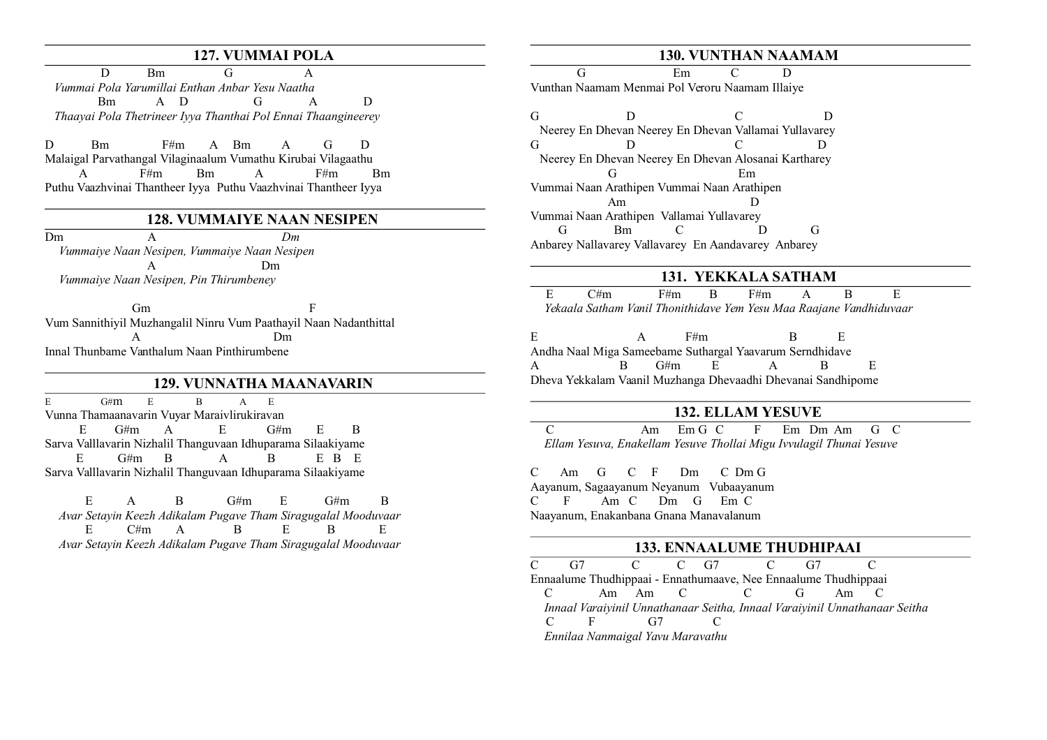## **127. VUMMAI POLA**

D Bm G A *Vummai Pola Yarumillai Enthan Anbar Yesu Naatha* Bm A D G A D  *Thaayai Pola Thetrineer Iyya Thanthai Pol Ennai Thaangineerey* 

D Bm F#m A Bm A G D Malaigal Parvathangal Vilaginaalum Vumathu Kirubai Vilagaathu A F#m Bm A F#m Bm Puthu Vaazhvinai Thantheer Iyya Puthu Vaazhvinai Thantheer Iyya

#### **128. VUMMAIYE NAAN NESIPEN**

Dm A Dm *Vummaiye Naan Nesipen, Vummaiye Naan Nesipen* A Dm *Vummaiye Naan Nesipen, Pin Thirumbeney*

Gm F Vum Sannithiyil Muzhangalil Ninru Vum Paathayil Naan Nadanthittal A Dm Innal Thunbame Vanthalum Naan Pinthirumbene

#### **129. VUNNATHA MAANAVARIN**

E G#m E B A E Vunna Thamaanavarin Vuyar Maraivlirukiravan E G#m A E G#m E B Sarva Valllavarin Nizhalil Thanguvaan Idhuparama Silaakiyame E G#m B A B E B E Sarva Valllavarin Nizhalil Thanguvaan Idhuparama Silaakiyame

 E A B G#m E G#m B *Avar Setayin Keezh Adikalam Pugave Tham Siragugalal Mooduvaar*  E C#m A B E B E *Avar Setayin Keezh Adikalam Pugave Tham Siragugalal Mooduvaar* 

#### **130. VUNTHAN NAAMAM**

 G Em C D Vunthan Naamam Menmai Pol Veroru Naamam Illaiye

G D C D Neerey En Dhevan Neerey En Dhevan Vallamai Yullavarey G D C D Neerey En Dhevan Neerey En Dhevan Alosanai Kartharey G Em Vummai Naan Arathipen Vummai Naan Arathipen Am D Vummai Naan Arathipen Vallamai Yullavarey G Bm C D G Anbarey Nallavarey Vallavarey En Aandavarey Anbarey

#### **131. YEKKALA SATHAM**

 E C#m F#m B F#m A B E *Yekaala Satham Vanil Thonithidave Yem Yesu Maa Raajane Vandhiduvaar*

E A F#m B E Andha Naal Miga Sameebame Suthargal Yaavarum Serndhidave A B G#m E A B E Dheva Yekkalam Vaanil Muzhanga Dhevaadhi Dhevanai Sandhipome

## **132. ELLAM YESUVE**

 C Am Em G C F Em Dm Am G C *Ellam Yesuva, Enakellam Yesuve Thollai Migu Ivvulagil Thunai Yesuve*

C Am G C F Dm C Dm G Aayanum, Sagaayanum Neyanum Vubaayanum C F Am C Dm G Em C Naayanum, Enakanbana Gnana Manavalanum

#### **133. ENNAALUME THUDHIPAAI**

C G7 C C G7 C G7 C Ennaalume Thudhippaai - Ennathumaave, Nee Ennaalume Thudhippaai C Am Am C C G Am C *Innaal Varaiyinil Unnathanaar Seitha, Innaal Varaiyinil Unnathanaar Seitha*  C F G7 C *Ennilaa Nanmaigal Yavu Maravathu*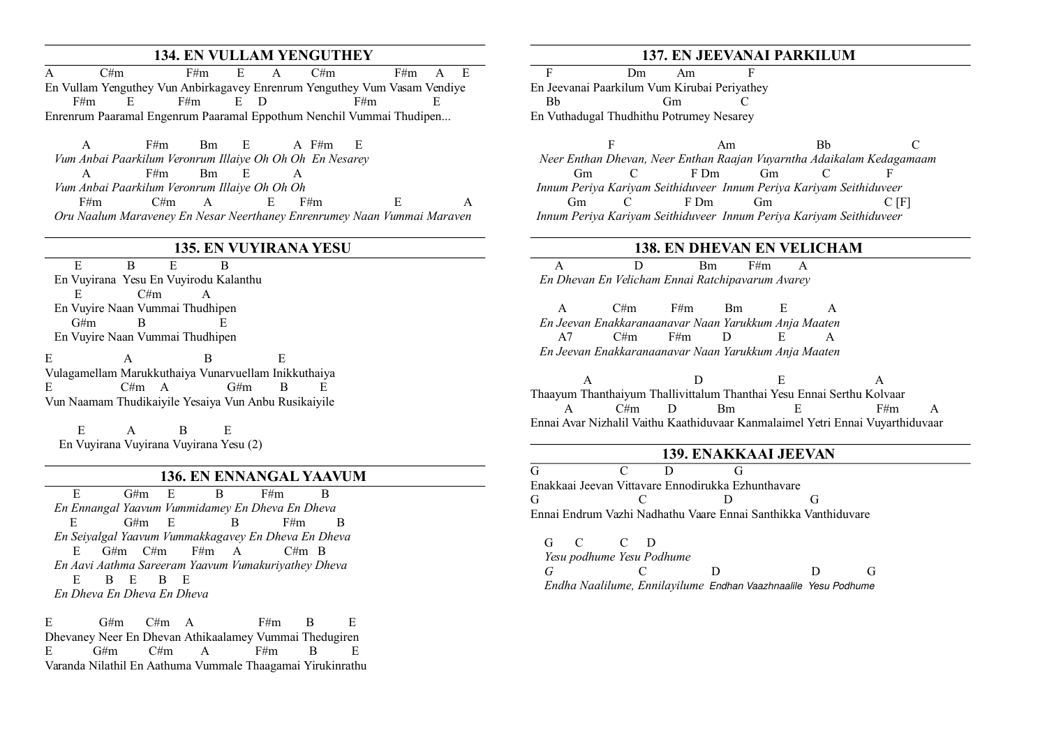## **134. EN VULLAM YENGUTHEY**

A C#m F#m E A C#m F#m A E En Vullam Yenguthey Vun Anbirkagavey Enrenrum Yenguthey Vum Vasam Vendiye F#m E D F#m E D F#m E Enrenrum Paaramal Engenrum Paaramal Eppothum Nenchil Vummai Thudipen...

 A F#m Bm E A F#m E  *Vum Anbai Paarkilum Veronrum Illaiye Oh Oh Oh En Nesarey* A F#m Bm E A  *Vum Anbai Paarkilum Veronrum Illaiye Oh Oh Oh*  F#m  $C#m$  A E F#m E A  *Oru Naalum Maraveney En Nesar Neerthaney Enrenrumey Naan Vummai Maraven*

#### **135. EN VUYIRANA YESU**

 E B E B En Vuyirana Yesu En Vuyirodu Kalanthu E  $C#m$  A En Vuyire Naan Vummai Thudhipen  $G#m$  B En Vuyire Naan Vummai Thudhipen

E A B E Vulagamellam Marukkuthaiya Vunarvuellam Inikkuthaiya E C#m A  $G$ #m Vun Naamam Thudikaiyile Yesaiya Vun Anbu Rusikaiyile

 E A B E En Vuyirana Vuyirana Vuyirana Yesu (2)

#### **136. EN ENNANGAL YAAVUM**

 $E$  G#m E B F#m B *En Ennangal Yaavum Vummidamey En Dheva En Dheva*  $E$  G#m E B F#m B  *En Seiyalgal Yaavum Vummakkagavey En Dheva En Dheva* E G#m C#m F#m A C#m B  *En Aavi Aathma Sareeram Yaavum Vumakuriyathey Dheva*  E B E B E  *En Dheva En Dheva En Dheva*

E G#m C#m A F#m B E Dhevaney Neer En Dhevan Athikaalamey Vummai Thedugiren E G#m C#m A F#m B E Varanda Nilathil En Aathuma Vummale Thaagamai Yirukinrathu

#### **137. EN JEEVANAI PARKILUM**

F Dm Am F En Jeevanai Paarkilum Vum Kirubai Periyathey Bb Gm C En Vuthadugal Thudhithu Potrumey Nesarey

F Am Bb C *Neer Enthan Dhevan, Neer Enthan Raajan Vuyarntha Adaikalam Kedagamaam* Gm C FDm Gm C F  *Innum Periya Kariyam Seithiduveer Innum Periya Kariyam Seithiduveer*  Gm  $C$  FDm Gm  $C$  [F]  *Innum Periya Kariyam Seithiduveer Innum Periya Kariyam Seithiduveer* 

#### **138. EN DHEVAN EN VELICHAM**

 A D Bm F#m A *En Dhevan En Velicham Ennai Ratchipavarum Avarey*

 A C#m F#m Bm E A  *En Jeevan Enakkaranaanavar Naan Yarukkum Anja Maaten* A7 C#m F#m D E A  *En Jeevan Enakkaranaanavar Naan Yarukkum Anja Maaten*

A D E A Thaayum Thanthaiyum Thallivittalum Thanthai Yesu Ennai Serthu Kolvaar A C#m D Bm E F#m A Ennai Avar Nizhalil Vaithu Kaathiduvaar Kanmalaimel Yetri Ennai Vuyarthiduvaar

## **139. ENAKKAAI JEEVAN**

| - G                                                            |              | $\Box$         |  |  |  |  |  |  |  |
|----------------------------------------------------------------|--------------|----------------|--|--|--|--|--|--|--|
| Enakkaai Jeevan Vittavare Ennodirukka Ezhunthavare             |              |                |  |  |  |  |  |  |  |
| - G                                                            | $\mathbf{r}$ | $\blacksquare$ |  |  |  |  |  |  |  |
| Ennai Endrum Vazhi Nadhathu Vaare Ennai Santhikka Vanthiduvare |              |                |  |  |  |  |  |  |  |

G C C D *Yesu podhume Yesu Podhume G* C D D G *Endha Naalilume, Ennilayilume Endhan Vaazhnaalile Yesu Podhume*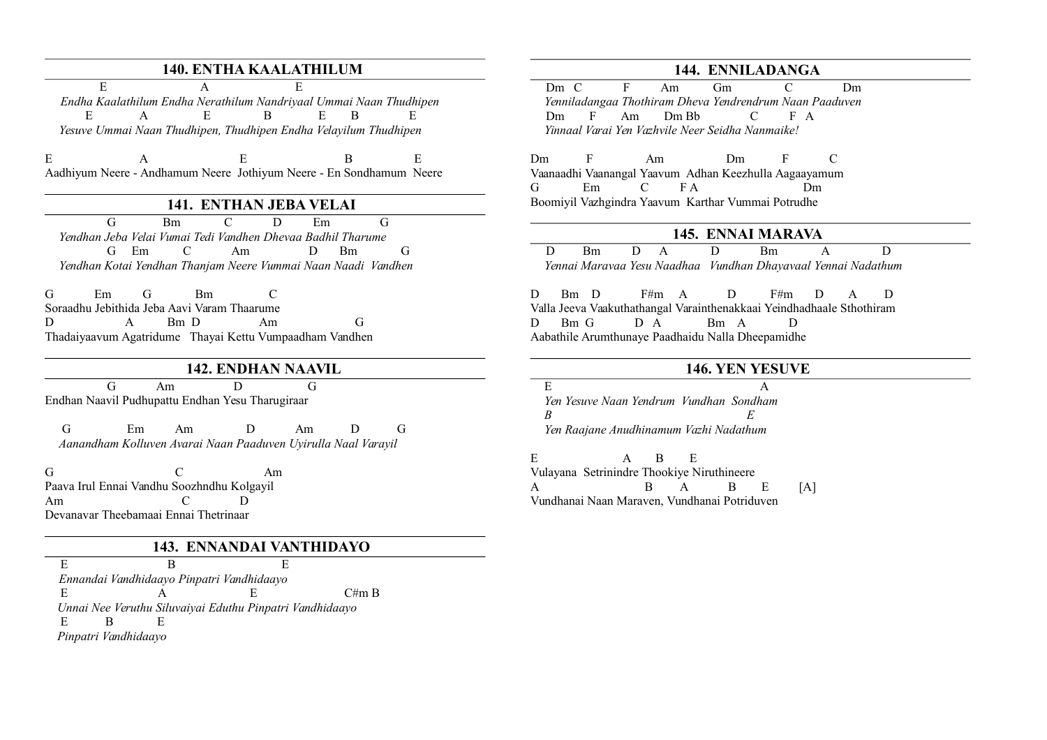#### **140. ENTHA KAALATHILUM**

E A E  *Endha Kaalathilum Endha Nerathilum Nandriyaal Ummai Naan Thudhipen* **E** A E B E B E *Yesuve Ummai Naan Thudhipen, Thudhipen Endha Velayilum Thudhipen*

E A E B E Aadhiyum Neere - Andhamum Neere Jothiyum Neere - En Sondhamum Neere

#### **141. ENTHAN JEBA VELAI**

G Bm C D Em G *Yendhan Jeba Velai Vumai Tedi Vandhen Dhevaa Badhil Tharume* G Em C Am D Bm G *Yendhan Kotai Yendhan Thanjam Neere Vummai Naan Naadi Vandhen*

G Em G Bm C Soraadhu Jebithida Jeba Aavi Varam Thaarume D A Bm D Am G Thadaiyaavum Agatridume Thayai Kettu Vumpaadham Vandhen

#### **142. ENDHAN NAAVIL**

 G Am D G Endhan Naavil Pudhupattu Endhan Yesu Tharugiraar

 G Em Am D Am D G *Aanandham Kolluven Avarai Naan Paaduven Uyirulla Naal Varayil* 

G Am Paava Irul Ennai Vandhu Soozhndhu Kolgayil Am C D Devanavar Theebamaai Ennai Thetrinaar

#### **143. ENNANDAI VANTHIDAYO**

**E** B E *Ennandai Vandhidaayo Pinpatri Vandhidaayo*  **E** A E C#m B  *Unnai Nee Veruthu Siluvaiyai Eduthu Pinpatri Vandhidaayo*  E B E  *Pinpatri Vandhidaayo*

## **144. ENNILADANGA**

Dm C F Am Gm C Dm *Yenniladangaa Thothiram Dheva Yendrendrum Naan Paaduven* Dm F Am Dm Bb C F A *Yinnaal Varai Yen Vazhvile Neer Seidha Nanmaike!* 

Dm F Am Dm F C Vaanaadhi Vaanangal Yaavum Adhan Keezhulla Aagaayamum G Em C FA Dm Boomiyil Vazhgindra Yaavum Karthar Vummai Potrudhe

#### **145. ENNAI MARAVA**

D Bm D A D Bm A D *Yennai Maravaa Yesu Naadhaa Vundhan Dhayavaal Yennai Nadathum*

D Bm D F#m A D F#m D A D Valla Jeeva Vaakuthathangal Varainthenakkaai Yeindhadhaale Sthothiram D Bm G D A Bm A D Aabathile Arumthunaye Paadhaidu Nalla Dheepamidhe

#### **146. YEN YESUVE**

 $E$  and  $A$ *Yen Yesuve Naan Yendrum Vundhan Sondham B E Yen Raajane Anudhinamum Vazhi Nadathum*

E A B E Vulayana Setrinindre Thookiye Niruthineere  $B \qquad A \qquad B \qquad E \qquad [A]$ Vundhanai Naan Maraven, Vundhanai Potriduven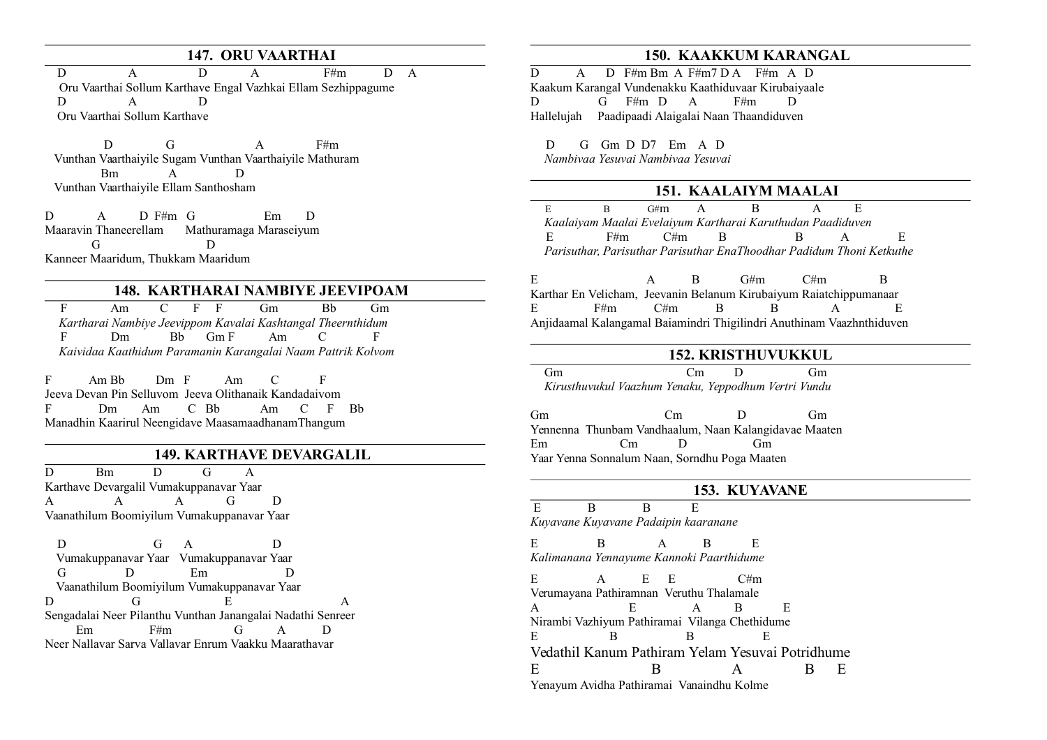## **147. ORU VAARTHAI**

D A D A F#m D A Oru Vaarthai Sollum Karthave Engal Vazhkai Ellam Sezhippagume D A D Oru Vaarthai Sollum Karthave

D G A F#m Vunthan Vaarthaiyile Sugam Vunthan Vaarthaiyile Mathuram Bm A D Vunthan Vaarthaiyile Ellam Santhosham

D A D F#m G Em D Maaravin Thaneerellam Mathuramaga Maraseiyum G D Kanneer Maaridum, Thukkam Maaridum

#### **148. KARTHARAI NAMBIYE JEEVIPOAM**

 F Am C F F Gm Bb Gm *Kartharai Nambiye Jeevippom Kavalai Kashtangal Theernthidum* F Dm Bb Gm F Am C F *Kaividaa Kaathidum Paramanin Karangalai Naam Pattrik Kolvom*

F Am Bb Dm F Am C F Jeeva Devan Pin Selluvom Jeeva Olithanaik Kandadaivom F Dm Am C Bb Am C F Bb Manadhin Kaarirul Neengidave MaasamaadhanamThangum

#### **149. KARTHAVE DEVARGALIL**

D Bm D G A Karthave Devargalil Vumakuppanavar Yaar A A A G D Vaanathilum Boomiyilum Vumakuppanavar Yaar

D G A D Vumakuppanavar Yaar Vumakuppanavar Yaar G D Em D Vaanathilum Boomiyilum Vumakuppanavar Yaar D G E A Sengadalai Neer Pilanthu Vunthan Janangalai Nadathi Senreer Em F#m G A D Neer Nallavar Sarva Vallavar Enrum Vaakku Maarathavar

## **150. KAAKKUM KARANGAL**

D  $A$  D F#m Bm A F#m7 D A F#m A D Kaakum Karangal Vundenakku Kaathiduvaar Kirubaiyaale D G F#m D A F#m D Hallelujah Paadipaadi Alaigalai Naan Thaandiduven

 D G Gm D D7 Em A D *Nambivaa Yesuvai Nambivaa Yesuvai* 

#### **151. KAALAIYM MAALAI**

E B G#m A B A E *Kaalaiyam Maalai Evelaiyum Kartharai Karuthudan Paadiduven* E F#m C#m B B A E *Parisuthar, Parisuthar Parisuthar EnaThoodhar Padidum Thoni Ketkuthe*

E A B G#m C#m B Karthar En Velicham, Jeevanin Belanum Kirubaiyum Raiatchippumanaar E F#m C#m B B A E Anjidaamal Kalangamal Baiamindri Thigilindri Anuthinam Vaazhnthiduven

## **152. KRISTHUVUKKUL**

Gm Cm D Gm *Kirusthuvukul Vaazhum Yenaku, Yeppodhum Vertri Vundu*

Gm Cm D Gm Yennenna Thunbam Vandhaalum, Naan Kalangidavae Maaten Em Cm D Gm Yaar Yenna Sonnalum Naan, Sorndhu Poga Maaten

#### **153. KUYAVANE**

E B B E *Kuyavane Kuyavane Padaipin kaaranane* 

E B A B E *Kalimanana Yennayume Kannoki Paarthidume*

E A E E C#m Verumayana Pathiramnan Veruthu Thalamale A E A B E Nirambi Vazhiyum Pathiramai Vilanga Chethidume E B B E Vedathil Kanum Pathiram Yelam Yesuvai Potridhume E B A B E Yenayum Avidha Pathiramai Vanaindhu Kolme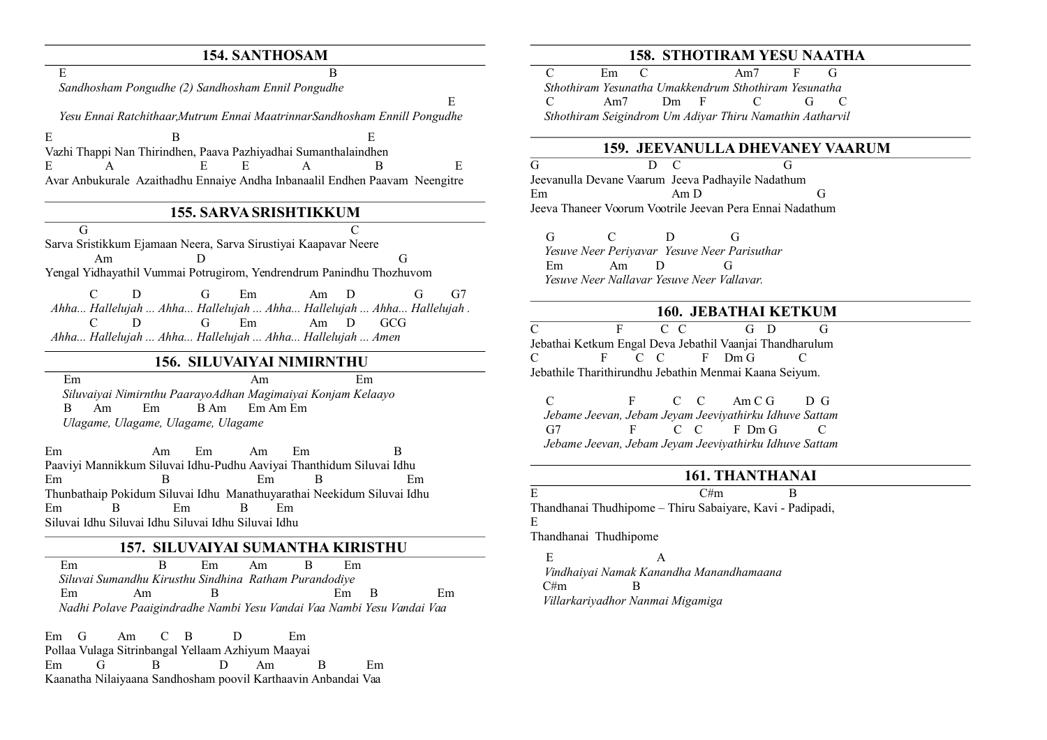## **154. SANTHOSAM**

E B *Sandhosham Pongudhe (2) Sandhosham Ennil Pongudhe*

*Yesu Ennai Ratchithaar,Mutrum Ennai MaatrinnarSandhosham Ennill Pongudhe*

E

E B B Vazhi Thappi Nan Thirindhen, Paava Pazhiyadhai Sumanthalaindhen E A E E A B E Avar Anbukurale Azaithadhu Ennaiye Andha Inbanaalil Endhen Paavam Neengitre

#### **155. SARVA SRISHTIKKUM**

 G C Sarva Sristikkum Ejamaan Neera, Sarva Sirustiyai Kaapavar Neere Am D G Yengal Yidhayathil Vummai Potrugirom, Yendrendrum Panindhu Thozhuvom

C D G Em Am D G G7 *Ahha... Hallelujah ... Ahha... Hallelujah ... Ahha... Hallelujah ... Ahha... Hallelujah .* C D G Em Am D GCG  *Ahha... Hallelujah ... Ahha... Hallelujah ... Ahha... Hallelujah ... Amen*

#### **156. SILUVAIYAI NIMIRNTHU**

**Em** Am Em *Siluvaiyai Nimirnthu PaarayoAdhan Magimaiyai Konjam Kelaayo* B Am Em B Am Em Am Em *Ulagame, Ulagame, Ulagame, Ulagame*

Em Am Em Am Em B Paaviyi Mannikkum Siluvai Idhu-Pudhu Aaviyai Thanthidum Siluvai Idhu Em B Em B Em Thunbathaip Pokidum Siluvai Idhu Manathuyarathai Neekidum Siluvai Idhu Em B Em B Em Siluvai Idhu Siluvai Idhu Siluvai Idhu Siluvai Idhu

#### **157. SILUVAIYAI SUMANTHA KIRISTHU**

 Em B Em Am B Em *Siluvai Sumandhu Kirusthu Sindhina Ratham Purandodiye* Em Am B Em B Em *Nadhi Polave Paaigindradhe Nambi Yesu Vandai Vaa Nambi Yesu Vandai Vaa*

Em G Am C B D Em Pollaa Vulaga Sitrinbangal Yellaam Azhiyum Maayai Em G B D Am B Em Kaanatha Nilaiyaana Sandhosham poovil Karthaavin Anbandai Vaa

## **158. STHOTIRAM YESU NAATHA**

 C Em C Am7 F G *Sthothiram Yesunatha Umakkendrum Sthothiram Yesunatha* C Am7 Dm F C G C *Sthothiram Seigindrom Um Adiyar Thiru Namathin Aatharvil*

#### **159. JEEVANULLA DHEVANEY VAARUM**

G D C G Jeevanulla Devane Vaarum Jeeva Padhayile Nadathum Em Am D G Jeeva Thaneer Voorum Vootrile Jeevan Pera Ennai Nadathum

 G C D G *Yesuve Neer Periyavar Yesuve Neer Parisuthar* Em Am D G *Yesuve Neer Nallavar Yesuve Neer Vallavar.*

#### **160. JEBATHAI KETKUM**

C F C C G D G Jebathai Ketkum Engal Deva Jebathil Vaanjai Thandharulum C F C C F Dm G C Jebathile Tharithirundhu Jebathin Menmai Kaana Seiyum.

C F C C Am C G D G *Jebame Jeevan, Jebam Jeyam Jeeviyathirku Idhuve Sattam* G7 F C C F Dm G C *Jebame Jeevan, Jebam Jeyam Jeeviyathirku Idhuve Sattam* 

## **161. THANTHANAI**

E C#m B Thandhanai Thudhipome – Thiru Sabaiyare, Kavi - Padipadi, E Thandhanai Thudhipome

E A *Vindhaiyai Namak Kanandha Manandhamaana*  C#m B  *Villarkariyadhor Nanmai Migamiga*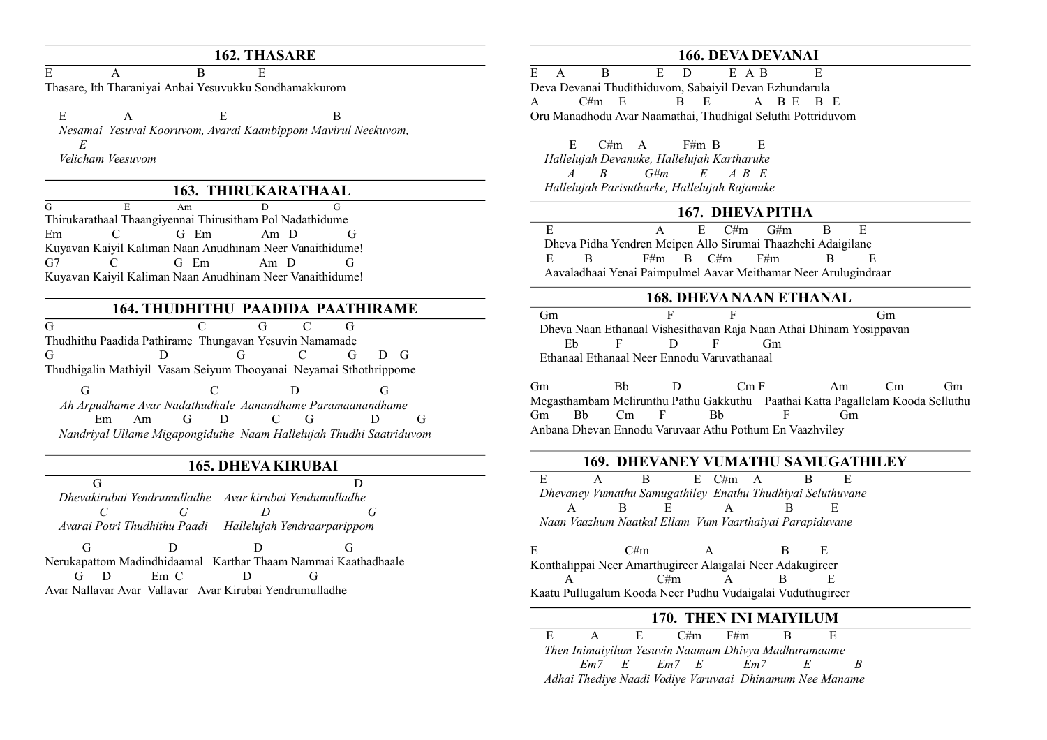#### **162. THASARE**

E A B E Thasare, Ith Tharaniyai Anbai Yesuvukku Sondhamakkurom

E A E B *Nesamai Yesuvai Kooruvom, Avarai Kaanbippom Mavirul Neekuvom, E Velicham Veesuvom* 

## **163. THIRUKARATHAAL**

G E Am D G Thirukarathaal Thaangiyennai Thirusitham Pol Nadathidume Em C G Em Am D G Kuyavan Kaiyil Kaliman Naan Anudhinam Neer Vanaithidume! G7 C G Em Am D G Kuyavan Kaiyil Kaliman Naan Anudhinam Neer Vanaithidume!

#### **164. THUDHITHU PAADIDA PAATHIRAME**

G C G C G Thudhithu Paadida Pathirame Thungavan Yesuvin Namamade G D G C G D G Thudhigalin Mathiyil Vasam Seiyum Thooyanai Neyamai Sthothrippome

G C D G  *Ah Arpudhame Avar Nadathudhale Aanandhame Paramaanandhame* Em Am G D C G D G *Nandriyal Ullame Migapongiduthe Naam Hallelujah Thudhi Saatriduvom*

#### **165. DHEVA KIRUBAI**

|    |                                                               | Dhevakirubai Yendrumulladhe Avar kirubai Yendumulladhe |  |  |  |  |  |
|----|---------------------------------------------------------------|--------------------------------------------------------|--|--|--|--|--|
|    |                                                               |                                                        |  |  |  |  |  |
|    | Avarai Potri Thudhithu Paadi Hallelujah Yendraarparippom      |                                                        |  |  |  |  |  |
| Сì |                                                               |                                                        |  |  |  |  |  |
|    | Nerukapattom Madindhidaamal Karthar Thaam Nammai Kaathadhaale |                                                        |  |  |  |  |  |
|    | Em C                                                          |                                                        |  |  |  |  |  |
|    | Avar Nallavar Avar Vallavar Avar Kirubai Yendrumulladhe       |                                                        |  |  |  |  |  |
|    |                                                               |                                                        |  |  |  |  |  |

## **166. DEVA DEVANAI**

 $E$  A B  $E$  D  $E$  A B  $E$ Deva Devanai Thudithiduvom, Sabaiyil Devan Ezhundarula A C#m E B E A B E B E Oru Manadhodu Avar Naamathai, Thudhigal Seluthi Pottriduvom

 $E$   $C \# m$   $A$   $F \# m$   $B$   $E$ *Hallelujah Devanuke, Hallelujah Kartharuke A B G#m E A B E Hallelujah Parisutharke, Hallelujah Rajanuke*

#### **167. DHEVA PITHA**

E A E C#m G#m B E Dheva Pidha Yendren Meipen Allo Sirumai Thaazhchi Adaigilane E B F#m B C#m F#m B E Aavaladhaai Yenai Paimpulmel Aavar Meithamar Neer Arulugindraar

#### **168. DHEVA NAAN ETHANAL**

Gm F F Gm Dheva Naan Ethanaal Vishesithavan Raja Naan Athai Dhinam Yosippavan Eb F D F Gm Ethanaal Ethanaal Neer Ennodu Varuvathanaal

Gm Bb D Cm F Am Cm Gm Megasthambam Melirunthu Pathu Gakkuthu Paathai Katta Pagallelam Kooda Selluthu Gm Bb Cm F Bb F Gm Anbana Dhevan Ennodu Varuvaar Athu Pothum En Vaazhviley

#### **169. DHEVANEY VUMATHU SAMUGATHILEY**

E A B E C#m A B E *Dhevaney Vumathu Samugathiley Enathu Thudhiyai Seluthuvane* A B E A B E  *Naan Vaazhum Naatkal Ellam Vum Vaarthaiyai Parapiduvane*

E C#m A B E Konthalippai Neer Amarthugireer Alaigalai Neer Adakugireer A C#m A B E Kaatu Pullugalum Kooda Neer Pudhu Vudaigalai Vuduthugireer

#### **170. THEN INI MAIYILUM**

 E A E C#m F#m B E *Then Inimaiyilum Yesuvin Naamam Dhivya Madhuramaame Em7 E Em7 E Em7 E B Adhai Thediye Naadi Vodiye Varuvaai Dhinamum Nee Maname*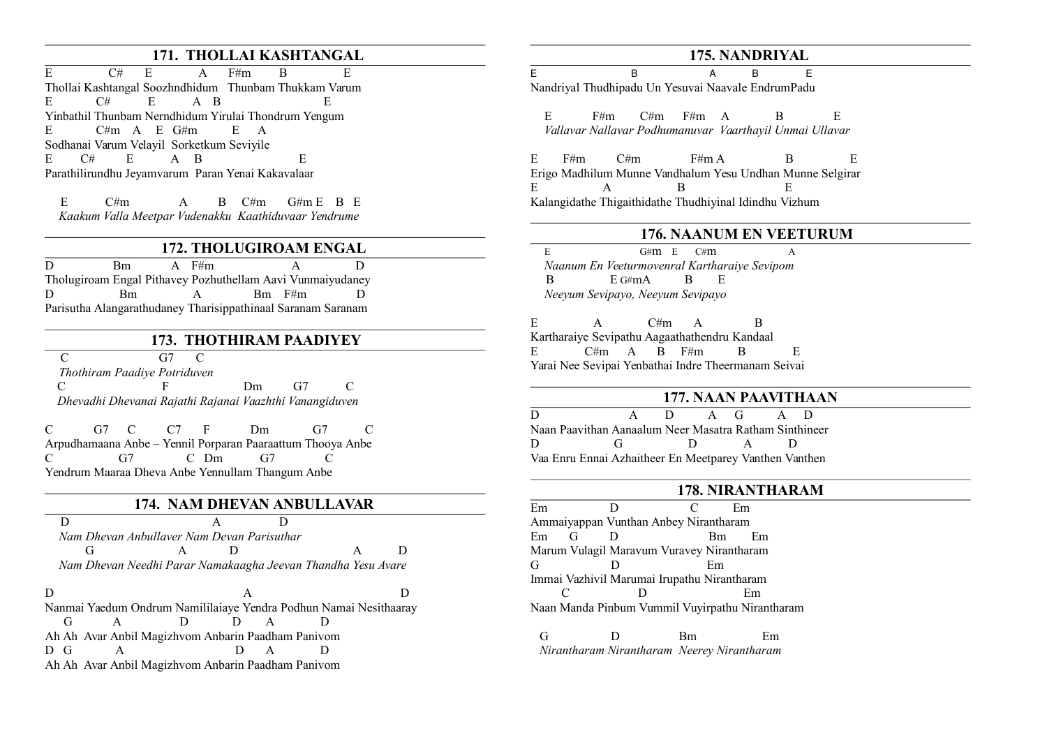## **171. THOLLAI KASHTANGAL**

 $E$   $C# E$   $A$   $F#m$   $B$   $E$ Thollai Kashtangal Soozhndhidum Thunbam Thukkam Varum  $E$  C# E A B E Yinbathil Thunbam Nerndhidum Yirulai Thondrum Yengum E C#m A E G#m E A Sodhanai Varum Velayil Sorketkum Seviyile  $E$   $C#$   $E$   $A$   $B$   $E$ Parathilirundhu Jeyamvarum Paran Yenai Kakavalaar

 $E$   $C \# m$   $A$   $B$   $C \# m$   $G \# m$   $E$   $B$   $E$ *Kaakum Valla Meetpar Vudenakku Kaathiduvaar Yendrume*

#### **172. THOLUGIROAM ENGAL**

 $\overline{D}$  Bm A F#m A D Tholugiroam Engal Pithavey Pozhuthellam Aavi Vunmaiyudaney D Bm A Bm F#m D Parisutha Alangarathudaney Tharisippathinaal Saranam Saranam

## **173. THOTHIRAM PAADIYEY**

C G7 C *Thothiram Paadiye Potriduven*  C F Dm G7 C  *Dhevadhi Dhevanai Rajathi Rajanai Vaazhthi Vanangiduven* 

Yendrum Maaraa Dheva Anbe Yennullam Thangum Anbe

C G7 C C7 F Dm G7 C Arpudhamaana Anbe – Yennil Porparan Paaraattum Thooya Anbe C G7 C Dm G7 C

#### **174. NAM DHEVAN ANBULLAVAR**

D A D *Nam Dhevan Anbullaver Nam Devan Parisuthar* G A D A D *Nam Dhevan Needhi Parar Namakaagha Jeevan Thandha Yesu Avare*

D A D Nanmai Yaedum Ondrum Namililaiaye Yendra Podhun Namai Nesithaaray G A D D A D Ah Ah Avar Anbil Magizhvom Anbarin Paadham Panivom D G A D A D Ah Ah Avar Anbil Magizhvom Anbarin Paadham Panivom

## **175. NANDRIYAL**

E B A B E Nandriyal Thudhipadu Un Yesuvai Naavale EndrumPadu

E F#m C#m F#m  $A$  B *Vallavar Nallavar Podhumanuvar Vaarthayil Unmai Ullavar* 

 $E$  F#m  $C#m$  F#m A B E Erigo Madhilum Munne Vandhalum Yesu Undhan Munne Selgirar E A B E Kalangidathe Thigaithidathe Thudhiyinal Idindhu Vizhum

#### **176. NAANUM EN VEETURUM**

E G#m E C#m A *Naanum En Veeturmovenral Kartharaiye Sevipom*  **B** E G#mA B E *Neeyum Sevipayo, Neeyum Sevipayo*

E A C#m A B Kartharaiye Sevipathu Aagaathathendru Kandaal  $E$   $C \# m$   $A$   $B$   $F \# m$   $B$   $E$ Yarai Nee Sevipai Yenbathai Indre Theermanam Seivai

#### **177. NAAN PAAVITHAAN**

 $\overline{D}$   $\overline{A}$   $\overline{D}$   $\overline{A}$   $\overline{G}$   $\overline{A}$   $\overline{D}$ Naan Paavithan Aanaalum Neer Masatra Ratham Sinthineer D G D A D Vaa Enru Ennai Azhaitheer En Meetparey Vanthen Vanthen

#### **178. NIRANTHARAM**

Em D C Em Ammaiyappan Vunthan Anbey Nirantharam Em G D Bm Em Marum Vulagil Maravum Vuravey Nirantharam G D Em Immai Vazhivil Marumai Irupathu Nirantharam C D Em Naan Manda Pinbum Vummil Vuyirpathu Nirantharam

 G D Bm Em  *Nirantharam Nirantharam Neerey Nirantharam*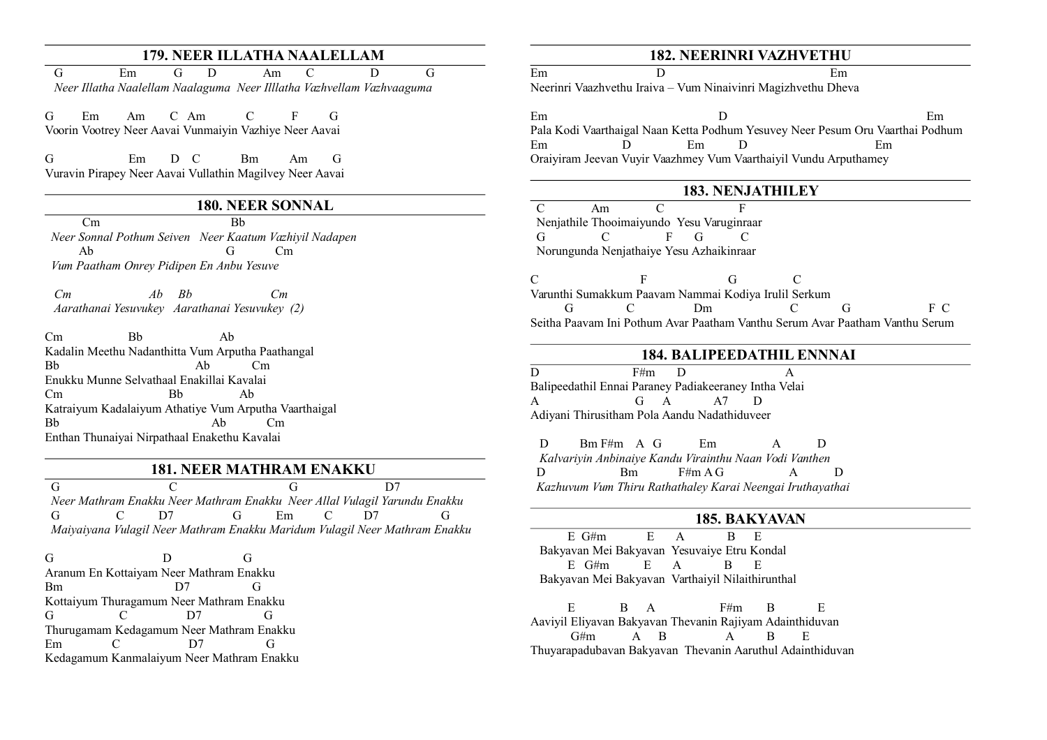## **179. NEER ILLATHA NAALELLAM**

| Em. |  | Am                                                                    |  | G, |
|-----|--|-----------------------------------------------------------------------|--|----|
|     |  | Neer Illatha Naalellam Naalaguma Neer Illlatha Vazhvellam Vazhvaaguma |  |    |

G Em Am C Am C F Voorin Vootrey Neer Aavai Vunmaiyin Vazhiye Neer Aavai

G Em D C Bm Am G Vuravin Pirapey Neer Aavai Vullathin Magilvey Neer Aavai

#### **180. NEER SONNAL**

 Cm Bb  *Neer Sonnal Pothum Seiven Neer Kaatum Vazhiyil Nadapen* Ab G Cm  *Vum Paatham Onrey Pidipen En Anbu Yesuve*

 *Cm Ab Bb Cm Aarathanai Yesuvukey Aarathanai Yesuvukey (2)*

Cm Bb Ab Kadalin Meethu Nadanthitta Vum Arputha Paathangal Bb Ab Cm Enukku Munne Selvathaal Enakillai Kavalai Cm Bb Ab Katraiyum Kadalaiyum Athatiye Vum Arputha Vaarthaigal Bb Ab Cm Enthan Thunaiyai Nirpathaal Enakethu Kavalai

#### **181. NEER MATHRAM ENAKKU**

G C G D7  *Neer Mathram Enakku Neer Mathram Enakku Neer Allal Vulagil Yarundu Enakku* G C D7 G Em C D7 G  *Maiyaiyana Vulagil Neer Mathram Enakku Maridum Vulagil Neer Mathram Enakku*

G D G Aranum En Kottaiyam Neer Mathram Enakku Bm D7 G Kottaiyum Thuragamum Neer Mathram Enakku G C D7 G Thurugamam Kedagamum Neer Mathram Enakku Em C D7 G Kedagamum Kanmalaiyum Neer Mathram Enakku

#### **182. NEERINRI VAZHVETHU**

Em D Em Neerinri Vaazhvethu Iraiva – Vum Ninaivinri Magizhvethu Dheva

Em D Em Pala Kodi Vaarthaigal Naan Ketta Podhum Yesuvey Neer Pesum Oru Vaarthai Podhum Em D Em D Em Oraiyiram Jeevan Vuyir Vaazhmey Vum Vaarthaiyil Vundu Arputhamey

## **183. NENJATHILEY**

 C Am C F Nenjathile Thooimaiyundo Yesu Varuginraar G C F G C Norungunda Nenjathaiye Yesu Azhaikinraar

C F G C Varunthi Sumakkum Paavam Nammai Kodiya Irulil Serkum G C Dm C G F C Seitha Paavam Ini Pothum Avar Paatham Vanthu Serum Avar Paatham Vanthu Serum

#### **184. BALIPEEDATHIL ENNNAI**

 $D$  F#m D Balipeedathil Ennai Paraney Padiakeeraney Intha Velai A G A A7 D Adiyani Thirusitham Pola Aandu Nadathiduveer

D Bm F#m A G Em A D *Kalvariyin Anbinaiye Kandu Virainthu Naan Vodi Vanthen*  $D$  Bm F#m A G A  *Kazhuvum Vum Thiru Rathathaley Karai Neengai Iruthayathai*

## **185. BAKYAVAN**

E G#m E A B E Bakyavan Mei Bakyavan Yesuvaiye Etru Kondal  $E$  G#m  $E$  A B Bakyavan Mei Bakyavan Varthaiyil Nilaithirunthal

E B A F#m B E Aaviyil Eliyavan Bakyavan Thevanin Rajiyam Adainthiduvan  $G#m$  A B A B E Thuyarapadubavan Bakyavan Thevanin Aaruthul Adainthiduvan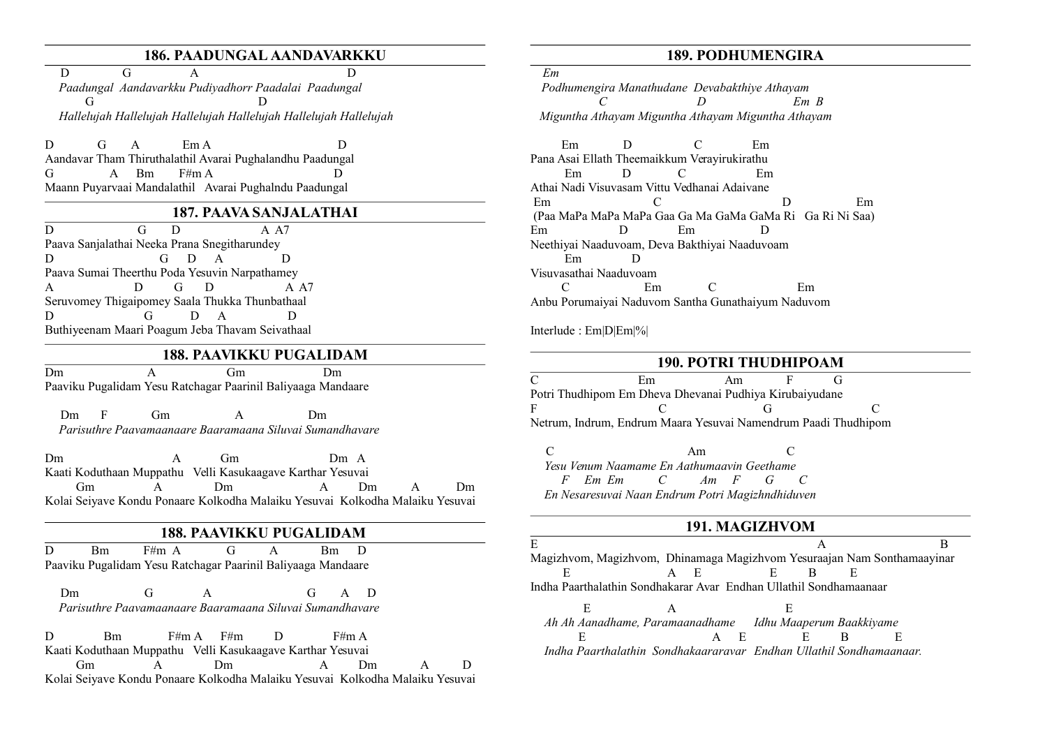#### **186. PAADUNGAL AANDAVARKKU**

D G A D *Paadungal Aandavarkku Pudiyadhorr Paadalai Paadungal* G D *Hallelujah Hallelujah Hallelujah Hallelujah Hallelujah Hallelujah*

D G A Em A D Aandavar Tham Thiruthalathil Avarai Pughalandhu Paadungal  $G \qquad A \quad Bm \quad F#m A$ Maann Puyarvaai Mandalathil Avarai Pughalndu Paadungal

#### **187. PAAVA SANJALATHAI**

D G D A A7 Paava Sanjalathai Neeka Prana Snegitharundey D G D A D Paava Sumai Theerthu Poda Yesuvin Narpathamey A D G D A A7 Seruvomey Thigaipomey Saala Thukka Thunbathaal D G D A D Buthiyeenam Maari Poagum Jeba Thavam Seivathaal

#### **188. PAAVIKKU PUGALIDAM**

Dm A Gm Dm Paaviku Pugalidam Yesu Ratchagar Paarinil Baliyaaga Mandaare

Dm F Gm A Dm *Parisuthre Paavamaanaare Baaramaana Siluvai Sumandhavare*

Dm A Gm Dm A Kaati Koduthaan Muppathu Velli Kasukaagave Karthar Yesuvai Gm A Dm A Dm A Dm Kolai Seiyave Kondu Ponaare Kolkodha Malaiku Yesuvai Kolkodha Malaiku Yesuvai

## **188. PAAVIKKU PUGALIDAM**

D Bm F#m A G A Bm D Paaviku Pugalidam Yesu Ratchagar Paarinil Baliyaaga Mandaare

| Dm |                                                          |  | $G \cap A \cap D$ |  |
|----|----------------------------------------------------------|--|-------------------|--|
|    | Parisuthre Paavamaanaare Baaramaana Siluvai Sumandhavare |  |                   |  |

D Bm F#m A F#m D F#m A Kaati Koduthaan Muppathu Velli Kasukaagave Karthar Yesuvai Gm A Dm A Dm A D Kolai Seiyave Kondu Ponaare Kolkodha Malaiku Yesuvai Kolkodha Malaiku Yesuvai

## **189. PODHUMENGIRA**

 *Em Podhumengira Manathudane Devabakthiye Athayam C D Em B Miguntha Athayam Miguntha Athayam Miguntha Athayam*

 Em D C Em Pana Asai Ellath Theemaikkum Verayirukirathu Em D C Em Athai Nadi Visuvasam Vittu Vedhanai Adaivane Em C D Em (Paa MaPa MaPa MaPa Gaa Ga Ma GaMa GaMa Ri Ga Ri Ni Saa) Em D Em D Neethiyai Naaduvoam, Deva Bakthiyai Naaduvoam Em D Visuvasathai Naaduvoam C Em C Em Anbu Porumaiyai Naduvom Santha Gunathaiyum Naduvom

Interlude : Em|D|Em|%|

#### **190. POTRI THUDHIPOAM**

C Em Am F G Potri Thudhipom Em Dheva Dhevanai Pudhiya Kirubaiyudane F C G C C Netrum, Indrum, Endrum Maara Yesuvai Namendrum Paadi Thudhipom

C Am C *Yesu Venum Naamame En Aathumaavin Geethame F Em Em C Am F G C En Nesaresuvai Naan Endrum Potri Magizhndhiduven*

#### **191. MAGIZHVOM**

| Magizhvom, Magizhvom, Dhinamaga Magizhvom Yesuraajan Nam Sonthamaayinar |         |         |    |   |
|-------------------------------------------------------------------------|---------|---------|----|---|
|                                                                         | $A \tE$ | E.      |    |   |
| Indha Paarthalathin Sondhakarar Ayar Endhan Ullathil Sondhamaanaar      |         |         |    |   |
| E                                                                       |         |         | H. |   |
| Ah Ah Aanadhame, Paramaanadhame Idhu Maaperum Baakkiyame                |         |         |    |   |
|                                                                         |         | $A \tE$ | E  | E |
| Indha Paarthalathin Sondhakaararavar Endhan Ullathil Sondhamaanaar.     |         |         |    |   |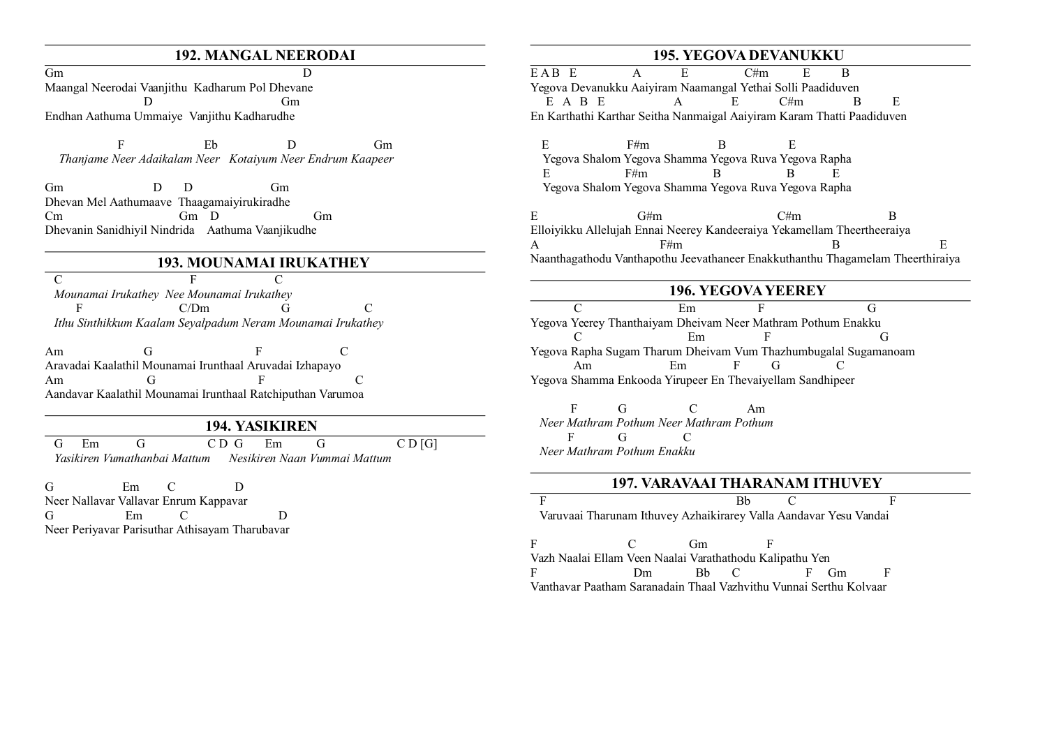## **192. MANGAL NEERODAI**

Gm D Maangal Neerodai Vaanjithu Kadharum Pol Dhevane D Gm Endhan Aathuma Ummaiye Vanjithu Kadharudhe

F Eb D Gm *Thanjame Neer Adaikalam Neer Kotaiyum Neer Endrum Kaapeer*

Gm D D Gm Dhevan Mel Aathumaave Thaagamaiyirukiradhe Cm Gm D Gm Dhevanin Sanidhiyil Nindrida Aathuma Vaanjikudhe

## **193. MOUNAMAI IRUKATHEY**

C F C *Mounamai Irukathey Nee Mounamai Irukathey* F C/Dm G C  *Ithu Sinthikkum Kaalam Seyalpadum Neram Mounamai Irukathey*

Am G F C Aravadai Kaalathil Mounamai Irunthaal Aruvadai Izhapayo Am G F C Aandavar Kaalathil Mounamai Irunthaal Ratchiputhan Varumoa

#### **194. YASIKIREN**

G Em G C D G Em G C D [G] *Yasikiren Vumathanbai Mattum Nesikiren Naan Vummai Mattum*

G Em C D Neer Nallavar Vallavar Enrum Kappavar G Em C D Neer Periyavar Parisuthar Athisayam Tharubavar

## **195. YEGOVA DEVANUKKU**

E A B E A E C#m E B Yegova Devanukku Aaiyiram Naamangal Yethai Solli Paadiduven E A B E A E C#m B E En Karthathi Karthar Seitha Nanmaigal Aaiyiram Karam Thatti Paadiduven

E F#m B E Yegova Shalom Yegova Shamma Yegova Ruva Yegova Rapha E F#m B B E Yegova Shalom Yegova Shamma Yegova Ruva Yegova Rapha

E G#m G+m B Elloiyikku Allelujah Ennai Neerey Kandeeraiya Yekamellam Theertheeraiya A B E  $F#m$  B E Naanthagathodu Vanthapothu Jeevathaneer Enakkuthanthu Thagamelam Theerthiraiya

#### **196. YEGOVA YEEREY**

C Em F G Yegova Yeerey Thanthaiyam Dheivam Neer Mathram Pothum Enakku C Em F G Yegova Rapha Sugam Tharum Dheivam Vum Thazhumbugalal Sugamanoam Am Em F G C Yegova Shamma Enkooda Yirupeer En Thevaiyellam Sandhipeer

F G C Am  *Neer Mathram Pothum Neer Mathram Pothum*  F G C  *Neer Mathram Pothum Enakku*

#### **197. VARAVAAI THARANAM ITHUVEY**

F Bb C F Varuvaai Tharunam Ithuvey Azhaikirarey Valla Aandavar Yesu Vandai

F C Gm F Vazh Naalai Ellam Veen Naalai Varathathodu Kalipathu Yen F Dm Bb C F Gm F Vanthavar Paatham Saranadain Thaal Vazhvithu Vunnai Serthu Kolvaar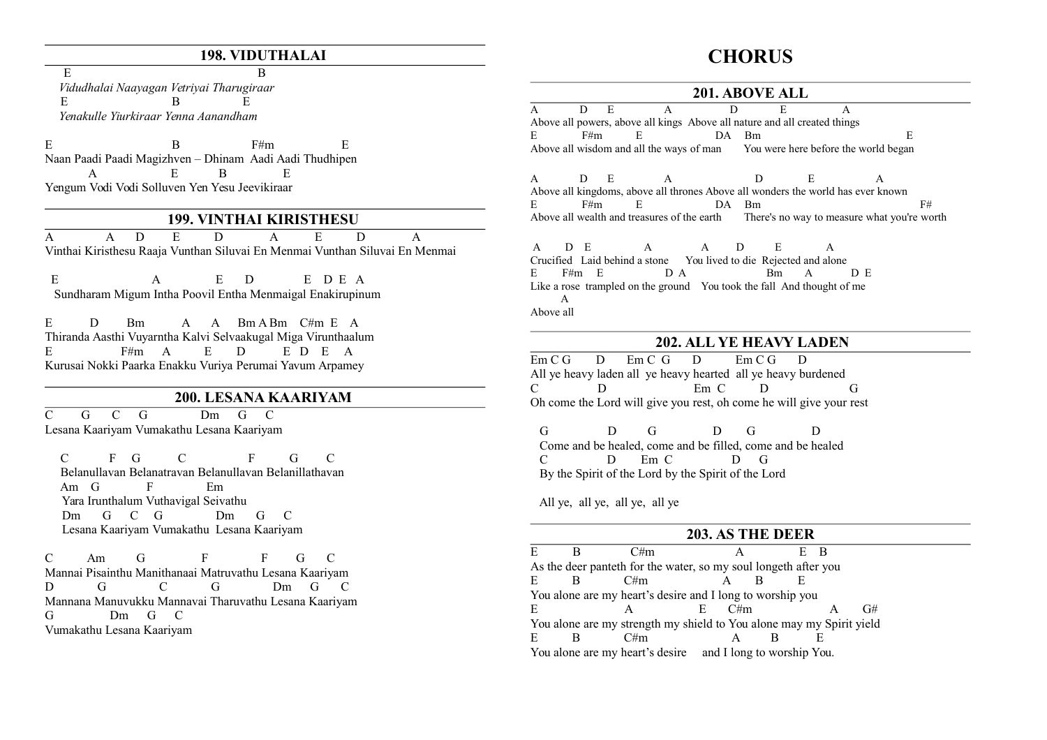## **198. VIDUTHALAI**

E B *Vidudhalai Naayagan Vetriyai Tharugiraar*  E B E *Yenakulle Yiurkiraar Yenna Aanandham*

 $E$  B F#m E Naan Paadi Paadi Magizhven – Dhinam Aadi Aadi Thudhipen A E B E Yengum Vodi Vodi Solluven Yen Yesu Jeevikiraar

## **199. VINTHAI KIRISTHESU**

A A D E D A E D A Vinthai Kiristhesu Raaja Vunthan Siluvai En Menmai Vunthan Siluvai En Menmai

E A E D E DEA Sundharam Migum Intha Poovil Entha Menmaigal Enakirupinum

E D Bm A A Bm A Bm C#m E A Thiranda Aasthi Vuyarntha Kalvi Selvaakugal Miga Virunthaalum E F#m A E D E D E A Kurusai Nokki Paarka Enakku Vuriya Perumai Yavum Arpamey

#### **200. LESANA KAARIYAM**

 $C$  G  $C$  G Dm  $G$   $C$ Lesana Kaariyam Vumakathu Lesana Kaariyam

 C F G C F G C Belanullavan Belanatravan Belanullavan Belanillathavan Am G F Em Yara Irunthalum Vuthavigal Seivathu Dm G C G Dm G C Lesana Kaariyam Vumakathu Lesana Kaariyam

C Am G F F G C Mannai Pisainthu Manithanaai Matruvathu Lesana Kaariyam D G C G Dm G C Mannana Manuvukku Mannavai Tharuvathu Lesana Kaariyam G Dm G C Vumakathu Lesana Kaariyam

# **CHORUS**

#### **201. ABOVE ALL**

A D E A D E A Above all powers, above all kings Above all nature and all created things E F#m E DA Bm E Above all wisdom and all the ways of man You were here before the world began

A D E A D E A Above all kingdoms, above all thrones Above all wonders the world has ever known E F#m E DA Bm Above all wealth and treasures of the earth There's no way to measure what you're worth

 A D E A A D E A Crucified Laid behind a stone You lived to die Rejected and alone  $E$   $F#m$   $E$   $D A$   $Bm$   $A$   $D E$ Like a rose trampled on the ground You took the fall And thought of me A Above all

### **202. ALL YE HEAVY LADEN**

 $Em C G$  D  $Em C G$  D  $Em C G$  D All ye heavy laden all ye heavy hearted all ye heavy burdened C D Em C D G Oh come the Lord will give you rest, oh come he will give your rest

G D G D G D Come and be healed, come and be filled, come and be healed C D Em C D G By the Spirit of the Lord by the Spirit of the Lord

All ye, all ye, all ye, all ye

## **203. AS THE DEER**

E B C#m A E B As the deer panteth for the water, so my soul longeth after you E B C#m A B E You alone are my heart's desire and I long to worship you E A E C#m A G# You alone are my strength my shield to You alone may my Spirit yield E B C#m A B E You alone are my heart's desire and I long to worship You.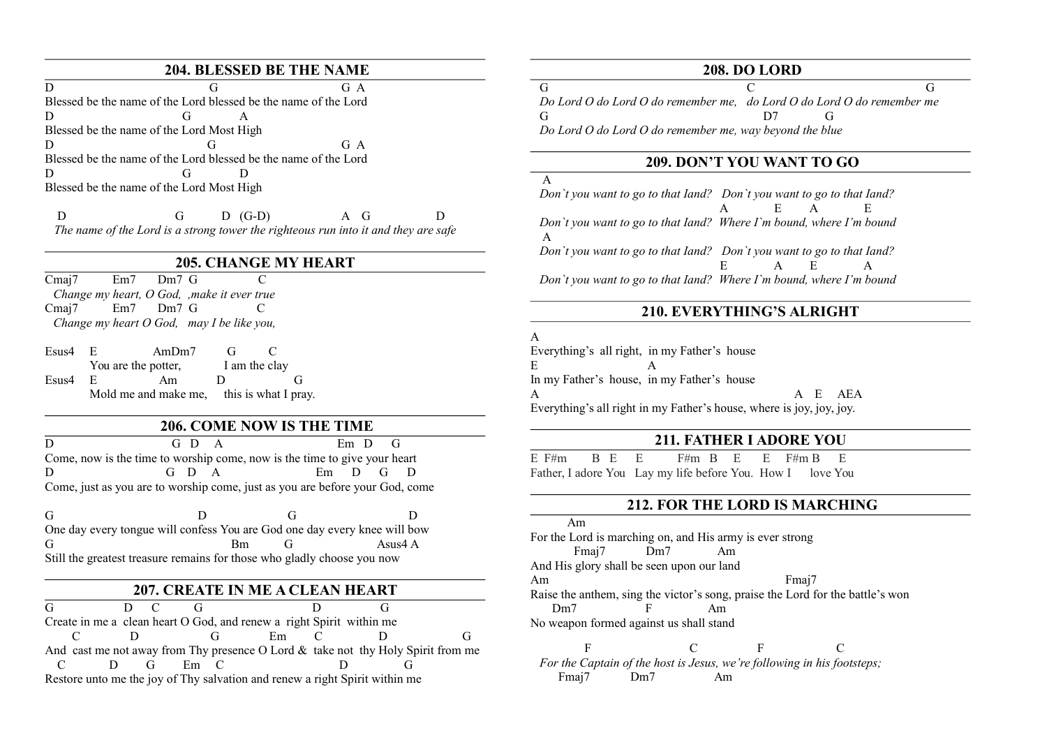#### **204. BLESSED BE THE NAME**

D G G A Blessed be the name of the Lord blessed be the name of the Lord D G A Blessed be the name of the Lord Most High D G G A Blessed be the name of the Lord blessed be the name of the Lord D G D Blessed be the name of the Lord Most High

 D G D (G-D) A G D  *The name of the Lord is a strong tower the righteous run into it and they are safe*

## **205. CHANGE MY HEART**

Cmai7 Em7 Dm7 G C *Change my heart, O God, ,make it ever true* Cmai7 Em7 Dm7 G C *Change my heart O God, may I be like you,*

Esus4 E AmDm7 G C You are the potter, I am the clay Esus4 E Am D G Mold me and make me, this is what I pray.

## **206. COME NOW IS THE TIME**

D G D A Em D G Come, now is the time to worship come, now is the time to give your heart D G D A Em D G D Come, just as you are to worship come, just as you are before your God, come

G D G D One day every tongue will confess You are God one day every knee will bow G Bm G Asus4 A Still the greatest treasure remains for those who gladly choose you now

#### **207. CREATE IN ME A CLEAN HEART**

G D C G D G Create in me a clean heart O God, and renew a right Spirit within me C D G Em C D G And cast me not away from Thy presence O Lord & take not thy Holy Spirit from me C D G Em C Restore unto me the joy of Thy salvation and renew a right Spirit within me

#### **208. DO LORD**

 G C G  *Do Lord O do Lord O do remember me, do Lord O do Lord O do remember me*  G D7 G  *Do Lord O do Lord O do remember me, way beyond the blue*

## **209. DON'T YOU WANT TO GO**

 A  *Don`t you want to go to that Iand? Don`t you want to go to that Iand?* A E A E  *Don`t you want to go to that Iand? Where I`m bound, where I'm bound* A  *Don`t you want to go to that Iand? Don`t you want to go to that Iand?* E A E A  *Don`t you want to go to that Iand? Where I`m bound, where I'm bound*

## **210. EVERYTHING'S ALRIGHT**

A Everything's all right, in my Father's house  $E$  A In my Father's house, in my Father's house A A E AFA Everything's all right in my Father's house, where is joy, joy, joy.

#### **211. FATHER I ADORE YOU**

E F#m B E E F#m B E E F#m B E Father, I adore You Lay my life before You. How I love You

## **212. FOR THE LORD IS MARCHING**

 Am For the Lord is marching on, and His army is ever strong Fmaj7 Dm7 Am And His glory shall be seen upon our land Am Fmaj7 Raise the anthem, sing the victor's song, praise the Lord for the battle's won Dm7 F Am No weapon formed against us shall stand

F C F C  *For the Captain of the host is Jesus, we're following in his footsteps;* Fmaj7 Dm7 Am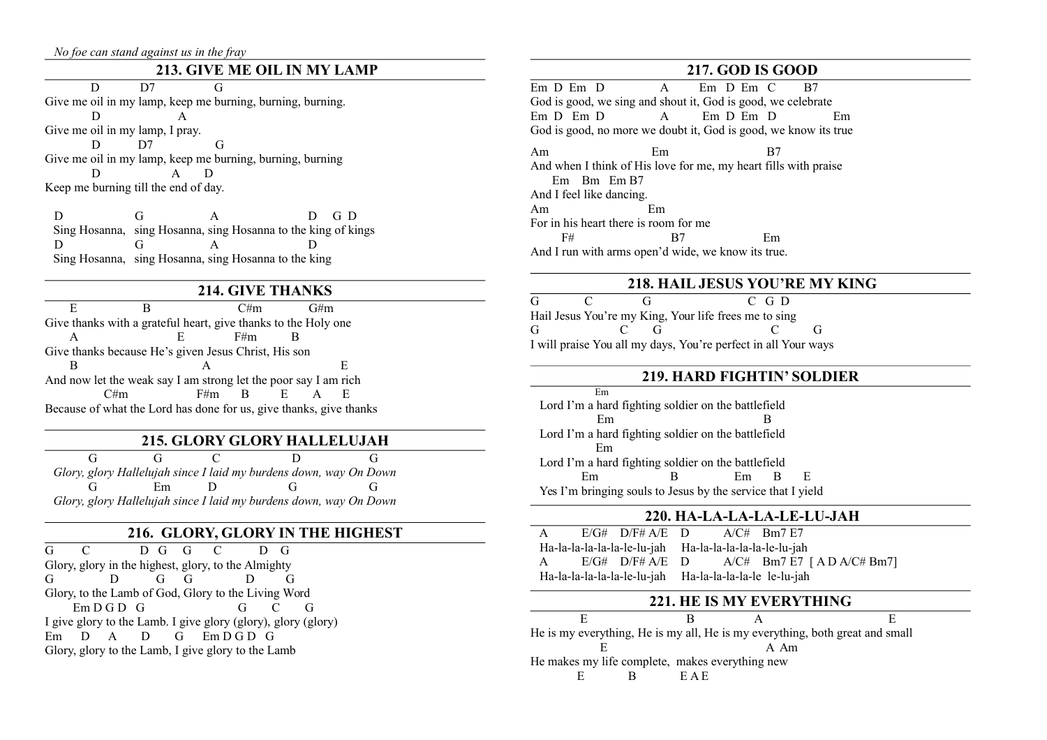#### **213. GIVE ME OIL IN MY LAMP**

 $\overline{D}$   $\overline{D7}$   $\overline{G}$ 

Give me oil in my lamp, keep me burning, burning, burning. D A Give me oil in my lamp, I pray. D D7 G Give me oil in my lamp, keep me burning, burning, burning D A D Keep me burning till the end of day.

D G A D G D Sing Hosanna, sing Hosanna, sing Hosanna to the king of kings D G A D Sing Hosanna, sing Hosanna, sing Hosanna to the king

#### **214. GIVE THANKS**

E B C#m G#m Give thanks with a grateful heart, give thanks to the Holy one A E F#m B Give thanks because He's given Jesus Christ, His son  $\mathbf B$  B  $\mathbf A$  E And now let the weak say I am strong let the poor say I am rich C#m F#m B E A E Because of what the Lord has done for us, give thanks, give thanks

## **215. GLORY GLORY HALLELUJAH**

 G G C D G *Glory, glory Hallelujah since I laid my burdens down, way On Down* G Em D G G *Glory, glory Hallelujah since I laid my burdens down, way On Down*

## **216. GLORY, GLORY IN THE HIGHEST**

 $G$  C D G G C D G Glory, glory in the highest, glory, to the Almighty G D G G D G Glory, to the Lamb of God, Glory to the Living Word Em D G D G G G G G I give glory to the Lamb. I give glory (glory), glory (glory)  $Em$  D A D G  $Em DGD$  G Glory, glory to the Lamb, I give glory to the Lamb

## **217. GOD IS GOOD**

Em D Em D A Em D Em C B7 God is good, we sing and shout it, God is good, we celebrate Em D Em D A Em D Em D Em God is good, no more we doubt it, God is good, we know its true

Am Em B7 And when I think of His love for me, my heart fills with praise Em Bm Em B7 And I feel like dancing. Am Em For in his heart there is room for me F# B7 Em And I run with arms open'd wide, we know its true.

## **218. HAIL JESUS YOU'RE MY KING**

 $G$   $C$   $G$   $C$   $G$   $D$ Hail Jesus You're my King, Your life frees me to sing G C G C G I will praise You all my days, You're perfect in all Your ways

## **219. HARD FIGHTIN' SOLDIER**

 Em Lord I'm a hard fighting soldier on the battlefield Em B Lord I'm a hard fighting soldier on the battlefield Em Lord I'm a hard fighting soldier on the battlefield Em B Em B E Yes I'm bringing souls to Jesus by the service that I yield

#### **220. HA-LA-LA-LA-LE-LU-JAH**

A  $E/G# D/F# A/E D A/C# Bm7 E7$  Ha-la-la-la-la-la-le-lu-jah Ha-la-la-la-la-la-le-lu-jah A  $E/G# D/F# A/E D$   $A/C# Bm7 E7 [ A D A/C# Bm7]$ Ha-la-la-la-la-la-le-lu-jah Ha-la-la-la-la-le le-lu-jah

## **221. HE IS MY EVERYTHING**

E B A E He is my everything, He is my all, He is my everything, both great and small E A Am He makes my life complete, makes everything new E B EAE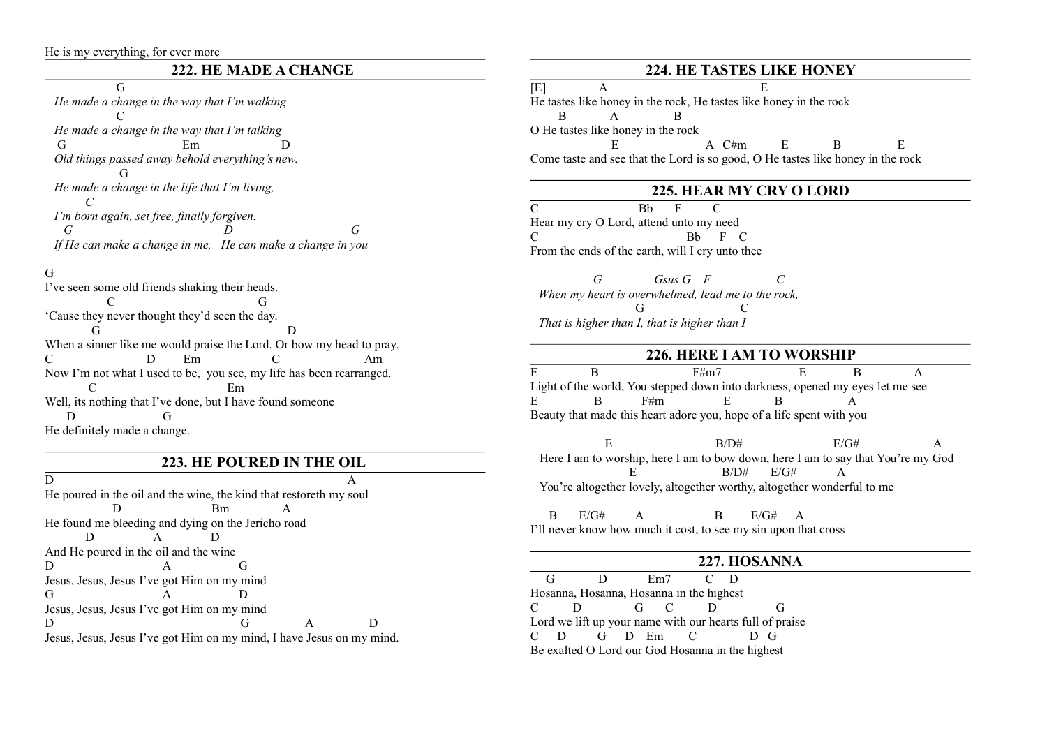#### **222. HE MADE A CHANGE**

G

 *He made a change in the way that I'm walking* **C**  *He made a change in the way that I'm talking* G Em D  *Old things passed away behold everything's new.* G  *He made a change in the life that I'm living, C I'm born again, set free, finally forgiven. G D G If He can make a change in me, He can make a change in you*

G

I've seen some old friends shaking their heads. C G 'Cause they never thought they'd seen the day. G D When a sinner like me would praise the Lord. Or bow my head to pray. C D Em C Am Now I'm not what I used to be, you see, my life has been rearranged. C Em Well, its nothing that I've done, but I have found someone D G He definitely made a change.

## **223. HE POURED IN THE OIL**

 $D$  A He poured in the oil and the wine, the kind that restoreth my soul D Bm A He found me bleeding and dying on the Jericho road D A D And He poured in the oil and the wine D A G Jesus, Jesus, Jesus I've got Him on my mind G A D Jesus, Jesus, Jesus I've got Him on my mind D G A D Jesus, Jesus, Jesus I've got Him on my mind, I have Jesus on my mind.

#### **224. HE TASTES LIKE HONEY**

 $[E]$  A E He tastes like honey in the rock, He tastes like honey in the rock B A B O He tastes like honey in the rock E A C#m E B E Come taste and see that the Lord is so good, O He tastes like honey in the rock

## **225. HEAR MY CRY O LORD**

 $Bh \t F \t C$ Hear my cry O Lord, attend unto my need C Bb F C From the ends of the earth, will I cry unto thee

 *G Gsus G F C When my heart is overwhelmed, lead me to the rock,* G C *That is higher than I, that is higher than I* 

#### **226. HERE I AM TO WORSHIP**

E B F#m7 E B A Light of the world, You stepped down into darkness, opened my eyes let me see E B F#m E B A Beauty that made this heart adore you, hope of a life spent with you

E B/D#  $E/G#$  A Here I am to worship, here I am to bow down, here I am to say that You're my God E B/D#  $E/G#$  A You're altogether lovely, altogether worthy, altogether wonderful to me

#### $B$   $E/G#$   $A$   $B$   $E/G#$   $A$ I'll never know how much it cost, to see my sin upon that cross

## **227. HOSANNA**

G D Em7 C D Hosanna, Hosanna, Hosanna in the highest C D G C D G Lord we lift up your name with our hearts full of praise C D G D Em C D G Be exalted O Lord our God Hosanna in the highest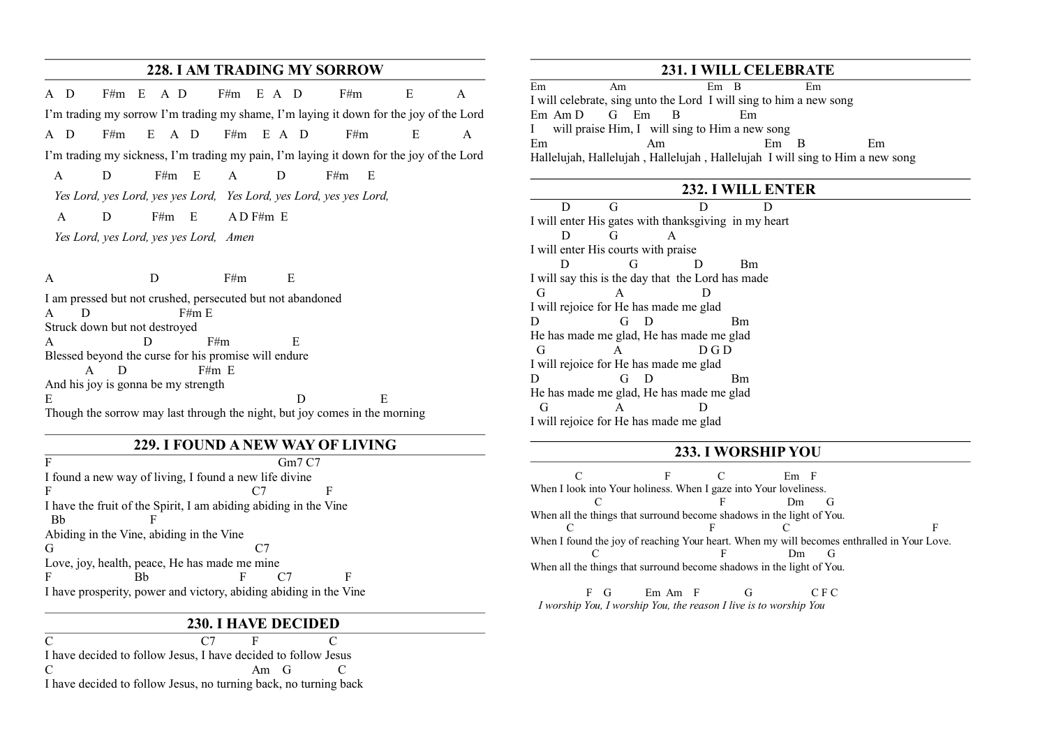#### **228. I AM TRADING MY SORROW**

A D F#m E A D F#m E A D F#m E A I'm trading my sorrow I'm trading my shame, I'm laying it down for the joy of the Lord A D F#m E A D F#m E A D F#m E A I'm trading my sickness, I'm trading my pain, I'm laying it down for the joy of the Lord A D F#m E A D F#m E  *Yes Lord, yes Lord, yes yes Lord, Yes Lord, yes Lord, yes yes Lord,*   $A$  D F#m E  $A$  D F#m E  *Yes Lord, yes Lord, yes yes Lord, Amen*

A  $D$  F#m  $E$ I am pressed but not crushed, persecuted but not abandoned  $A$  D F#m E Struck down but not destroyed A  $D$  F#m  $E$ Blessed beyond the curse for his promise will endure A D F#m E And his joy is gonna be my strength E D E Though the sorrow may last through the night, but joy comes in the morning

#### **229. I FOUND A NEW WAY OF LIVING**

F Gm7 C7 I found a new way of living, I found a new life divine F C7 F I have the fruit of the Spirit, I am abiding abiding in the Vine **R<sub>h</sub>** Abiding in the Vine, abiding in the Vine G C7 Love, joy, health, peace, He has made me mine F Bb F C7 F I have prosperity, power and victory, abiding abiding in the Vine

#### **230. I HAVE DECIDED**

C C7 F C I have decided to follow Jesus, I have decided to follow Jesus C Am G C I have decided to follow Jesus, no turning back, no turning back

#### **231. I WILL CELEBRATE**

Em Am Em B Em I will celebrate, sing unto the Lord I will sing to him a new song Em Am D G Em B Em I will praise Him, I will sing to Him a new song Em Am Em B Em Hallelujah, Hallelujah , Hallelujah , Hallelujah I will sing to Him a new song

#### **232. I WILL ENTER**

D G D D I will enter His gates with thanksgiving in my heart D G A I will enter His courts with praise D G D Bm I will say this is the day that the Lord has made G A D I will rejoice for He has made me glad G D Bm He has made me glad, He has made me glad G A D G D I will rejoice for He has made me glad D G D Bm He has made me glad, He has made me glad G A D I will rejoice for He has made me glad

#### **233. I WORSHIP YOU**

 C F C Em F When I look into Your holiness. When I gaze into Your loveliness. C F Dm G When all the things that surround become shadows in the light of You. C F C F When I found the joy of reaching Your heart. When my will becomes enthralled in Your Love. C F Dm G When all the things that surround become shadows in the light of You.

F G Em Am F G CFC *I worship You, I worship You, the reason I live is to worship You*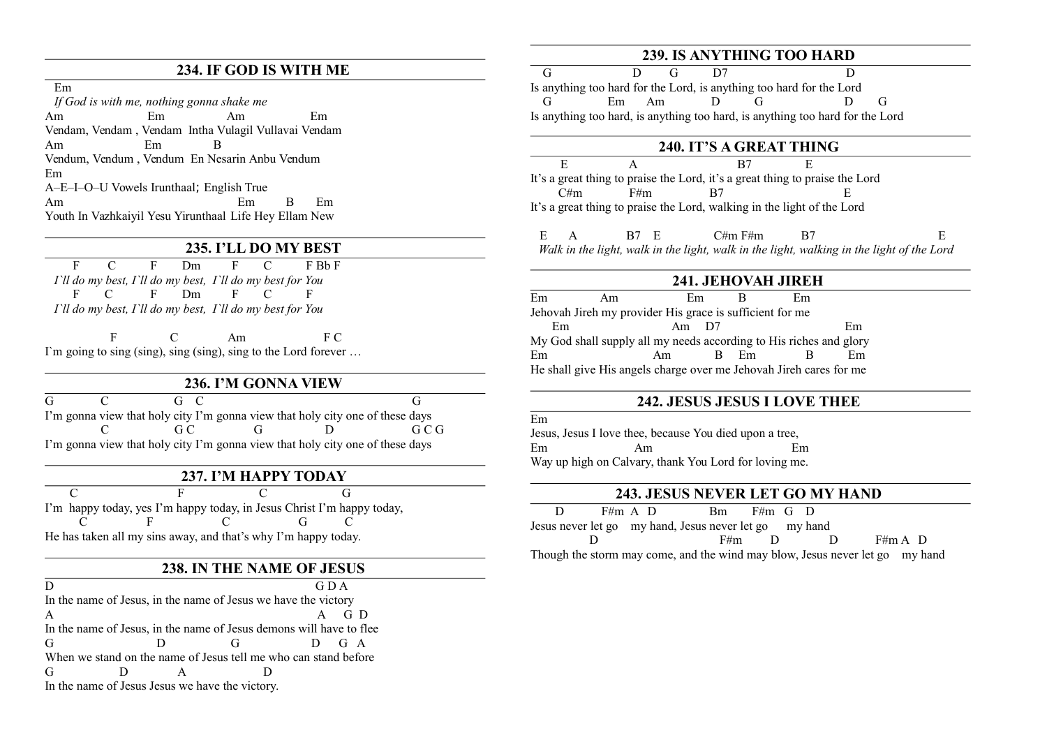#### **234. IF GOD IS WITH ME**

Em

 *If God is with me, nothing gonna shake me* Am Em Am Em Vendam, Vendam , Vendam Intha Vulagil Vullavai Vendam Am Em B Vendum, Vendum , Vendum En Nesarin Anbu Vendum Em A–E–I–O–U Vowels Irunthaal; English True Am Em B Em Youth In Vazhkaiyil Yesu Yirunthaal Life Hey Ellam New

#### **235. I'LL DO MY BEST**

F C F Dm F C FBbF *I`ll do my best, I`ll do my best, I`ll do my best for You*  F C F Dm F C F *I`ll do my best, I`ll do my best, I`ll do my best for You* 

F C Am F C I'm going to sing (sing), sing (sing), sing to the Lord forever  $\ldots$ 

#### **236. I'M GONNA VIEW**

 $G$   $G$   $G$   $G$   $G$   $G$ I'm gonna view that holy city I'm gonna view that holy city one of these days C G C G D G C G I'm gonna view that holy city I'm gonna view that holy city one of these days

## **237. I'M HAPPY TODAY**

C F C G I'm happy today, yes I'm happy today, in Jesus Christ I'm happy today, C F C G C He has taken all my sins away, and that's why I'm happy today.

#### **238. IN THE NAME OF JESUS**

D G D A In the name of Jesus, in the name of Jesus we have the victory A A G D In the name of Jesus, in the name of Jesus demons will have to flee G D G D G A When we stand on the name of Jesus tell me who can stand before G D A D In the name of Jesus Jesus we have the victory.

## **239. IS ANYTHING TOO HARD**

G D G D7 D Is anything too hard for the Lord, is anything too hard for the Lord G Em Am D G D G Is anything too hard, is anything too hard, is anything too hard for the Lord

## **240. IT'S A GREAT THING**

E A B7 E It's a great thing to praise the Lord, it's a great thing to praise the Lord  $C#m$  F#m B7 E It's a great thing to praise the Lord, walking in the light of the Lord

E A B7 E C#m F#m B7 E *Walk in the light, walk in the light, walk in the light, walking in the light of the Lord*

## **241. JEHOVAH JIREH**

Em Am Em B Em Jehovah Jireh my provider His grace is sufficient for me Em Am D7 Em My God shall supply all my needs according to His riches and glory Em Am B Em B Em He shall give His angels charge over me Jehovah Jireh cares for me

#### **242. JESUS JESUS I LOVE THEE**

Em

Jesus, Jesus I love thee, because You died upon a tree, Em Am Em Way up high on Calvary, thank You Lord for loving me.

#### **243. JESUS NEVER LET GO MY HAND**

D F#m A D Bm F#m G D Jesus never let go my hand, Jesus never let go my hand D F#m D D F#m A D Though the storm may come, and the wind may blow, Jesus never let go my hand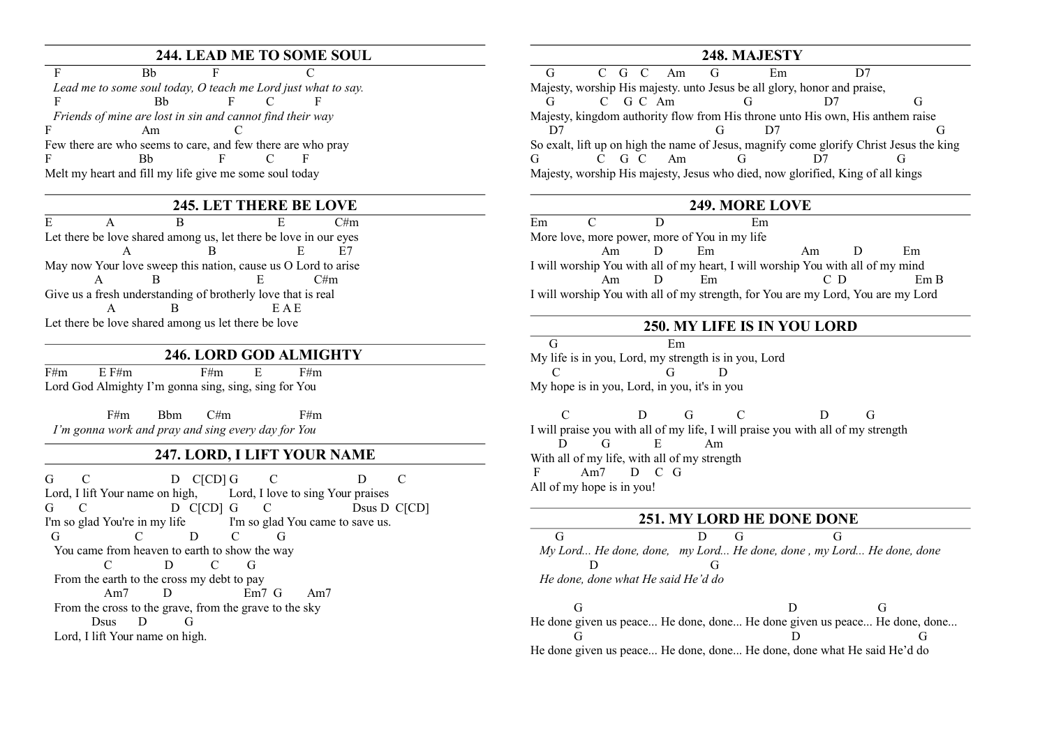## **244. LEAD ME TO SOME SOUL**

F Bb F C *Lead me to some soul today, O teach me Lord just what to say.* F Bb F C F *Friends of mine are lost in sin and cannot find their way* F Am C Few there are who seems to care, and few there are who pray F Bb F C F Melt my heart and fill my life give me some soul today

#### **245. LET THERE BE LOVE**

E A B E C#m Let there be love shared among us, let there be love in our eyes A B E E7 May now Your love sweep this nation, cause us O Lord to arise A B E C#m Give us a fresh understanding of brotherly love that is real A B EAE Let there be love shared among us let there be love

#### **246. LORD GOD ALMIGHTY**

 $F#m$  E  $F#m$  F#m E F#m Lord God Almighty I'm gonna sing, sing, sing for You

F#m Bbm C#m F#m *I'm gonna work and pray and sing every day for You*

#### **247. LORD, I LIFT YOUR NAME**

G C D C[CD] G C D C<br>Lord, I lift Your name on high, Lord, I love to sing Your praises Lord, I love to sing Your praises G C D C[CD] G C D DSUS D C[CD] I'm so glad You're in my life I'm so glad You came to save us. I'm so glad You came to save us. G C D C G You came from heaven to earth to show the way C D C G From the earth to the cross my debt to pay Am7 D Em7 G Am7 From the cross to the grave, from the grave to the sky Dsus D G Lord, I lift Your name on high.

## **248. MAJESTY**

|                                                                                         |             |  |  | $C$ $G$ $C$ $Am$ |  | Em |  |  |  |  |
|-----------------------------------------------------------------------------------------|-------------|--|--|------------------|--|----|--|--|--|--|
| Majesty, worship His majesty, unto Jesus be all glory, honor and praise,                |             |  |  |                  |  |    |  |  |  |  |
|                                                                                         | C G C Am    |  |  |                  |  |    |  |  |  |  |
| Majesty, kingdom authority flow from His throne unto His own, His anthem raise          |             |  |  |                  |  |    |  |  |  |  |
|                                                                                         |             |  |  |                  |  |    |  |  |  |  |
| So exalt, lift up on high the name of Jesus, magnify come glorify Christ Jesus the king |             |  |  |                  |  |    |  |  |  |  |
|                                                                                         | $C$ $G$ $C$ |  |  | – Am             |  |    |  |  |  |  |
| Majesty, worship His majesty, Jesus who died, now glorified, King of all kings          |             |  |  |                  |  |    |  |  |  |  |

#### **249. MORE LOVE**

Em C D Em More love, more power, more of You in my life Am D Em Am D Em I will worship You with all of my heart, I will worship You with all of my mind Am D Em C D Em B I will worship You with all of my strength, for You are my Lord, You are my Lord

## **250. MY LIFE IS IN YOU LORD**

 G Em My life is in you, Lord, my strength is in you, Lord C G D My hope is in you, Lord, in you, it's in you

 C D G C D G I will praise you with all of my life, I will praise you with all of my strength D G E Am With all of my life, with all of my strength F Am7 D C G All of my hope is in you!

#### **251. MY LORD HE DONE DONE**

G D G G  *My Lord... He done, done, my Lord... He done, done , my Lord... He done, done* D G  *He done, done what He said He'd do*

G D G He done given us peace... He done, done... He done given us peace... He done, done... G D G He done given us peace... He done, done... He done, done what He said He'd do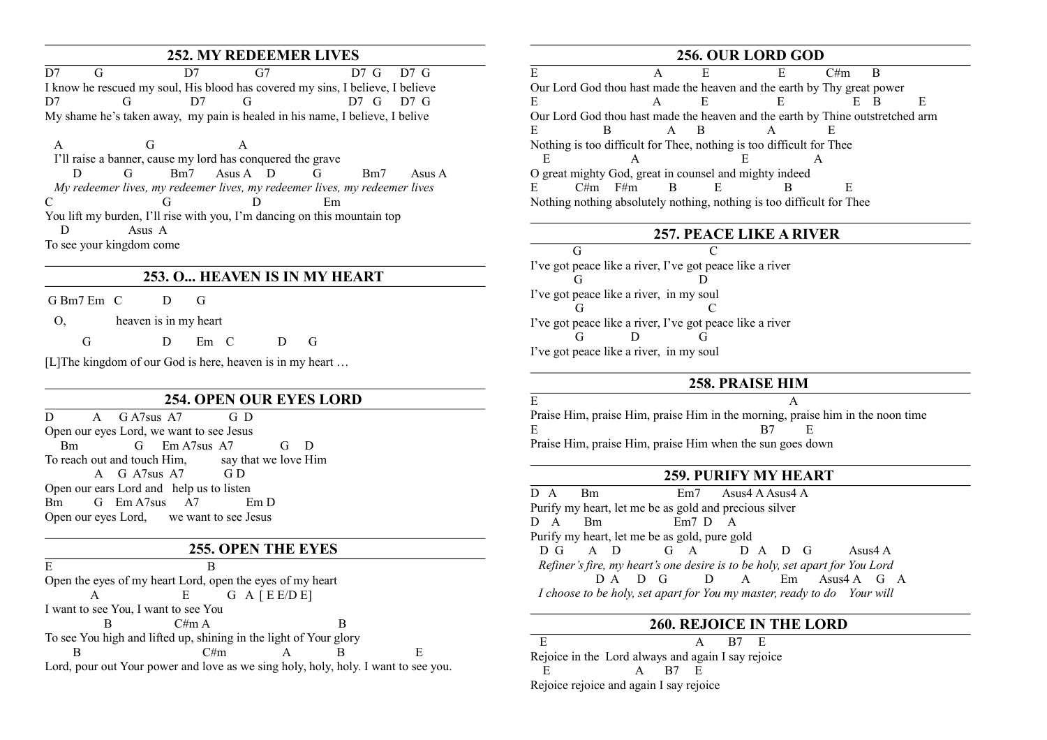## **252. MY REDEEMER LIVES**

D7 G D7 G7 D7 G D7 G D7 G I know he rescued my soul, His blood has covered my sins, I believe, I believe D7 G D7 G D7 G D7 G D7 G My shame he's taken away, my pain is healed in his name, I believe, I belive

A G A I'll raise a banner, cause my lord has conquered the grave D G Bm7 Asus A D G Bm7 Asus A *My redeemer lives, my redeemer lives, my redeemer lives, my redeemer lives* C G D Em You lift my burden, I'll rise with you, I'm dancing on this mountain top D Asus A To see your kingdom come

#### **253. O... HEAVEN IS IN MY HEART**

G Bm7 Em C D G

O, heaven is in my heart

G D Em C D G

[L]The kingdom of our God is here, heaven is in my heart …

#### **254. OPEN OUR EYES LORD**

D A GA7sus A7 G D Open our eyes Lord, we want to see Jesus Bm G Em A7sus A7 G D To reach out and touch Him, say that we love Him A G A7sus A7 G D Open our ears Lord and help us to listen Bm G Em A7sus A7 Em D Open our eyes Lord, we want to see Jesus

#### **255. OPEN THE EYES**

E B Open the eyes of my heart Lord, open the eyes of my heart A E G A [ E E/D E] I want to see You, I want to see You  $B$  C#m A To see You high and lifted up, shining in the light of Your glory B C#m A B E Lord, pour out Your power and love as we sing holy, holy, holy. I want to see you.

## **256. OUR LORD GOD**

 $E$  A E  $E$   $C\#m$  B Our Lord God thou hast made the heaven and the earth by Thy great power E A E E E B E Our Lord God thou hast made the heaven and the earth by Thine outstretched arm E B A B A E Nothing is too difficult for Thee, nothing is too difficult for Thee E A E A O great mighty God, great in counsel and mighty indeed E C#m F#m B E B E Nothing nothing absolutely nothing, nothing is too difficult for Thee

#### **257. PEACE LIKE A RIVER**

 G C I've got peace like a river, I've got peace like a river G D I've got peace like a river, in my soul G C I've got peace like a river, I've got peace like a river G D G I've got peace like a river, in my soul

#### **258. PRAISE HIM**

 $\mathbf{E}$  and  $\mathbf{A}$ Praise Him, praise Him, praise Him in the morning, praise him in the noon time E B7 E Praise Him, praise Him, praise Him when the sun goes down

#### **259. PURIFY MY HEART**

D A Bm Em7 Asus4 A Asus4 A Purify my heart, let me be as gold and precious silver D A Bm Em7 D A Purify my heart, let me be as gold, pure gold D G A D G A D A D G Asus4 A *Refiner's fire, my heart's one desire is to be holy, set apart for You Lord* D A D G D A Em Asus4 A G A *I choose to be holy, set apart for You my master, ready to do Your will*

## **260. REJOICE IN THE LORD**

E A B7 E Rejoice in the Lord always and again I say rejoice E A B7 E Rejoice rejoice and again I say rejoice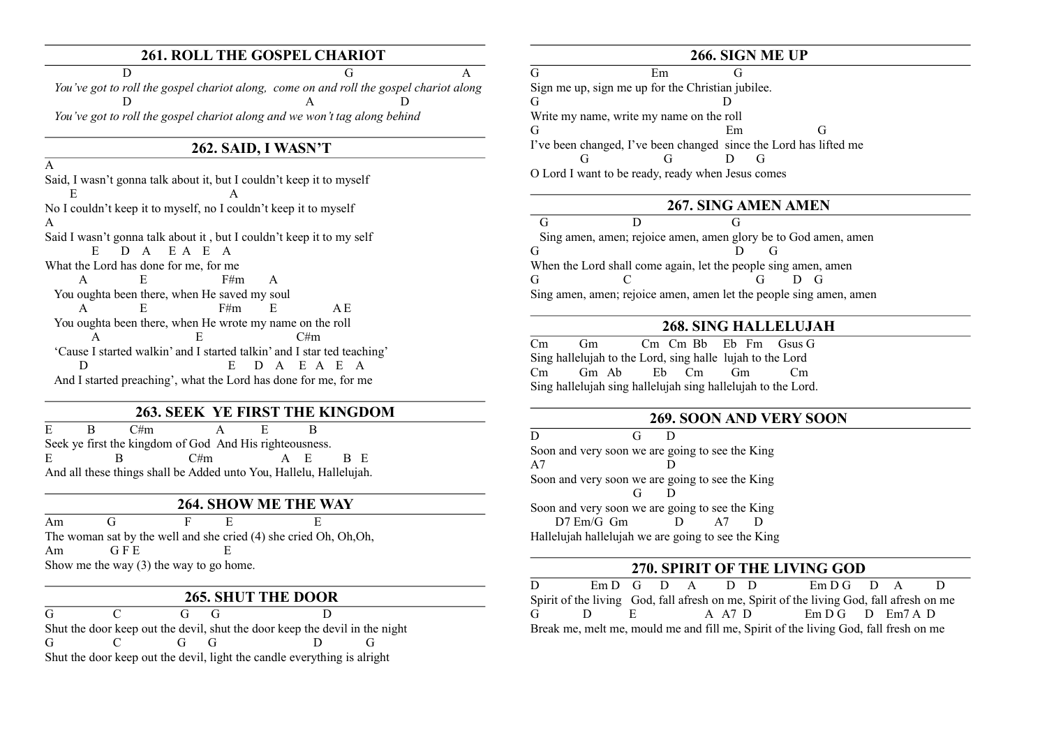## **261. ROLL THE GOSPEL CHARIOT**

D G A *You've got to roll the gospel chariot along, come on and roll the gospel chariot along* D A D  *You've got to roll the gospel chariot along and we won't tag along behind*

#### **262. SAID, I WASN'T**

A Said, I wasn't gonna talk about it, but I couldn't keep it to myself E A No I couldn't keep it to myself, no I couldn't keep it to myself A Said I wasn't gonna talk about it , but I couldn't keep it to my self E D A E A E A What the Lord has done for me, for me A E F#m A You oughta been there, when He saved my soul A E F#m E A E You oughta been there, when He wrote my name on the roll A E C#m 'Cause I started walkin' and I started talkin' and I star ted teaching' D E D A E A E A And I started preaching', what the Lord has done for me, for me

## **263. SEEK YE FIRST THE KINGDOM**

E B C#m A E B Seek ye first the kingdom of God And His righteousness. E B C#m A E B E And all these things shall be Added unto You, Hallelu, Hallelujah.

#### **264. SHOW ME THE WAY**

Am G F E E The woman sat by the well and she cried (4) she cried Oh, Oh,Oh, Am GFE E Show me the way (3) the way to go home.

#### **265. SHUT THE DOOR**

G C G G D Shut the door keep out the devil, shut the door keep the devil in the night G C G G D G Shut the door keep out the devil, light the candle everything is alright

## **266. SIGN ME UP**

G Em G Sign me up, sign me up for the Christian jubilee. G D Write my name, write my name on the roll G Em G I've been changed, I've been changed since the Lord has lifted me G G D G O Lord I want to be ready, ready when Jesus comes

#### **267. SING AMEN AMEN**

 G D G Sing amen, amen; rejoice amen, amen glory be to God amen, amen G D G When the Lord shall come again, let the people sing amen, amen G C G D G Sing amen, amen; rejoice amen, amen let the people sing amen, amen

#### **268. SING HALLELUJAH**

Cm Gm Cm Cm Bb Eb Fm Gsus G Sing hallelujah to the Lord, sing halle lujah to the Lord Cm Gm Ab Eb Cm Gm Cm Sing hallelujah sing hallelujah sing hallelujah to the Lord.

## **269. SOON AND VERY SOON**

D G D Soon and very soon we are going to see the King A7 D Soon and very soon we are going to see the King G D Soon and very soon we are going to see the King D7 Em/G Gm D A7 Hallelujah hallelujah we are going to see the King

#### **270. SPIRIT OF THE LIVING GOD**

D Em D G D A D D Em D G D A D Spirit of the living God, fall afresh on me, Spirit of the living God, fall afresh on me G D E A A7 D Em DG D Em7 A D Break me, melt me, mould me and fill me, Spirit of the living God, fall fresh on me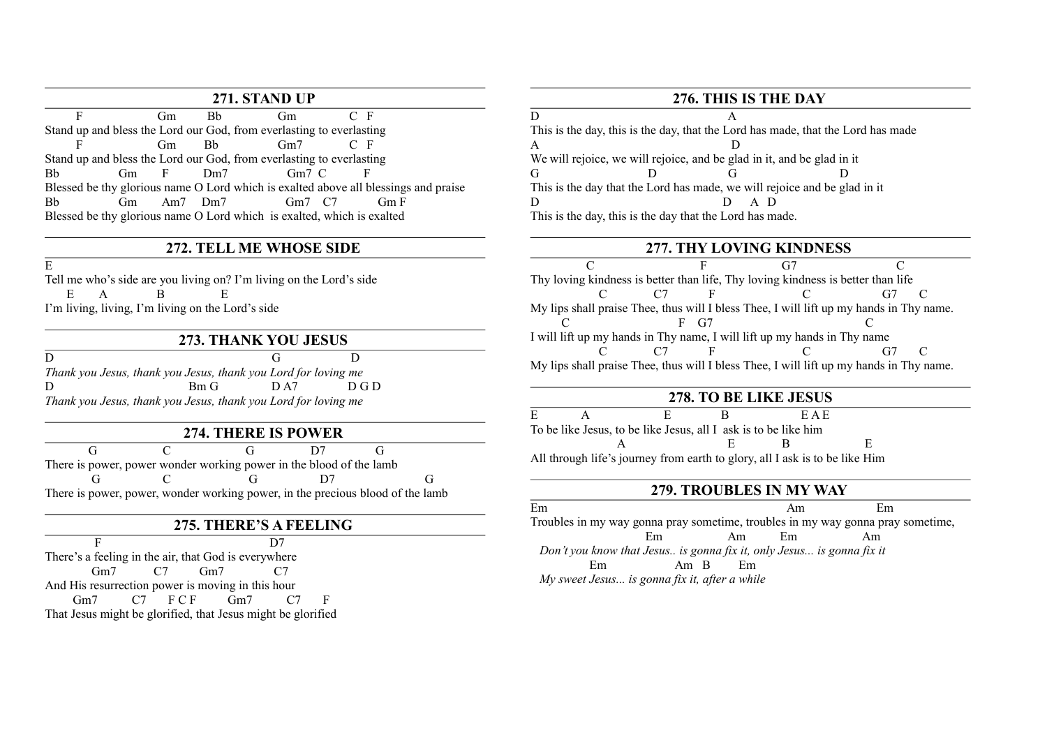#### **271. STAND UP**

F Gm Bb Gm C F Stand up and bless the Lord our God, from everlasting to everlasting F Gm Bb Gm7 C F Stand up and bless the Lord our God, from everlasting to everlasting Bb Gm F Dm7 Gm7 C F Blessed be thy glorious name O Lord which is exalted above all blessings and praise Bb Gm Am7 Dm7 Gm7 C7 Gm F Blessed be thy glorious name O Lord which is exalted, which is exalted

#### **272. TELL ME WHOSE SIDE**

 $\overline{E}$ 

Tell me who's side are you living on? I'm living on the Lord's side E A B E I'm living, living, I'm living on the Lord's side

#### **273. THANK YOU JESUS**

D G D *Thank you Jesus, thank you Jesus, thank you Lord for loving me* D Bm G D A7 D G D *Thank you Jesus, thank you Jesus, thank you Lord for loving me*

## **274. THERE IS POWER**

G C G D7 G There is power, power wonder working power in the blood of the lamb G C G D7 G There is power, power, wonder working power, in the precious blood of the lamb

#### **275. THERE'S A FEELING**

F D7 There's a feeling in the air, that God is everywhere Gm7 C7 Gm7 C7 And His resurrection power is moving in this hour Gm7 C7 FCF Gm7 C7 F That Jesus might be glorified, that Jesus might be glorified

#### **276. THIS IS THE DAY**

D A This is the day, this is the day, that the Lord has made, that the Lord has made A D We will rejoice, we will rejoice, and be glad in it, and be glad in it. G D G D This is the day that the Lord has made, we will rejoice and be glad in it D A D This is the day, this is the day that the Lord has made.

#### **277. THY LOVING KINDNESS**

C F G7 C Thy loving kindness is better than life, Thy loving kindness is better than life C C7 F C G7 C My lips shall praise Thee, thus will I bless Thee, I will lift up my hands in Thy name. C F G7 C I will lift up my hands in Thy name, I will lift up my hands in Thy name C C7 F C G7 C My lips shall praise Thee, thus will I bless Thee, I will lift up my hands in Thy name.

#### **278. TO BE LIKE JESUS**

E A E B EAE To be like Jesus, to be like Jesus, all I ask is to be like him A E B E All through life's journey from earth to glory, all I ask is to be like Him

#### **279. TROUBLES IN MY WAY**

Em Am Em Troubles in my way gonna pray sometime, troubles in my way gonna pray sometime, Em Am Em Am  *Don't you know that Jesus.. is gonna fix it, only Jesus... is gonna fix it* Em Am B Em  *My sweet Jesus... is gonna fix it, after a while*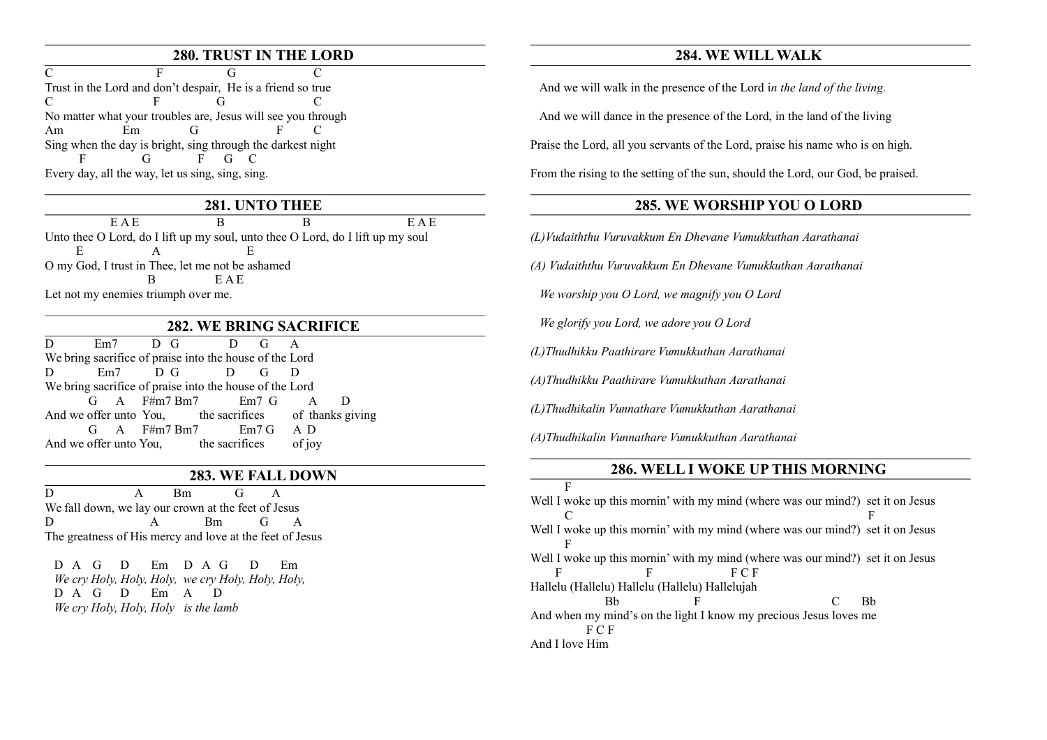## **280. TRUST IN THE LORD**

C F G C Trust in the Lord and don't despair, He is a friend so true C F G C No matter what your troubles are, Jesus will see you through Am Em G F C Sing when the day is bright, sing through the darkest night F G F G C Every day, all the way, let us sing, sing, sing.

## **281. UNTO THEE**

E A E B B E A E Unto thee O Lord, do I lift up my soul, unto thee O Lord, do I lift up my soul E A E O my God, I trust in Thee, let me not be ashamed B E A E Let not my enemies triumph over me.

## **282. WE BRING SACRIFICE**

D Em7 D G D G A We bring sacrifice of praise into the house of the Lord D Em7 D G D G D We bring sacrifice of praise into the house of the Lord G A F#m7 Bm7 Em7 G A D And we offer unto You, the sacrifices of thanks giving  $G \quad A \quad F\#m7 \, Bm7 \quad Em7 \, G \quad A \, D$ And we offer unto You, the sacrifices of joy

## **283. WE FALL DOWN**

D A Bm G A We fall down, we lay our crown at the feet of Jesus D A Bm G A The greatness of His mercy and love at the feet of Jesus

 D A G D Em D A G D Em *We cry Holy, Holy, Holy, we cry Holy, Holy, Holy,* D A G D Em A D  *We cry Holy, Holy, Holy is the lamb*

## **284. WE WILL WALK**

 And we will walk in the presence of the Lord i*n the land of the living.*  And we will dance in the presence of the Lord, in the land of the living Praise the Lord, all you servants of the Lord, praise his name who is on high. From the rising to the setting of the sun, should the Lord, our God, be praised.

## **285. WE WORSHIP YOU O LORD**

*(L)Vudaiththu Vuruvakkum En Dhevane Vumukkuthan Aarathanai*

*(A) Vudaiththu Vuruvakkum En Dhevane Vumukkuthan Aarathanai*

 *We worship you O Lord, we magnify you O Lord*

 *We glorify you Lord, we adore you O Lord*

*(L)Thudhikku Paathirare Vumukkuthan Aarathanai* 

*(A)Thudhikku Paathirare Vumukkuthan Aarathanai* 

*(L)Thudhikalin Vunnathare Vumukkuthan Aarathanai*

*(A)Thudhikalin Vunnathare Vumukkuthan Aarathanai*

## **286. WELL I WOKE UP THIS MORNING**

 F Well I woke up this mornin' with my mind (where was our mind?) set it on Jesus C F Well I woke up this mornin' with my mind (where was our mind?) set it on Jesus F Well I woke up this mornin' with my mind (where was our mind?) set it on Jesus F F F C F Hallelu (Hallelu) Hallelu (Hallelu) Hallelujah Bb F C Bb And when my mind's on the light I know my precious Jesus loves me F C F And I love Him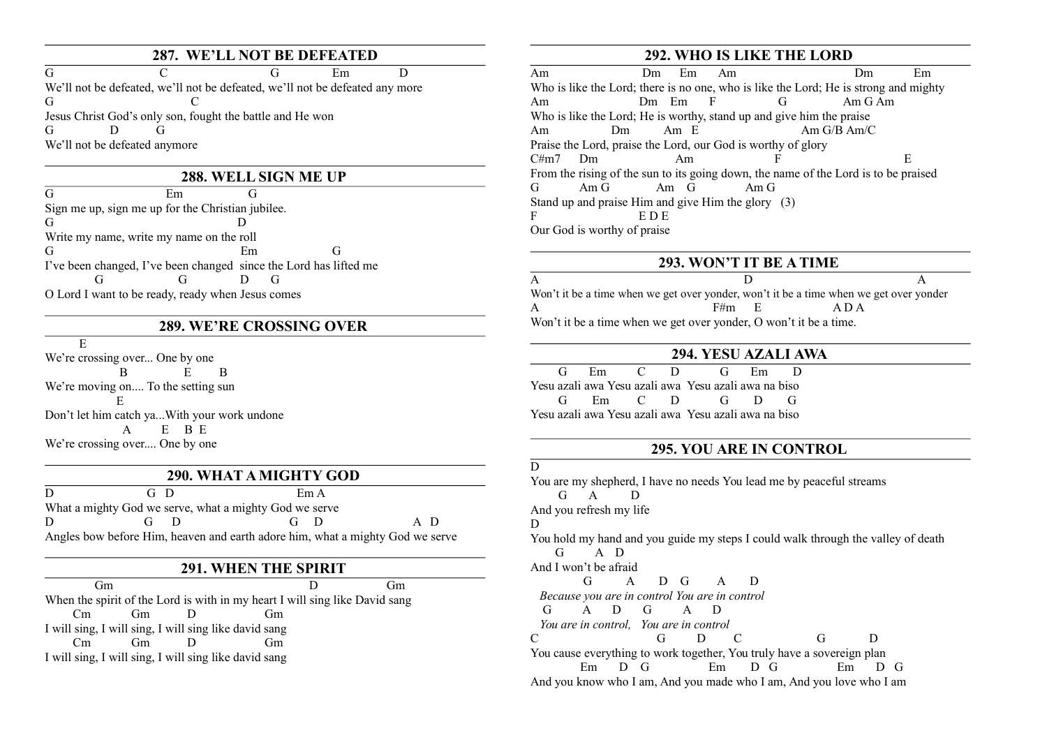## **287. WE'LL NOT BE DEFEATED**

G C G Em D We'll not be defeated, we'll not be defeated, we'll not be defeated any more G C Jesus Christ God's only son, fought the battle and He won G D G We'll not be defeated anymore

#### **288. WELL SIGN ME UP**

G Em G Sign me up, sign me up for the Christian jubilee. G D Write my name, write my name on the roll G Em G I've been changed, I've been changed since the Lord has lifted me G G D G O Lord I want to be ready, ready when Jesus comes

#### **289. WE'RE CROSSING OVER**

E

We're crossing over... One by one B E B We're moving on.... To the setting sun Extended to the E Don't let him catch ya...With your work undone A E B E We're crossing over.... One by one

## **290. WHAT A MIGHTY GOD**

D G D Em A What a mighty God we serve, what a mighty God we serve D G D G D A D Angles bow before Him, heaven and earth adore him, what a mighty God we serve

#### **291. WHEN THE SPIRIT**

Gm D Gm When the spirit of the Lord is with in my heart I will sing like David sang Cm Gm D Gm I will sing, I will sing, I will sing like david sang Cm Gm D Gm I will sing, I will sing, I will sing like david sang

## **292. WHO IS LIKE THE LORD**

Am Dm Em Am Dm Em Who is like the Lord; there is no one, who is like the Lord; He is strong and mighty Am Dm Em F G Am G Am Who is like the Lord; He is worthy, stand up and give him the praise Am Dm Am E  $\overline{A}$  Am G/B  $\overline{A}$ m/C Praise the Lord, praise the Lord, our God is worthy of glory  $C\#m7$  Dm Am F From the rising of the sun to its going down, the name of the Lord is to be praised G Am G Am G Am G Stand up and praise Him and give Him the glory (3) F E D E Our God is worthy of praise

#### **293. WON'T IT BE A TIME**

A D A Won't it be a time when we get over yonder, won't it be a time when we get over yonder  $F#m$  E A D A Won't it be a time when we get over yonder, O won't it be a time.

## **294. YESU AZALI AWA**

 G Em C D G Em D Yesu azali awa Yesu azali awa Yesu azali awa na biso G Em C D G D G Yesu azali awa Yesu azali awa Yesu azali awa na biso

#### **295. YOU ARE IN CONTROL**

#### $\overline{D}$

You are my shepherd, I have no needs You lead me by peaceful streams  $G \qquad A \qquad D$ And you refresh my life D. You hold my hand and you guide my steps I could walk through the valley of death G A D And I won't be afraid G A D G A D *Because you are in control You are in control* G A D G A D  *You are in control, You are in control* C G D C G D You cause everything to work together, You truly have a sovereign plan Em D G Em D G Em D G And you know who I am, And you made who I am, And you love who I am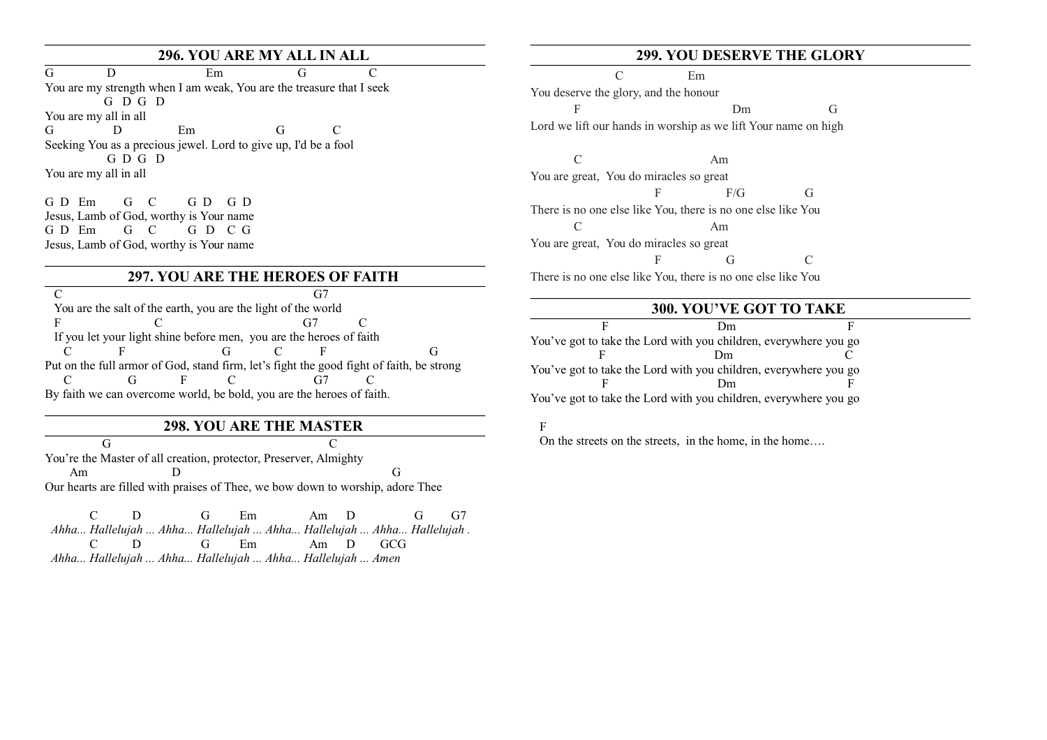## **296. YOU ARE MY ALL IN ALL**

G D Em G C You are my strength when I am weak, You are the treasure that I seek G D G D You are my all in all G D Em G C Seeking You as a precious jewel. Lord to give up, I'd be a fool G D G D You are my all in all

G D Em G C G D G D Jesus, Lamb of God, worthy is Your name G D Em G C G D C G Jesus, Lamb of God, worthy is Your name

#### **297. YOU ARE THE HEROES OF FAITH**

C G7 You are the salt of the earth, you are the light of the world F C G7 C If you let your light shine before men, you are the heroes of faith C F G C F G Put on the full armor of God, stand firm, let's fight the good fight of faith, be strong C G F C G7 C By faith we can overcome world, be bold, you are the heroes of faith.

#### **298. YOU ARE THE MASTER**

G C You're the Master of all creation, protector, Preserver, Almighty Am D G Our hearts are filled with praises of Thee, we bow down to worship, adore Thee

C D G Em Am D G G7 *Ahha... Hallelujah ... Ahha... Hallelujah ... Ahha... Hallelujah ... Ahha... Hallelujah .* C D G Em Am D GCG  *Ahha... Hallelujah ... Ahha... Hallelujah ... Ahha... Hallelujah ... Amen*

### **299. YOU DESERVE THE GLORY**

 C Em You deserve the glory, and the honour F Dm G Lord we lift our hands in worship as we lift Your name on high C Am You are great, You do miracles so great F F/G G There is no one else like You, there is no one else like You C Am You are great, You do miracles so great F G C There is no one else like You, there is no one else like You

#### **300. YOU'VE GOT TO TAKE**

F Dm F You've got to take the Lord with you children, everywhere you go F Dm C You've got to take the Lord with you children, everywhere you go F Dm F You've got to take the Lord with you children, everywhere you go

#### F

On the streets on the streets, in the home, in the home….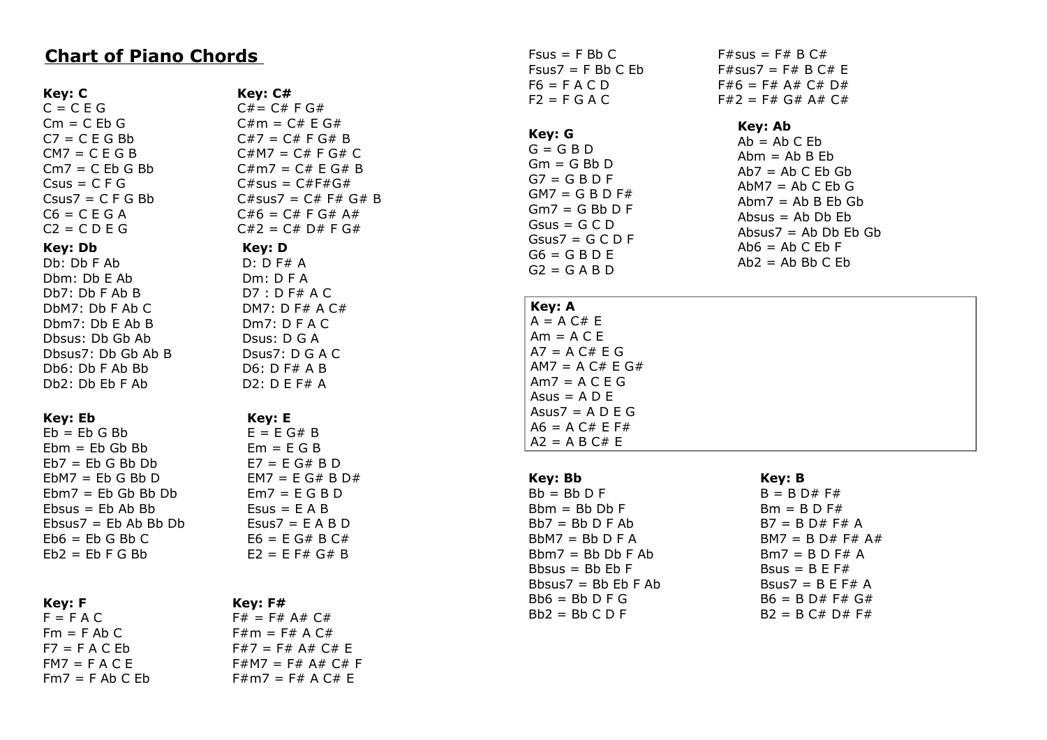## **Chart of Piano Chords**

#### **Key: C**

 $C = C E G$  $Cm = C$  Fh G  $C7 = C E G Bb$  $CM7 = C E G B$  $Cm7 = C$  Fb G Bb  $C$ sus =  $C$  F G  $Csus7 = C F G Bh$  $CG = C E G A$  $C2 = C D E G$ 

#### **Key: Db**

Db: Db F Ab Dbm: Db E Ab Db7: Db F Ab B DbM7: Db F Ab C Dbm7: Db E Ab B Dbsus: Db Gb Ab Dbsus7: Db Gb Ab B Db6: Db F Ab Bb Db2: Db Eb F Ab

#### **Key: Eb**

 $F<sub>b</sub> = F<sub>b</sub>$  G Bb  $F$ bm =  $F$ b Gb Bb  $Eb7 = Eb G Bb Db$  $EbM7 = Eb G Bb D$  $Fhm7 = Fh Gh Bh Dh$  $F$ bsus =  $F$ b Ab Bb Ebsus $7 =$ Eb Ab Bb Db  $Fb6 = Fb G Bb C$  $Eb2 = Eb F G Bb$ 

#### **Key: F**

 $F = F AC$  $Fm = F Ab C$  $F7 = F A C Eb$  $FM7 = FA C E$  $Fm7 = F Ab C Eb$ 

#### **Key: C#**  $C# = C# F G#$  $C \# m = C \# F G \#$  $C#7 = C# F G# B$  $C#M7 = C# F G# C$  $C#m7 = C# F G# B$  $C#sus = C#F#G#$  $C#sus7 = C# F# G# B$  $C#6 = C# F G# A#$  $C#2 = C# D# F G#$ **Key: D**  $D: D F# A$ Dm: D F A D7 : D F# A C

DM7: D F# A C# Dm7: D F A C Dsus: D G A Dsus7: D G A C D6: D F# A B D2: D E F# A

#### **Key: E**

 $E = F G# B$  $Em = E G B$  $E7 = E G# B D$  $FM7 = F G# B D#$  $Em7 = E G B D$  $E$ sus = E A B  $Esus7 = E A B D$  $F6 = F G# B C#$  $E2 = E$  F# G# B

## **Key: F#**

 $F# = F# A# C#$  $F#m = F# A C#$  $F#7 = F# A# C# E$  $F#M7 = F# A# C# F$  $F#m7 = F# A C# E$ 

| $Fsus = F Bh C$           |  |
|---------------------------|--|
| $F_s u s 7 = F B b C F b$ |  |
| $FG = F A C D$            |  |
| $F2 = F G A C$            |  |

## **Key: G**

 $G = G B D$  $Gm = G$  Bh D  $G7 = G B D F$  $G$ M7 = G B D F#  $Gm7 = G Bb D F$  $Gsus = GCD$  $Gsus7 = GCDF$  $G6 = G B D F$  $G2 = G AB D$ 

## **Key: A**

 $A = A C# E$  $Am = A C F$  $AY = A C# F G$  $AM7 = A C# E G#$  $Am7 = A C E G$ Asus  $=$  A D E Asus $7 = A D F G$  $AG = A C# F F#$  $A2 = A B C# E$ 

#### **Key: Bb**

 $Bb = Bh D F$  $Bbm = BbDbF$  $Bb7 = Bb D F Ab$  $BbM7 = BbDFA$  $Bhm7 = Bh Dh F Ah$ Bhsus  $=$  Bh Fh F Bbsus $7 =$ Bb F ab  $Bb6 = Bb D F G$  $Bb2 = Bb C D F$ 

#### $F#sus = F# B C#$  $F#sus7 = F# B C# E$  $F#6 = F# A# C# D#$  $F#2 = F# G# A# C#$

#### **Key: Ab**

 $Ab = Ab C Eb$  $Abm = Ab B Eb$  $Ab7 = Ab C Eb Gb$  $AbM7 = Ab C Eb G$  $Abm7 = Ab B Eb Gb$ Absus  $=$  Ab Db Eb Absus $7 =$ Ab Db Eb Gb  $Ab6 = Ab C Fb F$  $Ab2 = Ab Bb C Eb$ 

# **Key: B**

 $B = B D# F#$  $Bm = B D F#$  $B7 = B D# F# A$  $BM7 = B D# F# A#$  $Bm7 = B D F# A$ Bsus =  $B \tF#$ Bsus7 =  $B \tF# A$  $B6 = B D# F# G#$  $B2 = B C# D# F#$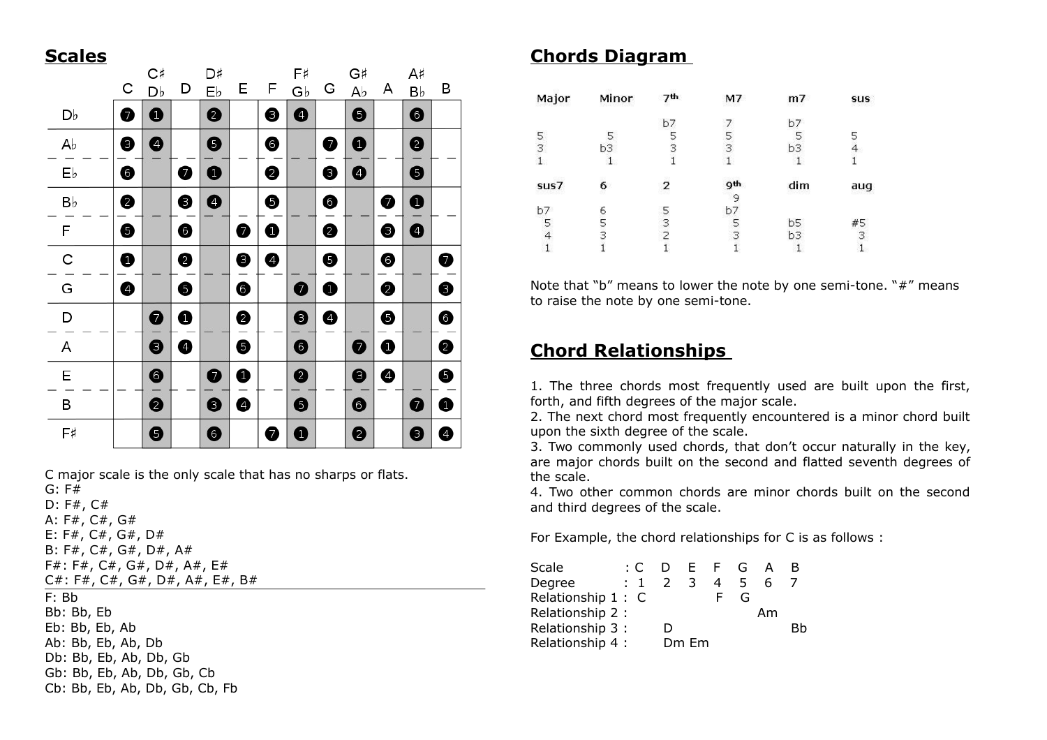## **Scales**

|                   | С | С‡<br>Db  | D | D♯<br>Eb    | Ε | F | F♯<br>Gb    | G         | G♯<br>Ab    | Α | A♯<br>Bb    | B |
|-------------------|---|-----------|---|-------------|---|---|-------------|-----------|-------------|---|-------------|---|
| Db                | Đ | O         |   | 0           |   | ❸ | 0           |           | Θ           |   | ❺           |   |
| $\mathsf{A}\flat$ | ❸ | 0         |   | ❺           |   | ❺ |             | 0         | $\mathbf 0$ |   | ❷           |   |
| Eb                | 0 |           | ❼ | $\mathbf 0$ |   | 0 |             | ❸         | ◉           |   | ❺           |   |
| Вb                | 0 |           | ❸ | Ø           |   | ❺ |             | ❺         |             | ❼ | $\mathbf 0$ |   |
| F                 | ❸ |           | ❺ |             | ❼ | 0 |             | ❷         |             | ❸ | Ø           |   |
| С                 | ❶ |           | ❷ |             | ❸ | ❹ |             | ❺         |             | ❺ |             | ❼ |
| G                 | ❹ |           | ❺ |             | ❺ |   | ❼           | $\bullet$ |             | 0 |             | ❸ |
| D                 |   | ❼         | ❶ |             | ❷ |   | ❸           | ❹         |             | ❺ |             | ❸ |
| А                 |   | $\bullet$ | ❹ |             | ❺ |   | $\bullet$   |           | ❼           | 0 |             | 0 |
| Ε                 |   | ❺         |   | 0           | ❶ |   | 0           |           | ❸           | ❹ |             | ❺ |
| В                 |   | 0         |   | ❸           | ❹ |   | ❺           |           | ❺           |   | 0           | ❶ |
| F#                |   | ❺         |   | ❺           |   | 0 | $\mathbf 0$ |           | 0           |   | ❸           | ❹ |

C major scale is the only scale that has no sharps or flats. G: F#

D: F#, C# A: F#, C#, G# E: F#, C#, G#, D# B: F#, C#, G#, D#, A# F#: F#, C#, G#, D#, A#, E# C#: F#, C#, G#, D#, A#, E#, B# F: Bb Bb: Bb, Eb Eb: Bb, Eb, Ab Ab: Bb, Eb, Ab, Db Db: Bb, Eb, Ab, Db, Gb Gb: Bb, Eb, Ab, Db, Gb, Cb Cb: Bb, Eb, Ab, Db, Gb, Cb, Fb

## **Chords Diagram**

| Major                                      | Minor   | 7th | M7         | m <sub>7</sub> | sus |
|--------------------------------------------|---------|-----|------------|----------------|-----|
|                                            |         | b7  |            | b7             |     |
|                                            | 5       | 5   |            |                | 5   |
| $\begin{array}{c} 5 \\ 3 \\ 1 \end{array}$ | b3      | 3   | 3          | b3             |     |
|                                            | 1       |     |            |                |     |
| sus7                                       | 6<br>38 | 2   | <b>gth</b> | dim            | aug |
| b7                                         | 6       | 5   | b7         |                |     |
| 5                                          | 5       | 3   |            | b5             | #5  |
| 4                                          | 3       |     | 3          | b3             | 3   |
|                                            |         |     |            |                |     |

Note that "b" means to lower the note by one semi-tone. "#" means to raise the note by one semi-tone.

# **Chord Relationships**

1. The three chords most frequently used are built upon the first, forth, and fifth degrees of the major scale.

2. The next chord most frequently encountered is a minor chord built upon the sixth degree of the scale.

3. Two commonly used chords, that don't occur naturally in the key, are major chords built on the second and flatted seventh degrees of the scale.

4. Two other common chords are minor chords built on the second and third degrees of the scale.

For Example, the chord relationships for C is as follows :

| Scale             | ÷С           |               |       | E F | G |    |    |
|-------------------|--------------|---------------|-------|-----|---|----|----|
| Degree            | $\mathbf{1}$ | $\mathcal{P}$ | 3     |     | 5 |    |    |
| Relationship 1: C |              |               |       |     | G |    |    |
| Relationship 2:   |              |               |       |     |   | Am |    |
| Relationship 3:   |              | נו            |       |     |   |    | Bh |
| Relationship 4 :  |              |               | Dm Em |     |   |    |    |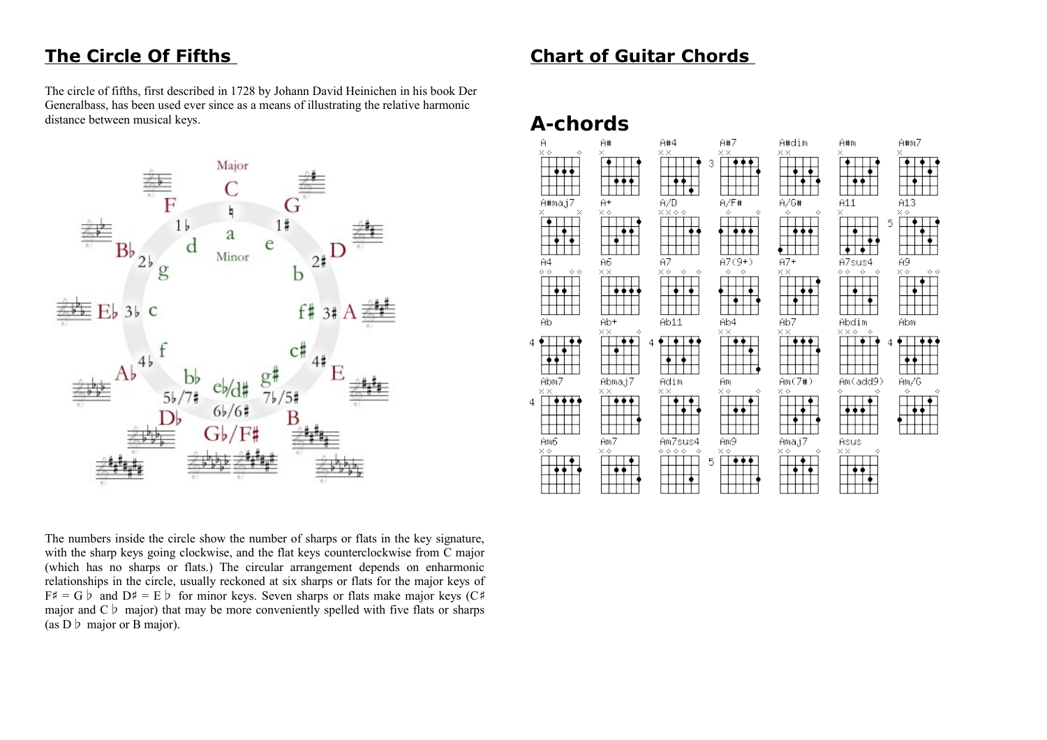# **The Circle Of Fifths**

The circle of fifths, first described in 1728 by Johann David Heinichen in his book Der Generalbass, has been used ever since as a means of illustrating the relative harmonic distance between musical keys.



The numbers inside the circle show the number of sharps or flats in the key signature, with the sharp keys going clockwise, and the flat keys counterclockwise from C major (which has no sharps or flats.) The circular arrangement depends on enharmonic relationships in the circle, usually reckoned at six sharps or flats for the major keys of  $F^{\sharp} = G \circ \text{and } D^{\sharp} = E \circ \text{for minor keys. Seven sharps or flats make major keys } (C^{\sharp})$ major and  $C \triangleright$  major) that may be more conveniently spelled with five flats or sharps (as  $D \, \flat$  major or B major).

# **Chart of Guitar Chords**

# **A-chords**

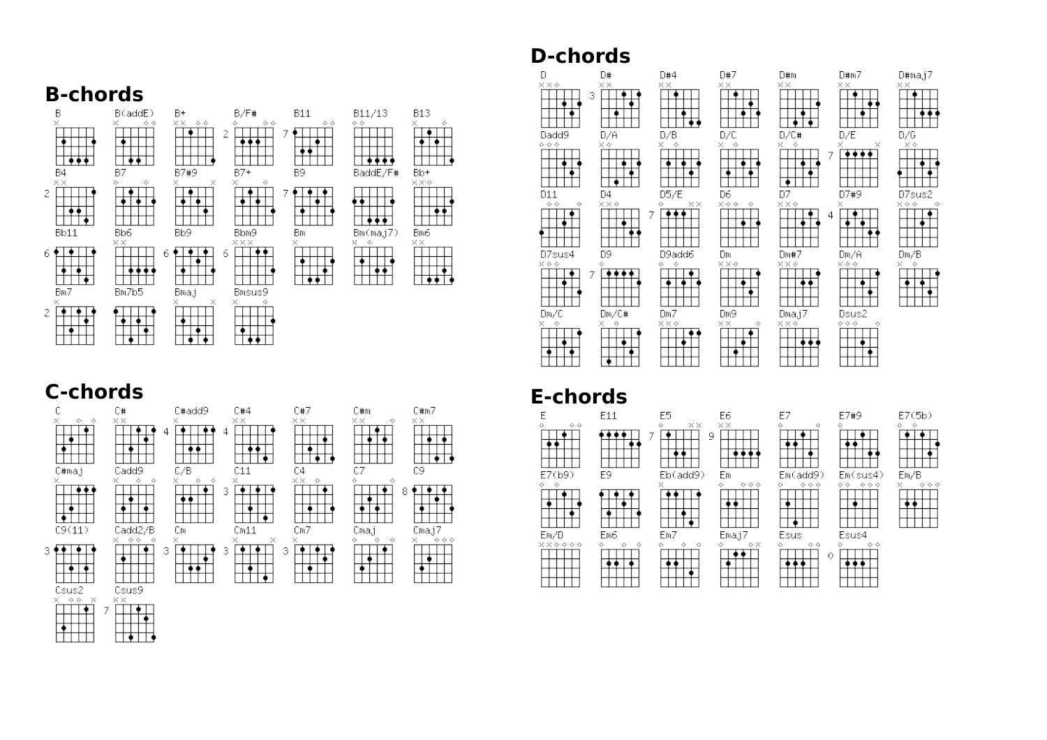# **B-chords**

|    |                | 171 U.J                           |                                             |                                  |                            |                               |                        |
|----|----------------|-----------------------------------|---------------------------------------------|----------------------------------|----------------------------|-------------------------------|------------------------|
|    | В<br>$\times$  | $B$ (add $E$ )<br>$\diamond$<br>× | B+<br>$\times\times$<br>$\diamond \diamond$ | B/F#<br>$\diamond \diamond$<br>♦ | B11<br>$\diamond \diamond$ | B11/13<br>$\diamond \diamond$ | B13<br>×<br>♦          |
|    |                |                                   | 2                                           | 7                                |                            |                               |                        |
|    | Β4             | Β7                                | B7#9                                        | B7+                              | B9                         | BaddE/F#                      | Bb+                    |
| 2  | $\times\times$ | ♦<br>♦                            | $\times$<br>$\times$                        | ×<br>♦<br>7                      |                            |                               | $\times\times\diamond$ |
|    | Bb11           | Bb6                               | Bb9                                         | Bbm9                             | Вm                         | Bm(maj7)                      | Bm6                    |
| 6. |                | $\times\times$<br>6               | 6                                           | $\times\times\times$             | ×                          | $\times$ $\Diamond$           | $\times\times$         |
|    | Bm7            | Bm7b5                             | Bmaj                                        | Bmsus9                           |                            |                               |                        |
| 2  | ×              |                                   | ×<br>×                                      | ×<br>◇                           |                            |                               |                        |

# **C-chords**

 $\Box$ 

ा •ाउ

∐∙

 $\bullet$  $\overline{7}$ 

 $\bullet$  1



# **D-chords**

| D                                        | D#                       | D#4                    | D#7                                 | D#m                    | D#m7                              | D#maj7                     |
|------------------------------------------|--------------------------|------------------------|-------------------------------------|------------------------|-----------------------------------|----------------------------|
| $\leftrightarrow$                        | $\times\times$<br>3      | $\times\times$         | $\times\times$                      | $\times\times$         | $\times\times$                    | $\times\times$             |
| Dadd9<br>$\rightarrow \diamond \diamond$ | D/A<br>$\times \diamond$ | D/B<br>×<br>♦          | D/C<br>×<br>♦                       | D/C#<br>×<br>♦         | D/E<br>×<br>×                     | D/G<br>$\times$ $\diamond$ |
|                                          |                          |                        |                                     |                        | 7                                 |                            |
| D11                                      | D4                       | D5/E                   | D6                                  | D7                     | D7#9                              | D7sus2                     |
| $\diamond$ $\diamond$<br>♦               | $\times\times\diamond$   | $\times\times$<br>◇    | $\times$ $\diamond$ $\diamond$<br>♦ | $\times\times\diamond$ | $\times$                          | $\times \diamond \diamond$ |
|                                          |                          | 7                      |                                     |                        | 4                                 |                            |
| D7sus4                                   | D9                       | D9add6                 | Dm                                  | Dm#7                   | Dm/A                              | Dm/B                       |
| $\mathbb{C} \diamondsuit \diamondsuit$   | Ò.<br>7                  | ♦<br>◇                 | $\times\times\diamond$              | $\times\times\diamond$ | $\times \diamond \diamond$        | ♦<br>×                     |
| Dm/C                                     | Dm/C#                    | Dm7                    | Dm9                                 | Dmaj7                  | Dsus2                             |                            |
| ♦<br>¢.                                  | ♦<br>×                   | $\times\times\diamond$ | $\times\times$<br>♦                 | $\times\times\diamond$ | $\diamond \diamond \diamond$<br>◇ |                            |

# **E-chords**

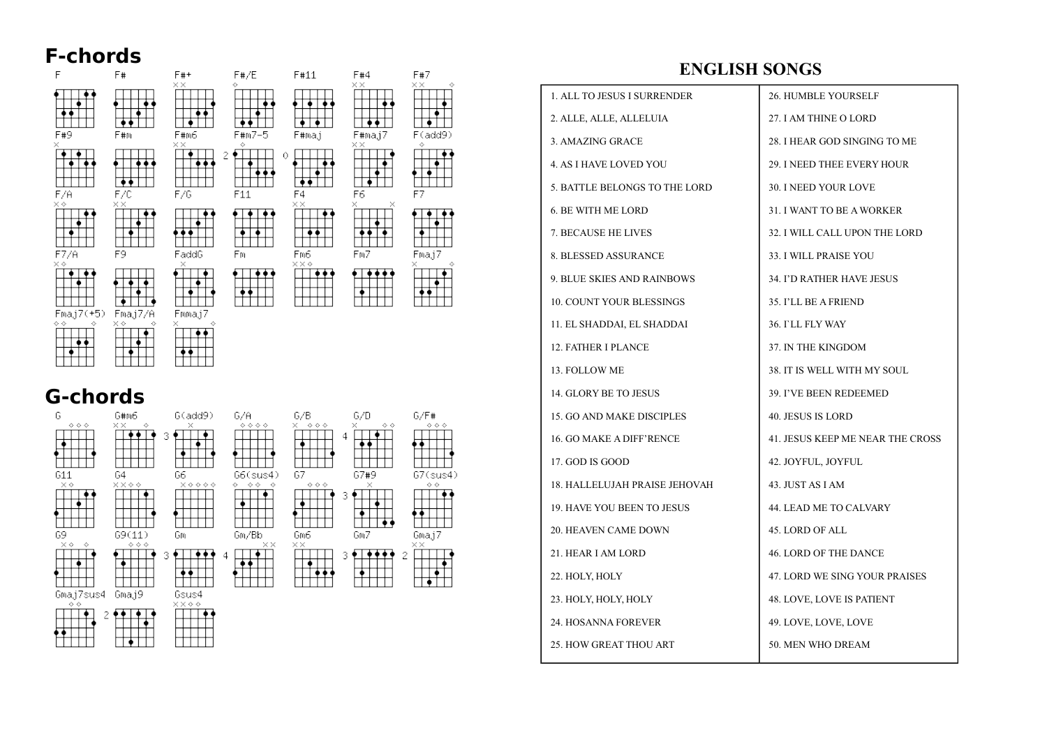# **F-chords**

| F                          | F#                       | F#+<br>$\times\times$ | F#/E<br>♦ | F#11                   | F#4<br>$\times\times$ | F#7<br>$\times\times$<br>◇ |
|----------------------------|--------------------------|-----------------------|-----------|------------------------|-----------------------|----------------------------|
|                            |                          |                       |           |                        |                       |                            |
| F#9                        | F#m                      | F#m6                  | F#m7-5    | F#maj                  | F#maj7                | F(add9)                    |
| ×                          |                          | $\times\times$        | ♦         |                        | $\times\times$        | ♦                          |
|                            |                          | 2                     |           | $\Diamond$             |                       |                            |
|                            |                          |                       |           |                        |                       |                            |
| F/A                        | F/C                      | F/G                   | F11       | F4                     | F6                    | F7                         |
| $\times \diamond$          | $\times\times$           |                       |           | $\times\times$         | ×<br>$\times$         |                            |
|                            |                          |                       |           |                        |                       |                            |
| F7/A                       | F9                       | FaddG                 | Fм        | Fm6                    | Fm7                   | Fmaj7                      |
| $\times$ $\diamond$        |                          | ×                     |           | $\times\times\diamond$ |                       | ×<br>♦                     |
|                            |                          |                       |           |                        |                       |                            |
| Fmaj7(+5)                  | Fmaj7/A                  | Fmmaj7                |           |                        |                       |                            |
| $\diamond$ $\diamond$<br>♦ | $\times$ $\diamond$<br>◇ | ×<br>♦                |           |                        |                       |                            |

# **G-chords**

 $\blacksquare \bullet \top \top$ 

n i T



## **ENGLISH SONGS**

| 1. ALL TO JESUS I SURRENDER       | <b>26. HUMBLE YOURSELF</b>        |
|-----------------------------------|-----------------------------------|
| 2. ALLE, ALLE, ALLELUIA           | 27. I AM THINE O LORD             |
| 3. AMAZING GRACE                  | 28. I HEAR GOD SINGING TO ME      |
| <b>4. AS I HAVE LOVED YOU</b>     | <b>29. I NEED THEE EVERY HOUR</b> |
| 5. BATTLE BELONGS TO THE LORD     | <b>30. I NEED YOUR LOVE</b>       |
| <b>6. BE WITH ME LORD</b>         | 31. I WANT TO BE A WORKER         |
| 7. BECAUSE HE LIVES               | 32. I WILL CALL UPON THE LORD     |
| 8. BLESSED ASSURANCE              | 33. I WILL PRAISE YOU             |
| 9. BLUE SKIES AND RAINBOWS        | <b>34. I'D RATHER HAVE JESUS</b>  |
| <b>10. COUNT YOUR BLESSINGS</b>   | <b>35. I'LL BE A FRIEND</b>       |
| 11. EL SHADDAI, EL SHADDAI        | 36. FLL FLY WAY                   |
| <b>12. FATHER I PLANCE</b>        | 37. IN THE KINGDOM                |
| 13. FOLLOW ME                     | 38. IT IS WELL WITH MY SOUL       |
| 14. GLORY BE TO JESUS             | 39. I'VE BEEN REDEEMED            |
| 15. GO AND MAKE DISCIPLES         | <b>40. JESUS IS LORD</b>          |
| 16. GO MAKE A DIFF'RENCE          | 41. JESUS KEEP ME NEAR THE CROSS  |
| 17. GOD IS GOOD                   | 42. JOYFUL, JOYFUL                |
| 18. HALLELUJAH PRAISE JEHOVAH     | 43. JUST AS I AM                  |
| <b>19. HAVE YOU BEEN TO JESUS</b> | <b>44. LEAD ME TO CALVARY</b>     |
| <b>20. HEAVEN CAME DOWN</b>       | 45. LORD OF ALL                   |
| 21. HEAR I AM LORD                | 46. LORD OF THE DANCE             |
| 22. HOLY, HOLY                    | 47. LORD WE SING YOUR PRAISES     |
| 23. HOLY, HOLY, HOLY              | 48. LOVE, LOVE IS PATIENT         |
| 24. HOSANNA FOREVER               | 49. LOVE, LOVE, LOVE              |
| 25. HOW GREAT THOU ART            | 50. MEN WHO DREAM                 |
|                                   |                                   |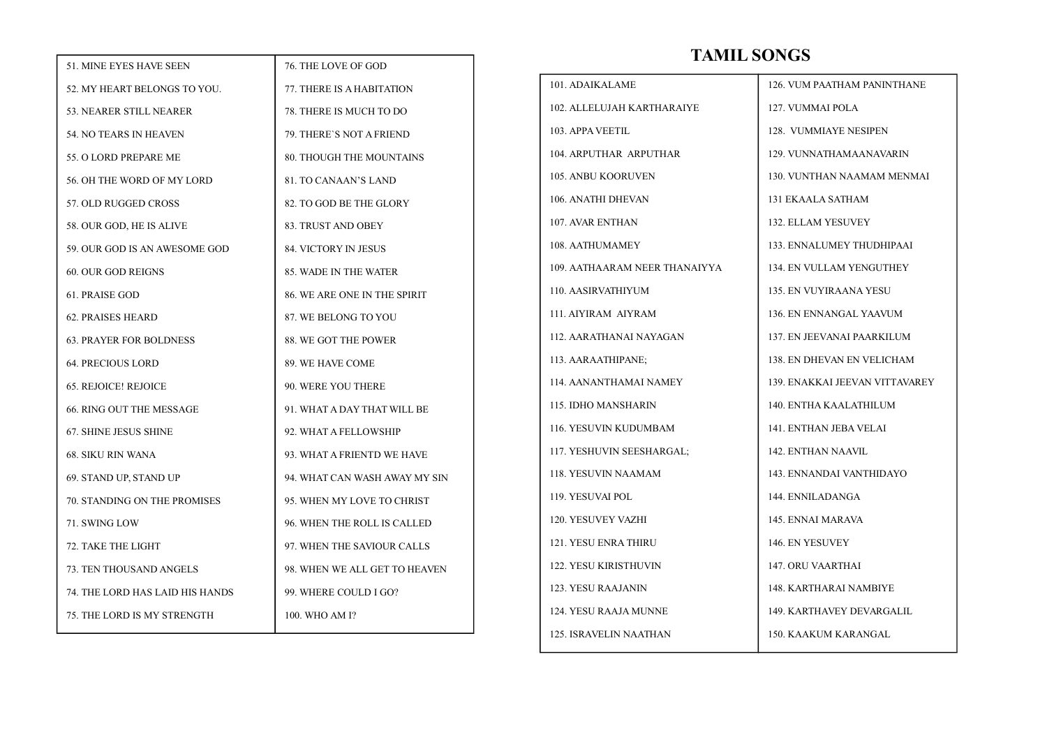| 51. MINE EYES HAVE SEEN         | 76. THE LOVE OF GOD             |
|---------------------------------|---------------------------------|
| 52. MY HEART BELONGS TO YOU.    | 77. THERE IS A HABITATION       |
| 53. NEARER STILL NEARER         | 78. THERE IS MUCH TO DO         |
| 54. NO TEARS IN HEAVEN          | 79. THERE'S NOT A FRIEND        |
| 55. O LORD PREPARE ME           | <b>80. THOUGH THE MOUNTAINS</b> |
| 56. OH THE WORD OF MY LORD      | 81. TO CANAAN'S LAND            |
| 57. OLD RUGGED CROSS            | 82. TO GOD BE THE GLORY         |
| 58. OUR GOD, HE IS ALIVE        | 83. TRUST AND OBEY              |
| 59. OUR GOD IS AN AWESOME GOD   | <b>84. VICTORY IN JESUS</b>     |
| 60. OUR GOD REIGNS              | <b>85. WADE IN THE WATER</b>    |
| 61. PRAISE GOD                  | 86. WE ARE ONE IN THE SPIRIT    |
| <b>62. PRAISES HEARD</b>        | 87. WE BELONG TO YOU            |
| <b>63. PRAYER FOR BOLDNESS</b>  | 88. WE GOT THE POWER            |
| <b>64. PRECIOUS LORD</b>        | 89. WE HAVE COME                |
| <b>65. REJOICE! REJOICE</b>     | 90. WERE YOU THERE              |
| 66. RING OUT THE MESSAGE        | 91. WHAT A DAY THAT WILL BE     |
| 67. SHINE JESUS SHINE           | 92. WHAT A FELLOWSHIP           |
| <b>68. SIKU RIN WANA</b>        | 93. WHAT A FRIENTD WE HAVE      |
| 69. STAND UP, STAND UP          | 94. WHAT CAN WASH AWAY MY SIN   |
| 70. STANDING ON THE PROMISES    | 95. WHEN MY LOVE TO CHRIST      |
| 71. SWING LOW                   | 96. WHEN THE ROLL IS CALLED     |
| 72. TAKE THE LIGHT              | 97. WHEN THE SAVIOUR CALLS      |
| 73. TEN THOUSAND ANGELS         | 98. WHEN WE ALL GET TO HEAVEN   |
| 74. THE LORD HAS LAID HIS HANDS | 99. WHERE COULD I GO?           |
| 75. THE LORD IS MY STRENGTH     | 100. WHO AM I?                  |
|                                 |                                 |

# **TAMIL SONGS**

| 101. ADAIKALAME               | <b>126. VUM PAATHAM PANINTHANE</b> |
|-------------------------------|------------------------------------|
| 102. ALLELUJAH KARTHARAIYE    | 127. VUMMAI POLA                   |
| 103. APPA VEETIL              | 128. VUMMIAYE NESIPEN              |
| 104. ARPUTHAR ARPUTHAR        | 129. VUNNATHAMAANAVARIN            |
| <b>105. ANBU KOORUVEN</b>     | 130. VUNTHAN NAAMAM MENMAI         |
| 106. ANATHI DHEVAN            | <b>131 EKAALA SATHAM</b>           |
| 107. AVAR ENTHAN              | 132. ELLAM YESUVEY                 |
| 108. AATHUMAMEY               | 133. ENNALUMEY THUDHIPAAI          |
| 109. AATHAARAM NEER THANAIYYA | <b>134. EN VULLAM YENGUTHEY</b>    |
| 110. AASIRVATHIYUM            | 135. EN VUYIRAANA YESU             |
| 111. AIYIRAM AIYRAM           | 136. EN ENNANGAL YAAVUM            |
| 112. AARATHANAI NAYAGAN       | 137. EN JEEVANAI PAARKILUM         |
| 113. AARAATHIPANE;            | 138. EN DHEVAN EN VELICHAM         |
| 114. AANANTHAMAI NAMEY        | 139. ENAKKAI JEEVAN VITTAVAREY     |
| 115. IDHO MANSHARIN           | 140. ENTHA KAALATHILUM             |
| 116. YESUVIN KUDUMBAM         | 141. ENTHAN JEBA VELAI             |
| 117. YESHUVIN SEESHARGAL;     | 142. ENTHAN NAAVIL                 |
| 118. YESUVIN NAAMAM           | 143. ENNANDAI VANTHIDAYO           |
| 119. YESUVAI POL              | 144. ENNILADANGA                   |
| 120. YESUVEY VAZHI            | 145. ENNAI MARAVA                  |
| 121. YESU ENRA THIRU          | 146. EN YESUVEY                    |
| <b>122. YESU KIRISTHUVIN</b>  | <b>147. ORU VAARTHAI</b>           |
| 123. YESU RAAJANIN            | 148. KARTHARAI NAMBIYE             |
| 124. YESU RAAJA MUNNE         | 149. KARTHAVEY DEVARGALIL          |
| <b>125. ISRAVELIN NAATHAN</b> | 150. KAAKUM KARANGAL               |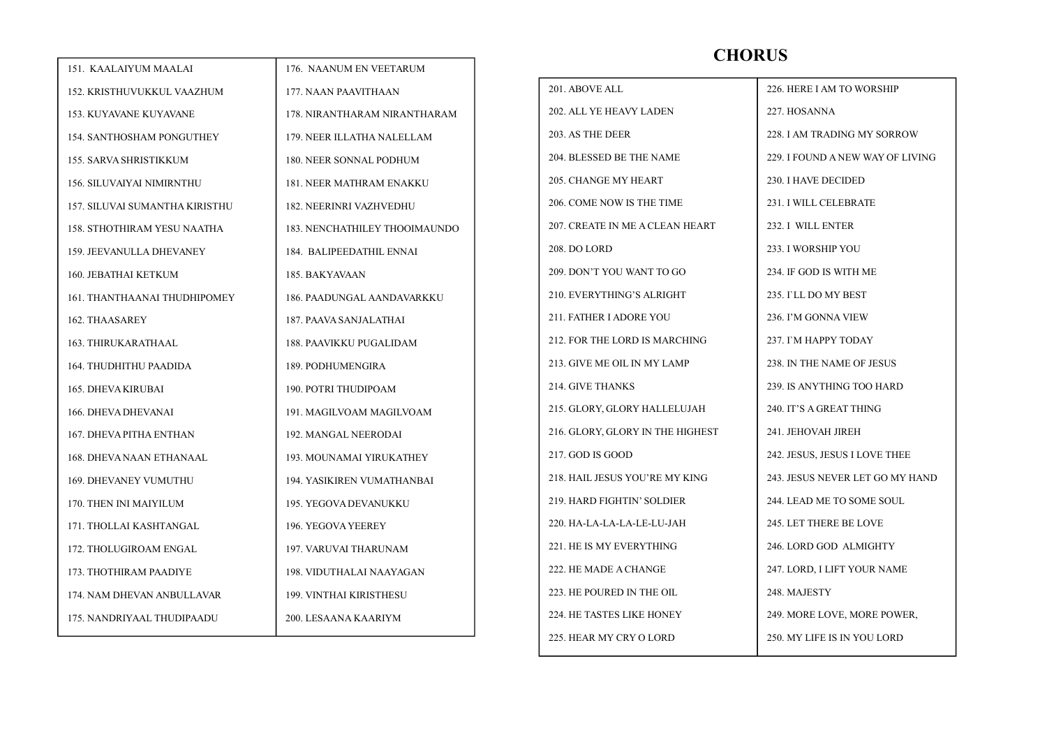| 151. KAALAIYUM MAALAI            | 176. NAANUM EN VEETARUM        |                          |
|----------------------------------|--------------------------------|--------------------------|
| 152. KRISTHUVUKKUL VAAZHUM       | 177. NAAN PAAVITHAAN           | 201. ABOVE ALL           |
| 153. KUYAVANE KUYAVANE           | 178. NIRANTHARAM NIRANTHARAM   | 202. ALL YE HEAVY LADE   |
| 154. SANTHOSHAM PONGUTHEY        | 179. NEER ILLATHA NALELLAM     | 203. AS THE DEER         |
| 155. SARVA SHRISTIKKUM           | 180. NEER SONNAL PODHUM        | 204. BLESSED BE THE NAI  |
| <b>156. SILUVAIYAI NIMIRNTHU</b> | 181. NEER MATHRAM ENAKKU       | 205. CHANGE MY HEART     |
| 157. SILUVAI SUMANTHA KIRISTHU   | 182. NEERINRI VAZHVEDHU        | 206. COME NOW IS THE TI  |
| 158. STHOTHIRAM YESU NAATHA      | 183. NENCHATHILEY THOOIMAUNDO  | 207. CREATE IN ME A CLE. |
| 159. JEEVANULLA DHEVANEY         | 184. BALIPEEDATHIL ENNAI       | <b>208. DO LORD</b>      |
| 160. JEBATHAI KETKUM             | 185. BAKYAVAAN                 | 209. DON'T YOU WANT TC   |
| 161. THANTHAANAI THUDHIPOMEY     | 186. PAADUNGAL AANDAVARKKU     | 210. EVERYTHING'S ALRI   |
| 162. THAASAREY                   | 187. PAAVA SANJALATHAI         | 211. FATHER I ADORE YOU  |
| 163. THIRUKARATHAAL              | 188. PAAVIKKU PUGALIDAM        | 212. FOR THE LORD IS MA  |
| 164. THUDHITHU PAADIDA           | 189. PODHUMENGIRA              | 213. GIVE ME OIL IN MY L |
| <b>165. DHEVA KIRUBAI</b>        | 190. POTRI THUDIPOAM           | 214. GIVE THANKS         |
| 166. DHEVA DHEVANAI              | 191. MAGILVOAM MAGILVOAM       | 215. GLORY, GLORY HALL   |
| 167. DHEVA PITHA ENTHAN          | 192. MANGAL NEERODAI           | 216. GLORY, GLORY IN TH  |
| 168. DHEVANAAN ETHANAAL          | 193. MOUNAMAI YIRUKATHEY       | 217. GOD IS GOOD         |
| 169. DHEVANEY VUMUTHU            | 194. YASIKIREN VUMATHANBAI     | 218. HAIL JESUS YOU'RE N |
| 170. THEN INI MAIYILUM           | 195. YEGOVA DEVANUKKU          | 219. HARD FIGHTIN' SOLD  |
| 171. THOLLAI KASHTANGAL          | 196. YEGOVA YEEREY             | 220. HA-LA-LA-LA-LE-LU-  |
| 172. THOLUGIROAM ENGAL           | 197. VARUVAI THARUNAM          | 221. HE IS MY EVERYTHIN  |
| 173. THOTHIRAM PAADIYE           | 198. VIDUTHALAI NAAYAGAN       | 222. HE MADE A CHANGE    |
| 174. NAM DHEVAN ANBULLAVAR       | <b>199. VINTHAI KIRISTHESU</b> | 223. HE POURED IN THE O  |
| 175. NANDRIYAAL THUDIPAADU       | 200. LESAANA KAARIYM           | 224. HE TASTES LIKE HON  |
|                                  |                                | 225. HEAR MY CRY O LOR   |

# **CHORUS**

|                        | 226. HERE I AM TO WORSHIP        |
|------------------------|----------------------------------|
| /LADEN                 | 227. HOSANNA                     |
|                        | 228. I AM TRADING MY SORROW      |
| <b>HE NAME</b>         | 229. I FOUND A NEW WAY OF LIVING |
| IEART                  | 230. I HAVE DECIDED              |
| THE TIME               | 231. I WILL CELEBRATE            |
| A CLEAN HEART          | 232. I WILL ENTER                |
|                        | 233. I WORSHIP YOU               |
| ANT TO GO              | 234. IF GOD IS WITH ME           |
| <b>S ALRIGHT</b>       | 235. I'LL DO MY BEST             |
| RE YOU                 | 236. I'M GONNA VIEW              |
| ) IS MARCHING          | 237. I'M HAPPY TODAY             |
| N MY LAMP              | 238. IN THE NAME OF JESUS        |
|                        | 239. IS ANYTHING TOO HARD        |
| Y HALLELUJAH           | 240. IT'S A GREAT THING          |
| Y IN THE HIGHEST       | 241. JEHOVAH JIREH               |
|                        | 242. JESUS, JESUS I LOVE THEE    |
| <b>DU'RE MY KING</b>   | 243. JESUS NEVER LET GO MY HAND  |
| <b>V' SOLDIER</b>      | 244. LEAD ME TO SOME SOUL        |
| LE-LU-JAH              | 245. LET THERE BE LOVE           |
| RYTHING                | 246. LORD GOD ALMIGHTY           |
| IANGE                  | 247. LORD, I LIFT YOUR NAME      |
| <b>THE OIL</b>         | 248. MAJESTY                     |
| <b><i>CE HONEY</i></b> | 249. MORE LOVE, MORE POWER,      |
| O LORD                 | 250. MY LIFE IS IN YOU LORD      |